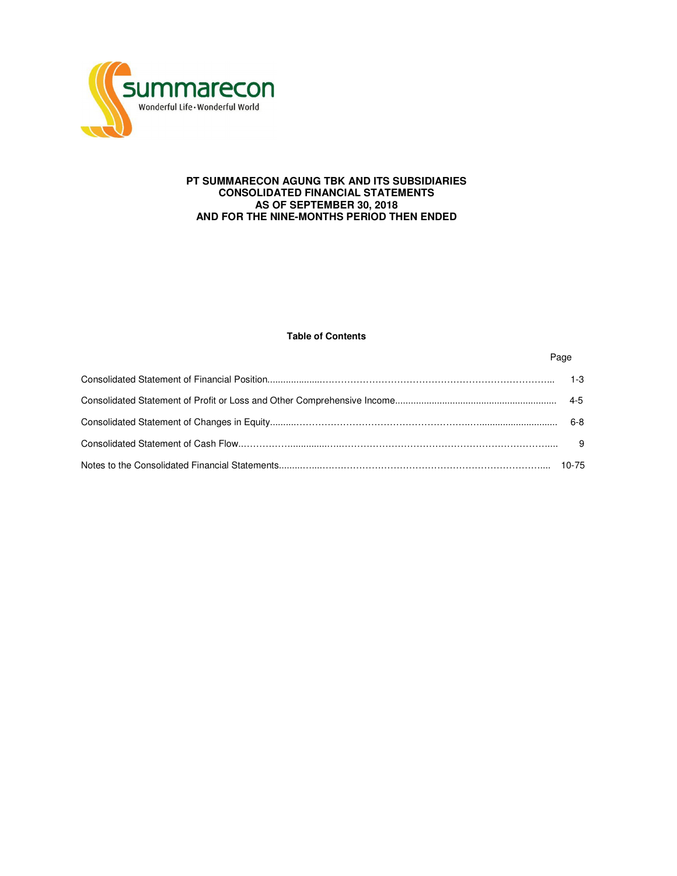

# **PT SUMMARECON AGUNG TBK AND ITS SUBSIDIARIES CONSOLIDATED FINANCIAL STATEMENTS AS OF SEPTEMBER 30, 2018 AND FOR THE NINE-MONTHS PERIOD THEN ENDED**

# **Table of Contents**

Page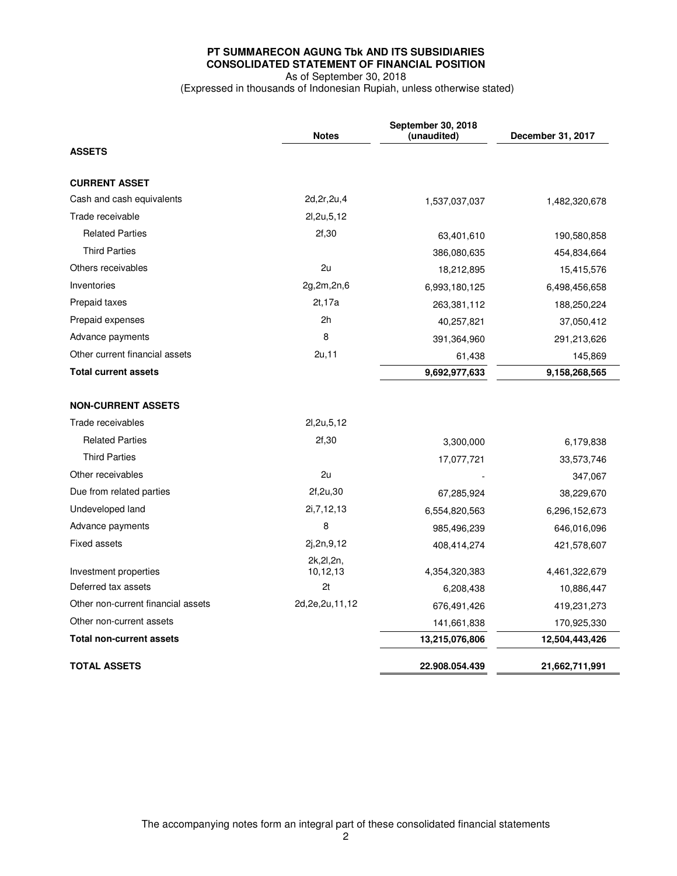# **PT SUMMARECON AGUNG Tbk AND ITS SUBSIDIARIES CONSOLIDATED STATEMENT OF FINANCIAL POSITION**  As of September 30, 2018

(Expressed in thousands of Indonesian Rupiah, unless otherwise stated)

|                                    | <b>Notes</b>            | September 30, 2018<br>(unaudited) | December 31, 2017 |
|------------------------------------|-------------------------|-----------------------------------|-------------------|
| <b>ASSETS</b>                      |                         |                                   |                   |
| <b>CURRENT ASSET</b>               |                         |                                   |                   |
| Cash and cash equivalents          | 2d, 2r, 2u, 4           | 1,537,037,037                     | 1,482,320,678     |
| Trade receivable                   | 21,2u,5,12              |                                   |                   |
| <b>Related Parties</b>             | 2f,30                   | 63,401,610                        | 190,580,858       |
| <b>Third Parties</b>               |                         | 386,080,635                       | 454,834,664       |
| Others receivables                 | 2u                      | 18,212,895                        | 15,415,576        |
| Inventories                        | 2g,2m,2n,6              | 6,993,180,125                     | 6,498,456,658     |
| Prepaid taxes                      | 2t, 17a                 | 263,381,112                       | 188,250,224       |
| Prepaid expenses                   | 2h                      | 40,257,821                        | 37,050,412        |
| Advance payments                   | 8                       | 391,364,960                       | 291,213,626       |
| Other current financial assets     | 2u, 11                  | 61,438                            | 145,869           |
| <b>Total current assets</b>        |                         | 9,692,977,633                     | 9,158,268,565     |
| <b>NON-CURRENT ASSETS</b>          |                         |                                   |                   |
| Trade receivables                  | 2l, 2u, 5, 12           |                                   |                   |
| <b>Related Parties</b>             | 2f,30                   | 3,300,000                         | 6,179,838         |
| <b>Third Parties</b>               |                         | 17,077,721                        | 33,573,746        |
| Other receivables                  | 2u                      |                                   | 347,067           |
| Due from related parties           | 2f, 2u, 30              | 67,285,924                        | 38,229,670        |
| Undeveloped land                   | 2i, 7, 12, 13           | 6,554,820,563                     | 6,296,152,673     |
| Advance payments                   | 8                       | 985,496,239                       | 646,016,096       |
| <b>Fixed assets</b>                | 2j,2n,9,12              | 408,414,274                       | 421,578,607       |
| Investment properties              | 2k, 2l, 2n,<br>10,12,13 | 4,354,320,383                     | 4,461,322,679     |
| Deferred tax assets                | 2t                      | 6,208,438                         | 10,886,447        |
| Other non-current financial assets | 2d, 2e, 2u, 11, 12      | 676,491,426                       | 419,231,273       |
| Other non-current assets           |                         | 141,661,838                       | 170,925,330       |
| <b>Total non-current assets</b>    |                         | 13,215,076,806                    | 12,504,443,426    |
| <b>TOTAL ASSETS</b>                |                         | 22.908.054.439                    | 21,662,711,991    |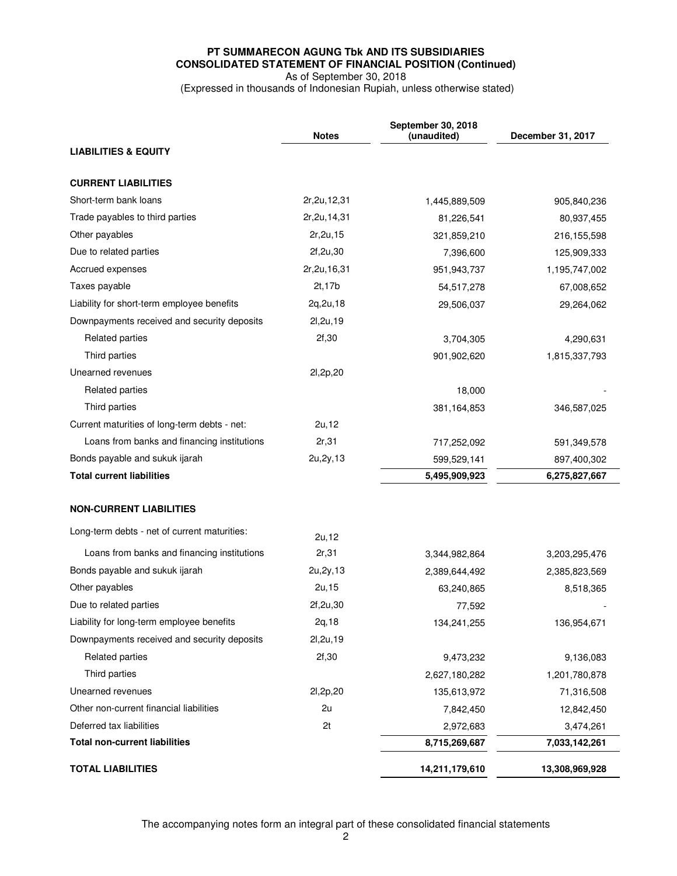# **PT SUMMARECON AGUNG Tbk AND ITS SUBSIDIARIES CONSOLIDATED STATEMENT OF FINANCIAL POSITION (Continued)**  As of September 30, 2018

(Expressed in thousands of Indonesian Rupiah, unless otherwise stated)

|                                              | <b>Notes</b>   | September 30, 2018<br>(unaudited) | December 31, 2017 |
|----------------------------------------------|----------------|-----------------------------------|-------------------|
| <b>LIABILITIES &amp; EQUITY</b>              |                |                                   |                   |
|                                              |                |                                   |                   |
| <b>CURRENT LIABILITIES</b>                   |                |                                   |                   |
| Short-term bank loans                        | 2r, 2u, 12, 31 | 1,445,889,509                     | 905,840,236       |
| Trade payables to third parties              | 2r, 2u, 14, 31 | 81,226,541                        | 80,937,455        |
| Other payables                               | 2r, 2u, 15     | 321,859,210                       | 216, 155, 598     |
| Due to related parties                       | 2f,2u,30       | 7,396,600                         | 125,909,333       |
| Accrued expenses                             | 2r, 2u, 16, 31 | 951,943,737                       | 1,195,747,002     |
| Taxes payable                                | 2t, 17b        | 54,517,278                        | 67,008,652        |
| Liability for short-term employee benefits   | 2q, 2u, 18     | 29,506,037                        | 29,264,062        |
| Downpayments received and security deposits  | 21,2u,19       |                                   |                   |
| <b>Related parties</b>                       | 2f,30          | 3,704,305                         | 4,290,631         |
| Third parties                                |                | 901,902,620                       | 1,815,337,793     |
| Unearned revenues                            | 21,2p,20       |                                   |                   |
| Related parties                              |                | 18,000                            |                   |
| Third parties                                |                | 381,164,853                       | 346,587,025       |
| Current maturities of long-term debts - net: | 2u.12          |                                   |                   |
| Loans from banks and financing institutions  | 2r,31          | 717,252,092                       | 591,349,578       |
| Bonds payable and sukuk ijarah               | 2u, 2y, 13     | 599,529,141                       | 897,400,302       |
| <b>Total current liabilities</b>             |                | 5,495,909,923                     | 6,275,827,667     |
|                                              |                |                                   |                   |
| <b>NON-CURRENT LIABILITIES</b>               |                |                                   |                   |
| Long-term debts - net of current maturities: | 2u, 12         |                                   |                   |
| Loans from banks and financing institutions  | 2r,31          | 3,344,982,864                     | 3,203,295,476     |
| Bonds payable and sukuk ijarah               | 2u, 2y, 13     | 2,389,644,492                     | 2,385,823,569     |
| Other payables                               | 2u, 15         | 63,240,865                        | 8,518,365         |
| Due to related parties                       | 2f,2u,30       | 77,592                            |                   |
| Liability for long-term employee benefits    | 2q, 18         | 134,241,255                       | 136,954,671       |
| Downpayments received and security deposits  | 2l, 2u, 19     |                                   |                   |
| <b>Related parties</b>                       | 2f,30          | 9,473,232                         | 9,136,083         |
| Third parties                                |                | 2,627,180,282                     | 1,201,780,878     |
| Unearned revenues                            | 21,2p,20       | 135,613,972                       | 71,316,508        |
| Other non-current financial liabilities      | 2u             | 7,842,450                         | 12,842,450        |
| Deferred tax liabilities                     | 2t             | 2,972,683                         | 3,474,261         |
| <b>Total non-current liabilities</b>         |                | 8,715,269,687                     | 7,033,142,261     |
| <b>TOTAL LIABILITIES</b>                     |                | 14,211,179,610                    | 13,308,969,928    |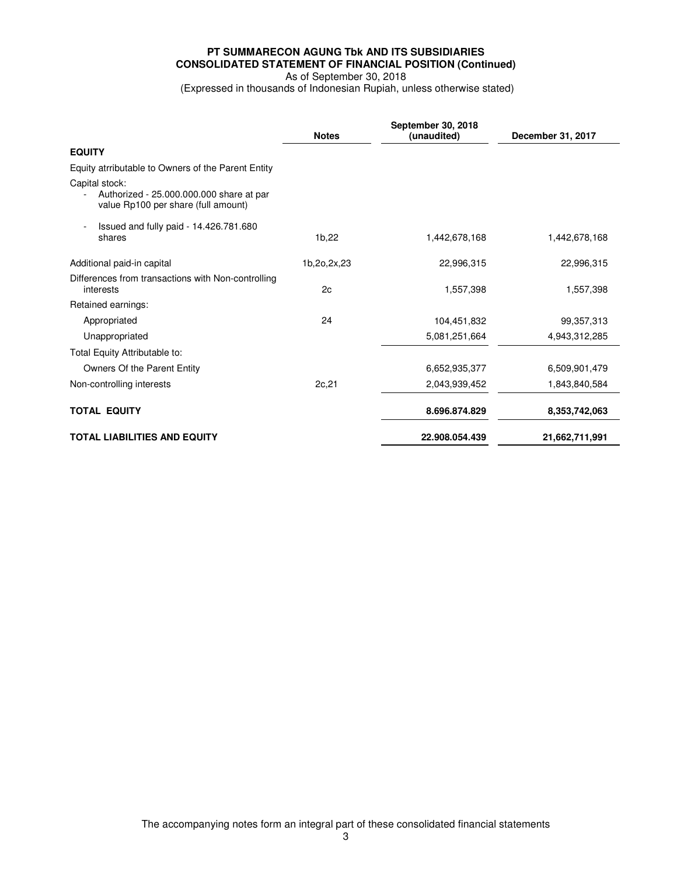# **PT SUMMARECON AGUNG Tbk AND ITS SUBSIDIARIES CONSOLIDATED STATEMENT OF FINANCIAL POSITION (Continued)**  As of September 30, 2018

(Expressed in thousands of Indonesian Rupiah, unless otherwise stated)

|                                                                                                   | <b>Notes</b> | September 30, 2018<br>(unaudited) | December 31, 2017 |
|---------------------------------------------------------------------------------------------------|--------------|-----------------------------------|-------------------|
| <b>EQUITY</b>                                                                                     |              |                                   |                   |
| Equity atrributable to Owners of the Parent Entity                                                |              |                                   |                   |
| Capital stock:<br>Authorized - 25.000.000.000 share at par<br>value Rp100 per share (full amount) |              |                                   |                   |
| Issued and fully paid - 14.426.781.680<br>shares                                                  | 1b,22        | 1,442,678.168                     | 1,442,678,168     |
| Additional paid-in capital                                                                        | 1b,2o,2x,23  | 22,996,315                        | 22,996,315        |
| Differences from transactions with Non-controlling<br>interests                                   | 2c           | 1,557,398                         | 1,557,398         |
| Retained earnings:                                                                                |              |                                   |                   |
| Appropriated                                                                                      | 24           | 104,451,832                       | 99,357,313        |
| Unappropriated                                                                                    |              | 5,081,251,664                     | 4,943,312,285     |
| Total Equity Attributable to:                                                                     |              |                                   |                   |
| Owners Of the Parent Entity                                                                       |              | 6,652,935,377                     | 6,509,901,479     |
| Non-controlling interests                                                                         | 2c, 21       | 2,043,939,452                     | 1,843,840,584     |
| <b>TOTAL EQUITY</b>                                                                               |              | 8.696.874.829                     | 8,353,742,063     |
| <b>TOTAL LIABILITIES AND EQUITY</b>                                                               |              | 22.908.054.439                    | 21,662,711,991    |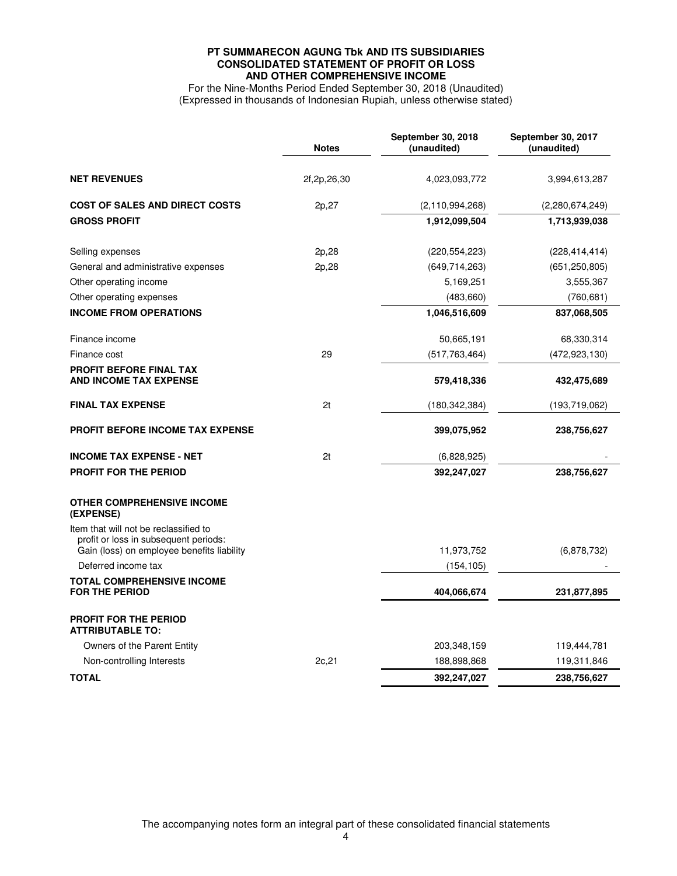# **PT SUMMARECON AGUNG Tbk AND ITS SUBSIDIARIES CONSOLIDATED STATEMENT OF PROFIT OR LOSS AND OTHER COMPREHENSIVE INCOME**

For the Nine-Months Period Ended September 30, 2018 (Unaudited) (Expressed in thousands of Indonesian Rupiah, unless otherwise stated)

|                                                                                                                              | <b>Notes</b>   | September 30, 2018<br>(unaudited) | September 30, 2017<br>(unaudited) |
|------------------------------------------------------------------------------------------------------------------------------|----------------|-----------------------------------|-----------------------------------|
| <b>NET REVENUES</b>                                                                                                          | 2f, 2p, 26, 30 | 4,023,093,772                     | 3,994,613,287                     |
| <b>COST OF SALES AND DIRECT COSTS</b>                                                                                        | 2p,27          | (2, 110, 994, 268)                | (2,280,674,249)                   |
| <b>GROSS PROFIT</b>                                                                                                          |                | 1,912,099,504                     | 1,713,939,038                     |
| Selling expenses                                                                                                             | 2p,28          | (220, 554, 223)                   | (228, 414, 414)                   |
| General and administrative expenses                                                                                          | 2p,28          | (649, 714, 263)                   | (651, 250, 805)                   |
| Other operating income                                                                                                       |                | 5,169,251                         | 3,555,367                         |
| Other operating expenses                                                                                                     |                | (483,660)                         | (760, 681)                        |
| <b>INCOME FROM OPERATIONS</b>                                                                                                |                | 1,046,516,609                     | 837,068,505                       |
| Finance income                                                                                                               |                | 50.665,191                        | 68,330,314                        |
| Finance cost                                                                                                                 | 29             | (517, 763, 464)                   | (472, 923, 130)                   |
| <b>PROFIT BEFORE FINAL TAX</b><br><b>AND INCOME TAX EXPENSE</b>                                                              |                | 579,418,336                       | 432,475,689                       |
| <b>FINAL TAX EXPENSE</b>                                                                                                     | 2t             | (180,342,384)                     | (193,719,062)                     |
| <b>PROFIT BEFORE INCOME TAX EXPENSE</b>                                                                                      |                | 399,075,952                       | 238,756,627                       |
| <b>INCOME TAX EXPENSE - NET</b>                                                                                              | 2t             | (6,828,925)                       |                                   |
| <b>PROFIT FOR THE PERIOD</b>                                                                                                 |                | 392,247,027                       | 238,756,627                       |
| <b>OTHER COMPREHENSIVE INCOME</b><br>(EXPENSE)                                                                               |                |                                   |                                   |
| Item that will not be reclassified to<br>profit or loss in subsequent periods:<br>Gain (loss) on employee benefits liability |                | 11,973,752                        | (6,878,732)                       |
| Deferred income tax                                                                                                          |                | (154, 105)                        |                                   |
| <b>TOTAL COMPREHENSIVE INCOME</b><br><b>FOR THE PERIOD</b>                                                                   |                | 404,066,674                       | 231,877,895                       |
| <b>PROFIT FOR THE PERIOD</b><br><b>ATTRIBUTABLE TO:</b>                                                                      |                |                                   |                                   |
| Owners of the Parent Entity                                                                                                  |                | 203,348,159                       | 119,444,781                       |
| Non-controlling Interests                                                                                                    | 2c, 21         | 188,898,868                       | 119,311,846                       |
| <b>TOTAL</b>                                                                                                                 |                | 392,247,027                       | 238,756,627                       |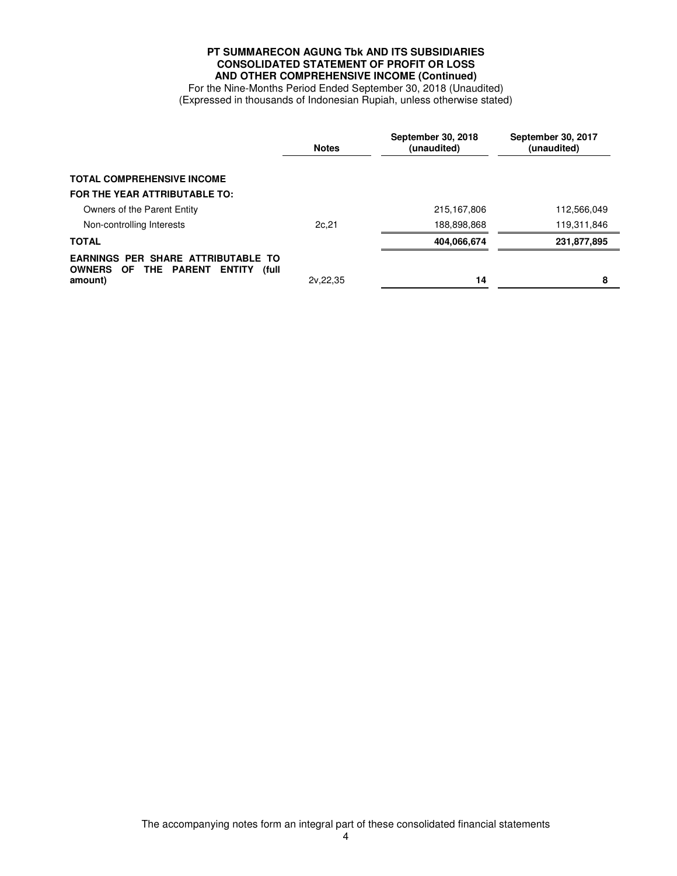# **PT SUMMARECON AGUNG Tbk AND ITS SUBSIDIARIES CONSOLIDATED STATEMENT OF PROFIT OR LOSS AND OTHER COMPREHENSIVE INCOME (Continued)**

For the Nine-Months Period Ended September 30, 2018 (Unaudited) (Expressed in thousands of Indonesian Rupiah, unless otherwise stated)

|                                                                                                                  | <b>Notes</b> | September 30, 2018<br>(unaudited) | September 30, 2017<br>(unaudited) |
|------------------------------------------------------------------------------------------------------------------|--------------|-----------------------------------|-----------------------------------|
| <b>TOTAL COMPREHENSIVE INCOME</b>                                                                                |              |                                   |                                   |
| FOR THE YEAR ATTRIBUTABLE TO:                                                                                    |              |                                   |                                   |
| Owners of the Parent Entity                                                                                      |              | 215, 167, 806                     | 112,566,049                       |
| Non-controlling Interests                                                                                        | 2c.21        | 188,898,868                       | 119,311,846                       |
| <b>TOTAL</b>                                                                                                     |              | 404,066,674                       | 231,877,895                       |
| <b>EARNINGS PER SHARE ATTRIBUTABLE TO</b><br>OF THE PARENT<br><b>OWNERS</b><br><b>ENTITY</b><br>(full<br>amount) | 2v.22.35     | 14                                | 8                                 |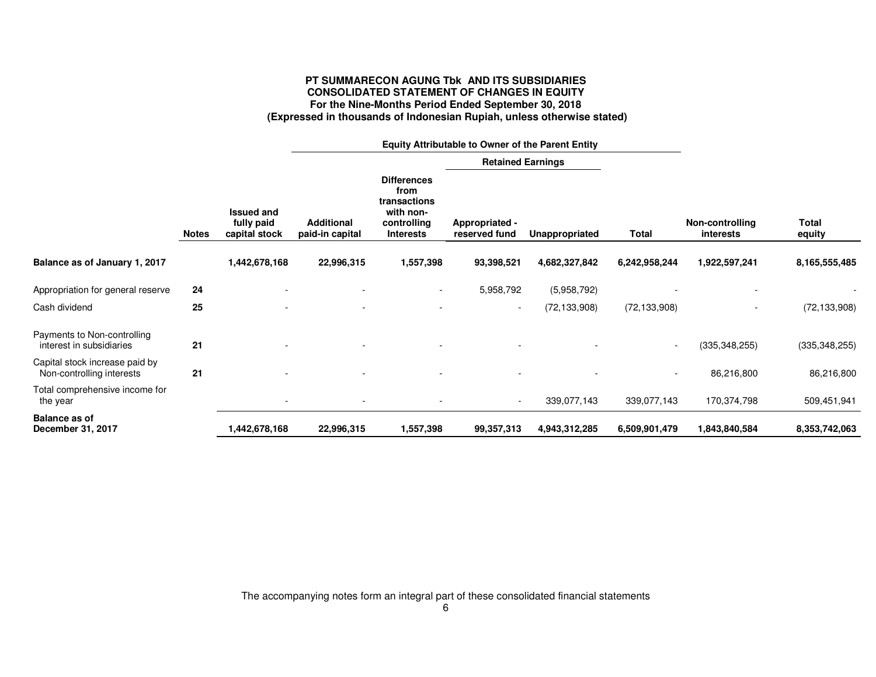# **PT SUMMARECON AGUNG Tbk AND ITS SUBSIDIARIES CONSOLIDATED STATEMENT OF CHANGES IN EQUITY For the Nine-Months Period Ended September 30, 2018 (Expressed in thousands of Indonesian Rupiah, unless otherwise stated)**

|                                                             |              |                                                  |                                      | <b>Equity Attributable to Owner of the Parent Entity</b>                                   |                                 |                |                          |                              |                        |
|-------------------------------------------------------------|--------------|--------------------------------------------------|--------------------------------------|--------------------------------------------------------------------------------------------|---------------------------------|----------------|--------------------------|------------------------------|------------------------|
|                                                             |              |                                                  |                                      |                                                                                            | <b>Retained Earnings</b>        |                |                          |                              |                        |
|                                                             | <b>Notes</b> | <b>Issued and</b><br>fully paid<br>capital stock | <b>Additional</b><br>paid-in capital | <b>Differences</b><br>from<br>transactions<br>with non-<br>controlling<br><b>Interests</b> | Appropriated -<br>reserved fund | Unappropriated | <b>Total</b>             | Non-controlling<br>interests | <b>Total</b><br>equity |
| Balance as of January 1, 2017                               |              | 1,442,678,168                                    | 22,996,315                           | 1,557,398                                                                                  | 93,398,521                      | 4,682,327,842  | 6,242,958,244            | 1,922,597,241                | 8,165,555,485          |
| Appropriation for general reserve                           | 24           |                                                  |                                      | $\sim$                                                                                     | 5,958,792                       | (5,958,792)    |                          |                              |                        |
| Cash dividend                                               | 25           |                                                  |                                      |                                                                                            | $\overline{\phantom{a}}$        | (72, 133, 908) | (72, 133, 908)           | ٠                            | (72, 133, 908)         |
| Payments to Non-controlling<br>interest in subsidiaries     | 21           |                                                  |                                      |                                                                                            |                                 |                |                          | (335, 348, 255)              | (335, 348, 255)        |
| Capital stock increase paid by<br>Non-controlling interests | 21           |                                                  |                                      |                                                                                            |                                 |                | $\overline{\phantom{a}}$ | 86,216,800                   | 86,216,800             |
| Total comprehensive income for<br>the year                  |              |                                                  |                                      |                                                                                            |                                 | 339,077,143    | 339,077,143              | 170,374,798                  | 509,451,941            |
| Balance as of<br>December 31, 2017                          |              | 1,442,678,168                                    | 22,996,315                           | 1,557,398                                                                                  | 99,357,313                      | 4,943,312,285  | 6,509,901,479            | 1,843,840,584                | 8,353,742,063          |

The accompanying notes form an integral part of these consolidated financial statements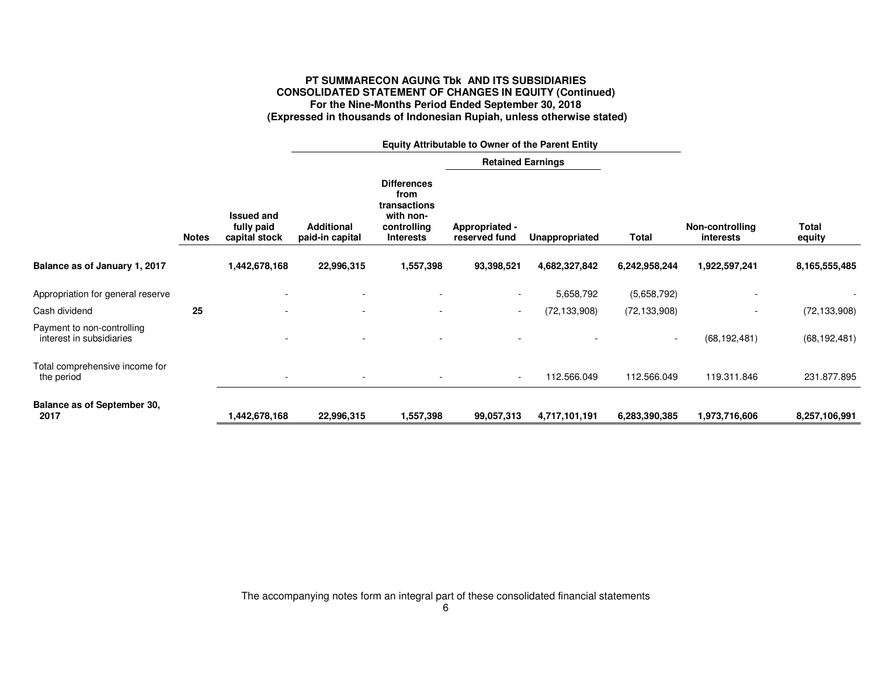# **PT SUMMARECON AGUNG Tbk AND ITS SUBSIDIARIES CONSOLIDATED STATEMENT OF CHANGES IN EQUITY (Continued) For the Nine-Months Period Ended September 30, 2018 (Expressed in thousands of Indonesian Rupiah, unless otherwise stated)**

|                                                        |              | <b>Equity Attributable to Owner of the Parent Entity</b> |                                      |                                                                                            |                                 |                |                          |                              |                        |
|--------------------------------------------------------|--------------|----------------------------------------------------------|--------------------------------------|--------------------------------------------------------------------------------------------|---------------------------------|----------------|--------------------------|------------------------------|------------------------|
|                                                        |              |                                                          |                                      |                                                                                            | <b>Retained Earnings</b>        |                |                          |                              |                        |
|                                                        | <b>Notes</b> | <b>Issued and</b><br>fully paid<br>capital stock         | <b>Additional</b><br>paid-in capital | <b>Differences</b><br>from<br>transactions<br>with non-<br>controlling<br><b>Interests</b> | Appropriated -<br>reserved fund | Unappropriated | <b>Total</b>             | Non-controlling<br>interests | <b>Total</b><br>equity |
| Balance as of January 1, 2017                          |              | 1,442,678,168                                            | 22,996,315                           | 1,557,398                                                                                  | 93,398,521                      | 4,682,327,842  | 6,242,958,244            | 1,922,597,241                | 8,165,555,485          |
| Appropriation for general reserve                      |              |                                                          |                                      |                                                                                            |                                 | 5,658,792      | (5,658,792)              |                              |                        |
| Cash dividend                                          | 25           |                                                          | ۰                                    | $\overline{\phantom{a}}$                                                                   | $\sim$                          | (72, 133, 908) | (72, 133, 908)           |                              | (72, 133, 908)         |
| Payment to non-controlling<br>interest in subsidiaries |              |                                                          |                                      | $\overline{\phantom{a}}$                                                                   |                                 |                | $\overline{\phantom{a}}$ | (68, 192, 481)               | (68, 192, 481)         |
| Total comprehensive income for<br>the period           |              | $\overline{\phantom{a}}$                                 | ۰                                    | $\overline{\phantom{a}}$                                                                   | $\sim$                          | 112.566.049    | 112.566.049              | 119.311.846                  | 231.877.895            |
| Balance as of September 30,<br>2017                    |              | 1,442,678,168                                            | 22,996,315                           | 1,557,398                                                                                  | 99,057,313                      | 4,717,101,191  | 6,283,390,385            | 1,973,716,606                | 8,257,106,991          |

The accompanying notes form an integral part of these consolidated financial statements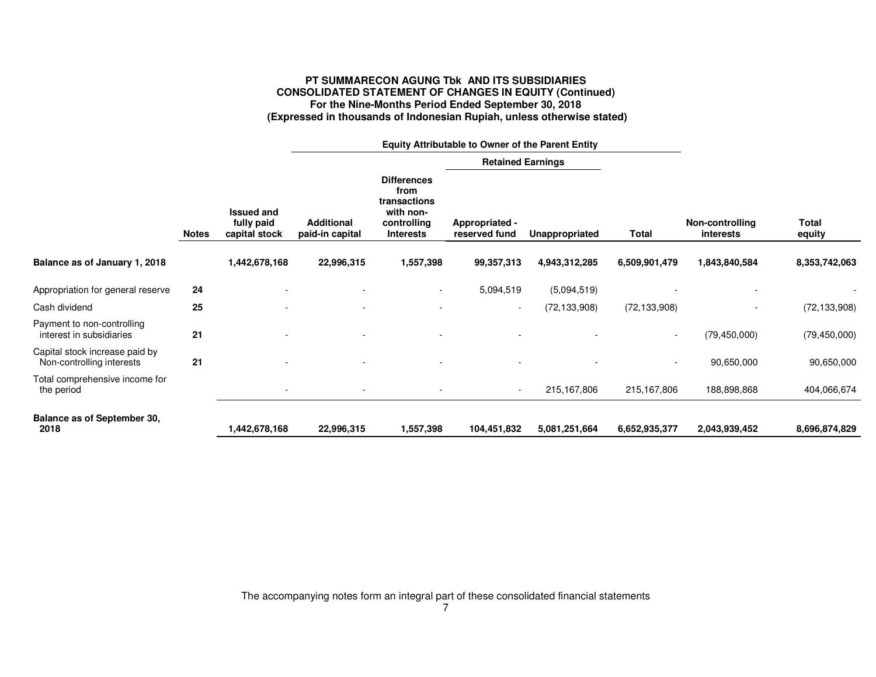# **PT SUMMARECON AGUNG Tbk AND ITS SUBSIDIARIES CONSOLIDATED STATEMENT OF CHANGES IN EQUITY (Continued) For the Nine-Months Period Ended September 30, 2018 (Expressed in thousands of Indonesian Rupiah, unless otherwise stated)**

|                                                             |              |                                                  |                                      | Equity Attributable to Owner of the Parent Entity                                          |                                 |                |                          |                              |                        |
|-------------------------------------------------------------|--------------|--------------------------------------------------|--------------------------------------|--------------------------------------------------------------------------------------------|---------------------------------|----------------|--------------------------|------------------------------|------------------------|
|                                                             |              |                                                  |                                      |                                                                                            | <b>Retained Earnings</b>        |                |                          |                              |                        |
|                                                             | <b>Notes</b> | <b>Issued and</b><br>fully paid<br>capital stock | <b>Additional</b><br>paid-in capital | <b>Differences</b><br>from<br>transactions<br>with non-<br>controlling<br><b>Interests</b> | Appropriated -<br>reserved fund | Unappropriated | Total                    | Non-controlling<br>interests | <b>Total</b><br>equity |
| Balance as of January 1, 2018                               |              | 1,442,678,168                                    | 22,996,315                           | 1,557,398                                                                                  | 99,357,313                      | 4,943,312,285  | 6,509,901,479            | 1,843,840,584                | 8,353,742,063          |
| Appropriation for general reserve                           | 24           |                                                  |                                      |                                                                                            | 5,094,519                       | (5,094,519)    |                          |                              |                        |
| Cash dividend                                               | 25           |                                                  |                                      |                                                                                            | $\sim$                          | (72, 133, 908) | (72, 133, 908)           | -                            | (72, 133, 908)         |
| Payment to non-controlling<br>interest in subsidiaries      | 21           |                                                  |                                      |                                                                                            |                                 |                | $\overline{\phantom{a}}$ | (79, 450, 000)               | (79, 450, 000)         |
| Capital stock increase paid by<br>Non-controlling interests | 21           |                                                  |                                      |                                                                                            |                                 |                | $\overline{\phantom{a}}$ | 90,650,000                   | 90,650,000             |
| Total comprehensive income for<br>the period                |              |                                                  |                                      |                                                                                            | $\sim$                          | 215,167,806    | 215,167,806              | 188,898,868                  | 404,066,674            |
| <b>Balance as of September 30,</b><br>2018                  |              | ,442,678,168                                     | 22,996,315                           | 1,557,398                                                                                  | 104,451,832                     | 5,081,251,664  | 6,652,935,377            | 2,043,939,452                | 8,696,874,829          |

The accompanying notes form an integral part of these consolidated financial statements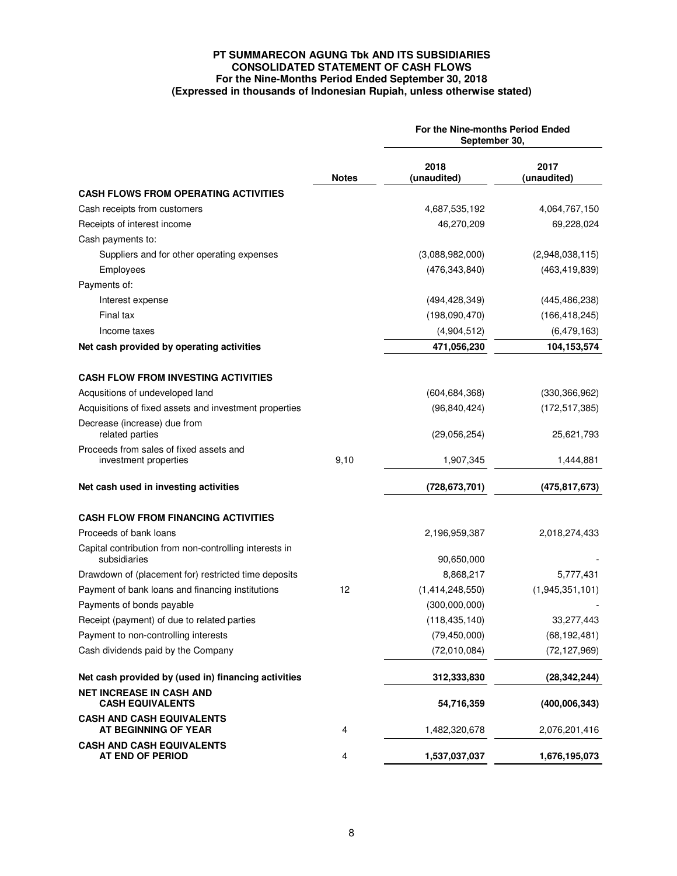# **PT SUMMARECON AGUNG Tbk AND ITS SUBSIDIARIES CONSOLIDATED STATEMENT OF CASH FLOWS For the Nine-Months Period Ended September 30, 2018 (Expressed in thousands of Indonesian Rupiah, unless otherwise stated)**

|                                                                        |              | For the Nine-months Period Ended<br>September 30. |                     |  |  |
|------------------------------------------------------------------------|--------------|---------------------------------------------------|---------------------|--|--|
|                                                                        | <b>Notes</b> | 2018<br>(unaudited)                               | 2017<br>(unaudited) |  |  |
| <b>CASH FLOWS FROM OPERATING ACTIVITIES</b>                            |              |                                                   |                     |  |  |
| Cash receipts from customers                                           |              | 4,687,535,192                                     | 4,064,767,150       |  |  |
| Receipts of interest income                                            |              | 46,270,209                                        | 69,228,024          |  |  |
| Cash payments to:                                                      |              |                                                   |                     |  |  |
| Suppliers and for other operating expenses                             |              | (3,088,982,000)                                   | (2,948,038,115)     |  |  |
| Employees                                                              |              | (476, 343, 840)                                   | (463, 419, 839)     |  |  |
| Payments of:                                                           |              |                                                   |                     |  |  |
| Interest expense                                                       |              | (494, 428, 349)                                   | (445, 486, 238)     |  |  |
| Final tax                                                              |              | (198,090,470)                                     | (166, 418, 245)     |  |  |
| Income taxes                                                           |              | (4,904,512)                                       | (6,479,163)         |  |  |
| Net cash provided by operating activities                              |              | 471,056,230                                       | 104,153,574         |  |  |
| <b>CASH FLOW FROM INVESTING ACTIVITIES</b>                             |              |                                                   |                     |  |  |
| Acqusitions of undeveloped land                                        |              | (604, 684, 368)                                   | (330, 366, 962)     |  |  |
| Acquisitions of fixed assets and investment properties                 |              | (96, 840, 424)                                    | (172, 517, 385)     |  |  |
| Decrease (increase) due from                                           |              |                                                   |                     |  |  |
| related parties                                                        |              | (29,056,254)                                      | 25,621,793          |  |  |
| Proceeds from sales of fixed assets and<br>investment properties       | 9,10         | 1,907,345                                         | 1,444,881           |  |  |
| Net cash used in investing activities                                  |              | (728, 673, 701)                                   | (475,817,673)       |  |  |
| <b>CASH FLOW FROM FINANCING ACTIVITIES</b>                             |              |                                                   |                     |  |  |
| Proceeds of bank loans                                                 |              | 2,196,959,387                                     | 2,018,274,433       |  |  |
| Capital contribution from non-controlling interests in<br>subsidiaries |              | 90,650,000                                        |                     |  |  |
| Drawdown of (placement for) restricted time deposits                   |              | 8,868,217                                         | 5,777,431           |  |  |
| Payment of bank loans and financing institutions                       | 12           | (1,414,248,550)                                   | (1,945,351,101)     |  |  |
| Payments of bonds payable                                              |              | (300,000,000)                                     |                     |  |  |
| Receipt (payment) of due to related parties                            |              | (118, 435, 140)                                   | 33,277,443          |  |  |
| Payment to non-controlling interests                                   |              | (79, 450, 000)                                    | (68, 192, 481)      |  |  |
| Cash dividends paid by the Company                                     |              | (72,010,084)                                      | (72, 127, 969)      |  |  |
|                                                                        |              |                                                   |                     |  |  |
| Net cash provided by (used in) financing activities                    |              | 312,333,830                                       | (28, 342, 244)      |  |  |
| <b>NET INCREASE IN CASH AND</b><br><b>CASH EQUIVALENTS</b>             |              | 54,716,359                                        | (400,006,343)       |  |  |
| <b>CASH AND CASH EQUIVALENTS</b><br>AT BEGINNING OF YEAR               | 4            | 1,482,320,678                                     | 2,076,201,416       |  |  |
| <b>CASH AND CASH EQUIVALENTS</b><br>AT END OF PERIOD                   | 4            | 1,537,037,037                                     | 1,676,195,073       |  |  |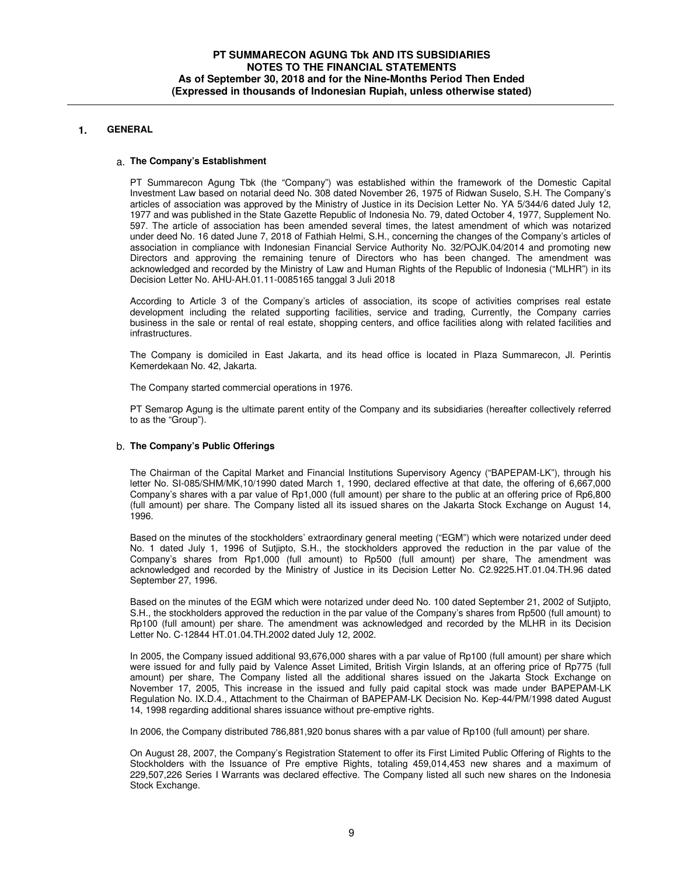# **1. GENERAL**

#### a. **The Company's Establishment**

PT Summarecon Agung Tbk (the "Company") was established within the framework of the Domestic Capital Investment Law based on notarial deed No. 308 dated November 26, 1975 of Ridwan Suselo, S.H. The Company's articles of association was approved by the Ministry of Justice in its Decision Letter No. YA 5/344/6 dated July 12, 1977 and was published in the State Gazette Republic of Indonesia No. 79, dated October 4, 1977, Supplement No. 597. The article of association has been amended several times, the latest amendment of which was notarized under deed No. 16 dated June 7, 2018 of Fathiah Helmi, S.H., concerning the changes of the Company's articles of association in compliance with Indonesian Financial Service Authority No. 32/POJK.04/2014 and promoting new Directors and approving the remaining tenure of Directors who has been changed. The amendment was acknowledged and recorded by the Ministry of Law and Human Rights of the Republic of Indonesia ("MLHR") in its Decision Letter No. AHU-AH.01.11-0085165 tanggal 3 Juli 2018

According to Article 3 of the Company's articles of association, its scope of activities comprises real estate development including the related supporting facilities, service and trading, Currently, the Company carries business in the sale or rental of real estate, shopping centers, and office facilities along with related facilities and infrastructures.

The Company is domiciled in East Jakarta, and its head office is located in Plaza Summarecon, Jl. Perintis Kemerdekaan No. 42, Jakarta.

The Company started commercial operations in 1976.

PT Semarop Agung is the ultimate parent entity of the Company and its subsidiaries (hereafter collectively referred to as the "Group").

#### b. **The Company's Public Offerings**

The Chairman of the Capital Market and Financial Institutions Supervisory Agency ("BAPEPAM-LK"), through his letter No. SI-085/SHM/MK,10/1990 dated March 1, 1990, declared effective at that date, the offering of 6,667,000 Company's shares with a par value of Rp1,000 (full amount) per share to the public at an offering price of Rp6,800 (full amount) per share. The Company listed all its issued shares on the Jakarta Stock Exchange on August 14, 1996.

Based on the minutes of the stockholders' extraordinary general meeting ("EGM") which were notarized under deed No. 1 dated July 1, 1996 of Sutjipto, S.H., the stockholders approved the reduction in the par value of the Company's shares from Rp1,000 (full amount) to Rp500 (full amount) per share, The amendment was acknowledged and recorded by the Ministry of Justice in its Decision Letter No. C2.9225.HT.01.04.TH.96 dated September 27, 1996.

Based on the minutes of the EGM which were notarized under deed No. 100 dated September 21, 2002 of Sutjipto, S.H., the stockholders approved the reduction in the par value of the Company's shares from Rp500 (full amount) to Rp100 (full amount) per share. The amendment was acknowledged and recorded by the MLHR in its Decision Letter No. C-12844 HT.01.04.TH.2002 dated July 12, 2002.

In 2005, the Company issued additional 93,676,000 shares with a par value of Rp100 (full amount) per share which were issued for and fully paid by Valence Asset Limited, British Virgin Islands, at an offering price of Rp775 (full amount) per share, The Company listed all the additional shares issued on the Jakarta Stock Exchange on November 17, 2005, This increase in the issued and fully paid capital stock was made under BAPEPAM-LK Regulation No. IX.D.4., Attachment to the Chairman of BAPEPAM-LK Decision No. Kep-44/PM/1998 dated August 14, 1998 regarding additional shares issuance without pre-emptive rights.

In 2006, the Company distributed 786,881,920 bonus shares with a par value of Rp100 (full amount) per share.

On August 28, 2007, the Company's Registration Statement to offer its First Limited Public Offering of Rights to the Stockholders with the Issuance of Pre emptive Rights, totaling 459,014,453 new shares and a maximum of 229,507,226 Series I Warrants was declared effective. The Company listed all such new shares on the Indonesia Stock Exchange.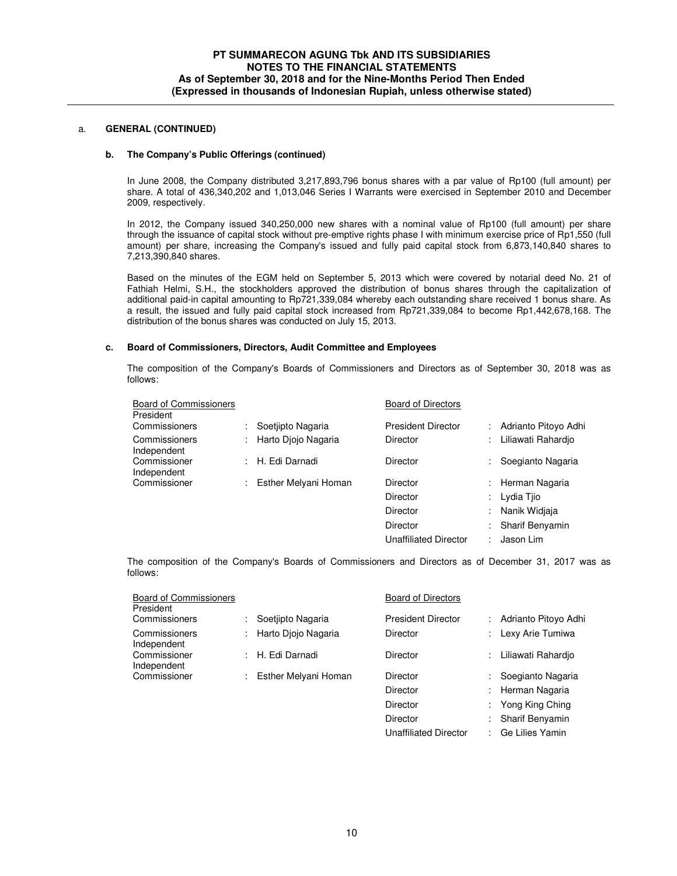#### **b. The Company's Public Offerings (continued)**

In June 2008, the Company distributed 3,217,893,796 bonus shares with a par value of Rp100 (full amount) per share. A total of 436,340,202 and 1,013,046 Series I Warrants were exercised in September 2010 and December 2009, respectively.

In 2012, the Company issued 340,250,000 new shares with a nominal value of Rp100 (full amount) per share through the issuance of capital stock without pre-emptive rights phase I with minimum exercise price of Rp1,550 (full amount) per share, increasing the Company's issued and fully paid capital stock from 6,873,140,840 shares to 7,213,390,840 shares.

Based on the minutes of the EGM held on September 5, 2013 which were covered by notarial deed No. 21 of Fathiah Helmi, S.H., the stockholders approved the distribution of bonus shares through the capitalization of additional paid-in capital amounting to Rp721,339,084 whereby each outstanding share received 1 bonus share. As a result, the issued and fully paid capital stock increased from Rp721,339,084 to become Rp1,442,678,168. The distribution of the bonus shares was conducted on July 15, 2013.

#### **c. Board of Commissioners, Directors, Audit Committee and Employees**

The composition of the Company's Boards of Commissioners and Directors as of September 30, 2018 was as follows:

| <b>Board of Commissioners</b><br>President |    |                      | <b>Board of Directors</b>    |   |                      |
|--------------------------------------------|----|----------------------|------------------------------|---|----------------------|
| Commissioners                              |    | Soetjipto Nagaria    | <b>President Director</b>    |   | Adrianto Pitovo Adhi |
| Commissioners<br>Independent               |    | Harto Diojo Nagaria  | <b>Director</b>              | ÷ | Liliawati Rahardio   |
| Commissioner<br>Independent                | ÷. | H. Edi Darnadi       | Director                     | ÷ | Soegianto Nagaria    |
| Commissioner                               |    | Esther Melyani Homan | Director                     | ÷ | Herman Nagaria       |
|                                            |    |                      | Director                     | ÷ | Lydia Tiio           |
|                                            |    |                      | Director                     | ÷ | Nanik Widiaja        |
|                                            |    |                      | Director                     | ٠ | Sharif Benyamin      |
|                                            |    |                      | <b>Unaffiliated Director</b> |   | Jason Lim            |

The composition of the Company's Boards of Commissioners and Directors as of December 31, 2017 was as follows:

| <b>Board of Commissioners</b><br>President |                      | <b>Board of Directors</b> |                        |
|--------------------------------------------|----------------------|---------------------------|------------------------|
| Commissioners                              | Soetiipto Nagaria    | <b>President Director</b> | Adrianto Pitovo Adhi   |
| Commissioners<br>Independent               | Harto Diojo Nagaria  | Director                  | Lexy Arie Tumiwa       |
| Commissioner<br>Independent                | H. Edi Darnadi       | Director                  | Liliawati Rahardio     |
| Commissioner                               | Esther Melyani Homan | Director                  | Soegianto Nagaria      |
|                                            |                      | Director                  | Herman Nagaria         |
|                                            |                      | Director                  | Yong King Ching        |
|                                            |                      | Director                  | <b>Sharif Benvamin</b> |

Unaffiliated Director : Ge Lilies Yamin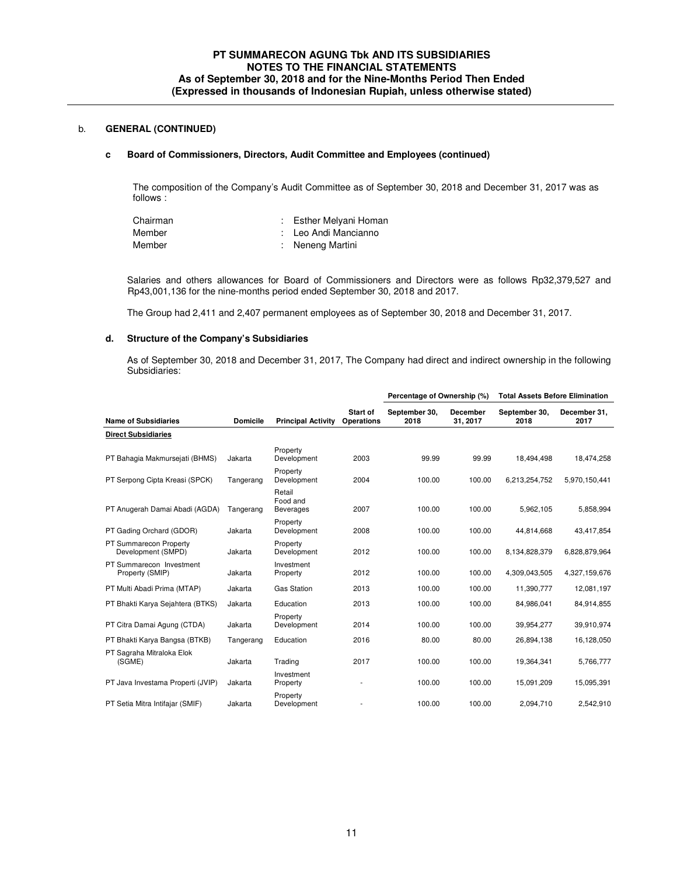#### **c Board of Commissioners, Directors, Audit Committee and Employees (continued)**

The composition of the Company's Audit Committee as of September 30, 2018 and December 31, 2017 was as follows :

| Chairman | : Esther Melyani Homan |
|----------|------------------------|
| Member   | : Leo Andi Mancianno   |
| Member   | : Neneng Martini       |

Salaries and others allowances for Board of Commissioners and Directors were as follows Rp32,379,527 and Rp43,001,136 for the nine-months period ended September 30, 2018 and 2017.

The Group had 2,411 and 2,407 permanent employees as of September 30, 2018 and December 31, 2017.

### **d. Structure of the Company's Subsidiaries**

As of September 30, 2018 and December 31, 2017, The Company had direct and indirect ownership in the following Subsidiaries:

|                                              |                 |                                        |                        | Percentage of Ownership (%) |                             | <b>Total Assets Before Elimination</b> |                      |
|----------------------------------------------|-----------------|----------------------------------------|------------------------|-----------------------------|-----------------------------|----------------------------------------|----------------------|
| <b>Name of Subsidiaries</b>                  | <b>Domicile</b> | <b>Principal Activity</b>              | Start of<br>Operations | September 30,<br>2018       | <b>December</b><br>31, 2017 | September 30,<br>2018                  | December 31.<br>2017 |
| <b>Direct Subsidiaries</b>                   |                 |                                        |                        |                             |                             |                                        |                      |
| PT Bahagia Makmursejati (BHMS)               | Jakarta         | Property<br>Development                | 2003                   | 99.99                       | 99.99                       | 18.494.498                             | 18,474,258           |
| PT Serpong Cipta Kreasi (SPCK)               | Tangerang       | Property<br>Development                | 2004                   | 100.00                      | 100.00                      | 6,213,254,752                          | 5,970,150,441        |
| PT Anugerah Damai Abadi (AGDA)               | Tangerang       | Retail<br>Food and<br><b>Beverages</b> | 2007                   | 100.00                      | 100.00                      | 5,962,105                              | 5,858,994            |
| PT Gading Orchard (GDOR)                     | Jakarta         | Property<br>Development                | 2008                   | 100.00                      | 100.00                      | 44.814.668                             | 43.417.854           |
| PT Summarecon Property<br>Development (SMPD) | Jakarta         | Property<br>Development                | 2012                   | 100.00                      | 100.00                      | 8,134,828,379                          | 6,828,879,964        |
| PT Summarecon Investment<br>Property (SMIP)  | Jakarta         | Investment<br>Property                 | 2012                   | 100.00                      | 100.00                      | 4,309,043,505                          | 4,327,159,676        |
| PT Multi Abadi Prima (MTAP)                  | Jakarta         | <b>Gas Station</b>                     | 2013                   | 100.00                      | 100.00                      | 11,390,777                             | 12,081,197           |
| PT Bhakti Karya Sejahtera (BTKS)             | Jakarta         | Education                              | 2013                   | 100.00                      | 100.00                      | 84,986,041                             | 84,914,855           |
| PT Citra Damai Agung (CTDA)                  | Jakarta         | Property<br>Development                | 2014                   | 100.00                      | 100.00                      | 39,954,277                             | 39,910,974           |
| PT Bhakti Karya Bangsa (BTKB)                | Tangerang       | Education                              | 2016                   | 80.00                       | 80.00                       | 26,894,138                             | 16,128,050           |
| PT Sagraha Mitraloka Elok<br>(SGME)          | Jakarta         | Trading                                | 2017                   | 100.00                      | 100.00                      | 19,364,341                             | 5,766,777            |
| PT Java Investama Properti (JVIP)            | Jakarta         | Investment<br>Property                 |                        | 100.00                      | 100.00                      | 15,091,209                             | 15,095,391           |
| PT Setia Mitra Intifajar (SMIF)              | Jakarta         | Property<br>Development                |                        | 100.00                      | 100.00                      | 2,094,710                              | 2,542,910            |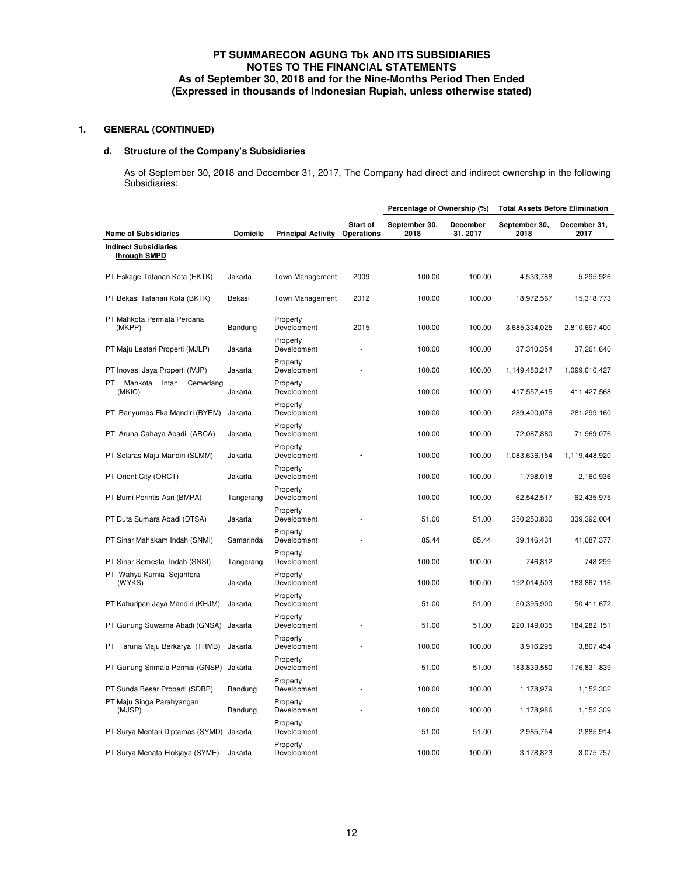# **d. Structure of the Company's Subsidiaries**

As of September 30, 2018 and December 31, 2017, The Company had direct and indirect ownership in the following Subsidiaries:

|                                                |                 |                           |                        | Percentage of Ownership (%) |                      | <b>Total Assets Before Elimination</b> |                      |
|------------------------------------------------|-----------------|---------------------------|------------------------|-----------------------------|----------------------|----------------------------------------|----------------------|
| <b>Name of Subsidiaries</b>                    | <b>Domicile</b> | <b>Principal Activity</b> | Start of<br>Operations | September 30,<br>2018       | December<br>31, 2017 | September 30,<br>2018                  | December 31,<br>2017 |
| <b>Indirect Subsidiaries</b><br>through SMPD   |                 |                           |                        |                             |                      |                                        |                      |
| PT Eskage Tatanan Kota (EKTK)                  | Jakarta         | <b>Town Management</b>    | 2009                   | 100.00                      | 100.00               | 4,533,788                              | 5,295,926            |
| PT Bekasi Tatanan Kota (BKTK)                  | Bekasi          | <b>Town Management</b>    | 2012                   | 100.00                      | 100.00               | 18,972,567                             | 15,318,773           |
| PT Mahkota Permata Perdana<br>(MKPP)           | Bandung         | Property<br>Development   | 2015                   | 100.00                      | 100.00               | 3,685,334,025                          | 2,810,697,400        |
| PT Maju Lestari Properti (MJLP)                | Jakarta         | Property<br>Development   |                        | 100.00                      | 100.00               | 37,310,354                             | 37,261,640           |
| PT Inovasi Jaya Properti (IVJP)                | Jakarta         | Property<br>Development   |                        | 100.00                      | 100.00               | 1,149,480,247                          | 1,099,010,427        |
| PT.<br>Mahkota<br>Intan<br>Cemerlang<br>(MKIC) | Jakarta         | Property<br>Development   |                        | 100.00                      | 100.00               | 417,557,415                            | 411,427,568          |
| PT Banyumas Eka Mandiri (BYEM)                 | Jakarta         | Property<br>Development   |                        | 100.00                      | 100.00               | 289,400,076                            | 281,299,160          |
| PT Aruna Cahaya Abadi (ARCA)                   | Jakarta         | Property<br>Development   |                        | 100.00                      | 100.00               | 72,087,880                             | 71,969,076           |
| PT Selaras Maju Mandiri (SLMM)                 | Jakarta         | Property<br>Development   |                        | 100.00                      | 100.00               | 1,083,636,154                          | 1,119,448,920        |
| PT Orient City (ORCT)                          | Jakarta         | Property<br>Development   |                        | 100.00                      | 100.00               | 1,798,018                              | 2,160,936            |
| PT Bumi Perintis Asri (BMPA)                   | Tangerang       | Property<br>Development   |                        | 100.00                      | 100.00               | 62,542,517                             | 62,435,975           |
| PT Duta Sumara Abadi (DTSA)                    | Jakarta         | Property<br>Development   |                        | 51.00                       | 51.00                | 350,250,830                            | 339,392,004          |
| PT Sinar Mahakam Indah (SNMI)                  | Samarinda       | Property<br>Development   |                        | 85.44                       | 85.44                | 39,146,431                             | 41,087,377           |
| PT Sinar Semesta Indah (SNSI)                  | Tangerang       | Property<br>Development   |                        | 100.00                      | 100.00               | 746,812                                | 748,299              |
| PT Wahyu Kurnia Sejahtera<br>(WYKS)            | Jakarta         | Property<br>Development   |                        | 100.00                      | 100.00               | 192,014,503                            | 183,867,116          |
| PT Kahuripan Jaya Mandiri (KHJM)               | Jakarta         | Property<br>Development   |                        | 51.00                       | 51.00                | 50,395,900                             | 50,411,672           |
| PT Gunung Suwarna Abadi (GNSA)                 | Jakarta         | Property<br>Development   |                        | 51.00                       | 51.00                | 220,149,035                            | 184,282,151          |
| PT Taruna Maju Berkarya (TRMB)                 | Jakarta         | Property<br>Development   |                        | 100.00                      | 100.00               | 3,916,295                              | 3,807,454            |
| PT Gunung Srimala Permai (GNSP)                | Jakarta         | Property<br>Development   |                        | 51.00                       | 51.00                | 183,839,580                            | 176,831,839          |
| PT Sunda Besar Properti (SDBP)                 | Bandung         | Property<br>Development   |                        | 100.00                      | 100.00               | 1,178,979                              | 1,152,302            |
| PT Maju Singa Parahyangan<br>(MJSP)            | Bandung         | Property<br>Development   |                        | 100.00                      | 100.00               | 1,178,986                              | 1,152,309            |
| PT Surya Mentari Diptamas (SYMD) Jakarta       |                 | Property<br>Development   |                        | 51.00                       | 51.00                | 2,985,754                              | 2,885,914            |
| PT Surya Menata Elokjaya (SYME)                | Jakarta         | Property<br>Development   |                        | 100.00                      | 100.00               | 3,178,823                              | 3,075,757            |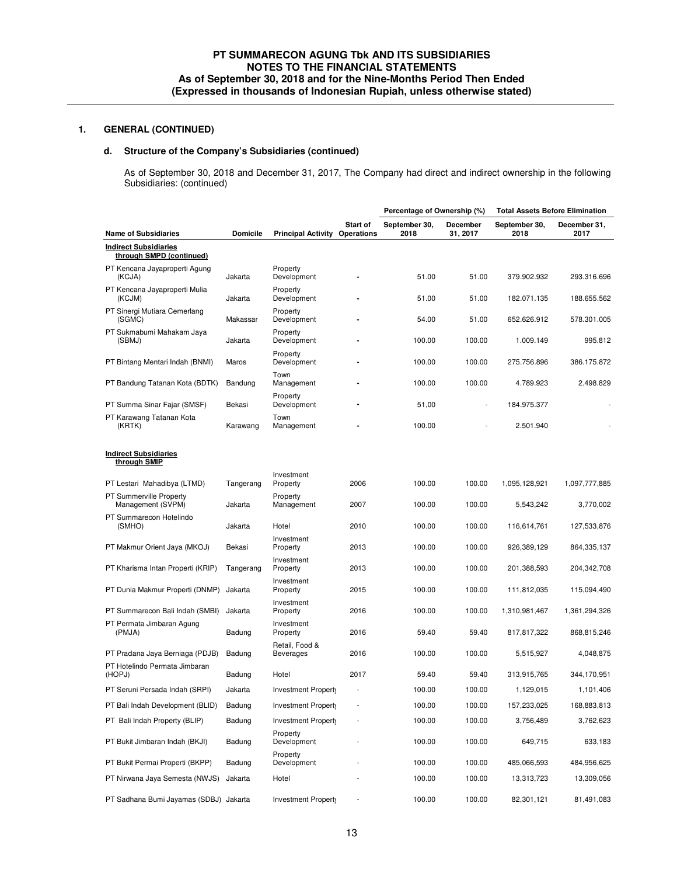# **d. Structure of the Company's Subsidiaries (continued)**

As of September 30, 2018 and December 31, 2017, The Company had direct and indirect ownership in the following Subsidiaries: (continued)

|                                                          |                 |                                    |                        | Percentage of Ownership (%) |                      | <b>Total Assets Before Elimination</b> |                      |
|----------------------------------------------------------|-----------------|------------------------------------|------------------------|-----------------------------|----------------------|----------------------------------------|----------------------|
| <b>Name of Subsidiaries</b>                              | <b>Domicile</b> | <b>Principal Activity</b>          | Start of<br>Operations | September 30,<br>2018       | December<br>31, 2017 | September 30,<br>2018                  | December 31,<br>2017 |
| <b>Indirect Subsidiaries</b><br>through SMPD (continued) |                 |                                    |                        |                             |                      |                                        |                      |
| PT Kencana Jayaproperti Agung<br>(KCJA)                  | Jakarta         | Property<br>Development            |                        | 51.00                       | 51.00                | 379.902.932                            | 293.316.696          |
| PT Kencana Jayaproperti Mulia<br>(KCJM)                  | Jakarta         | Property<br>Development            |                        | 51.00                       | 51.00                | 182.071.135                            | 188.655.562          |
| PT Sinergi Mutiara Cemerlang<br>(SGMC)                   | Makassar        | Property<br>Development            |                        | 54.00                       | 51.00                | 652.626.912                            | 578.301.005          |
| PT Sukmabumi Mahakam Jaya<br>(SBMJ)                      | Jakarta         | Property<br>Development            |                        | 100.00                      | 100.00               | 1.009.149                              | 995.812              |
| PT Bintang Mentari Indah (BNMI)                          | Maros           | Property<br>Development            |                        | 100.00                      | 100.00               | 275.756.896                            | 386.175.872          |
| PT Bandung Tatanan Kota (BDTK)                           | Bandung         | Town<br>Management                 |                        | 100.00                      | 100.00               | 4.789.923                              | 2.498.829            |
| PT Summa Sinar Fajar (SMSF)                              | Bekasi          | Property<br>Development            |                        | 51,00                       | ٠                    | 184.975.377                            |                      |
| PT Karawang Tatanan Kota<br>(KRTK)                       | Karawang        | Town<br>Management                 |                        | 100.00                      |                      | 2.501.940                              |                      |
| <b>Indirect Subsidiaries</b><br>through SMIP             |                 |                                    |                        |                             |                      |                                        |                      |
| PT Lestari Mahadibya (LTMD)                              | Tangerang       | Investment<br>Property             | 2006                   | 100.00                      | 100.00               | 1,095,128,921                          | 1,097,777,885        |
| PT Summerville Property<br>Management (SVPM)             | Jakarta         | Property<br>Management             | 2007                   | 100.00                      | 100.00               | 5,543,242                              | 3,770,002            |
| PT Summarecon Hotelindo<br>(SMHO)                        | Jakarta         | Hotel                              | 2010                   | 100.00                      | 100.00               | 116,614,761                            | 127,533,876          |
| PT Makmur Orient Jaya (MKOJ)                             | Bekasi          | Investment<br>Property             | 2013                   | 100.00                      | 100.00               | 926,389,129                            | 864,335,137          |
| PT Kharisma Intan Properti (KRIP)                        | Tangerang       | Investment<br>Property             | 2013                   | 100.00                      | 100.00               | 201,388,593                            | 204,342,708          |
| PT Dunia Makmur Properti (DNMP)                          | Jakarta         | Investment<br>Property             | 2015                   | 100.00                      | 100.00               | 111,812,035                            | 115,094,490          |
| PT Summarecon Bali Indah (SMBI)                          | Jakarta         | Investment<br>Property             | 2016                   | 100.00                      | 100.00               | 1,310,981,467                          | 1,361,294,326        |
| PT Permata Jimbaran Agung<br>(PMJA)                      | Badung          | Investment<br>Property             | 2016                   | 59.40                       | 59.40                | 817,817,322                            | 868,815,246          |
| PT Pradana Jaya Berniaga (PDJB)                          | Badung          | Retail, Food &<br><b>Beverages</b> | 2016                   | 100.00                      | 100.00               | 5,515,927                              | 4,048,875            |
| PT Hotelindo Permata Jimbaran<br>(HOPJ)                  | Badung          | Hotel                              | 2017                   | 59.40                       | 59.40                | 313,915,765                            | 344,170,951          |
| PT Seruni Persada Indah (SRPI)                           | Jakarta         | Investment Property                |                        | 100.00                      | 100.00               | 1,129,015                              | 1,101,406            |
| PT Bali Indah Development (BLID)                         | Badung          | Investment Property                |                        | 100.00                      | 100.00               | 157,233,025                            | 168,883,813          |
| PT Bali Indah Property (BLIP)                            | Badung          | Investment Property                |                        | 100.00                      | 100.00               | 3,756,489                              | 3,762,623            |
| PT Bukit Jimbaran Indah (BKJI)                           | Badung          | Property<br>Development            |                        | 100.00                      | 100.00               | 649,715                                | 633,183              |
| PT Bukit Permai Properti (BKPP)                          |                 | Property                           |                        |                             |                      |                                        |                      |
|                                                          | Badung          | Development                        |                        | 100.00                      | 100.00               | 485,066,593                            | 484,956,625          |
| PT Nirwana Jaya Semesta (NWJS)                           | Jakarta         | Hotel                              |                        | 100.00                      | 100.00               | 13,313,723                             | 13,309,056           |
| PT Sadhana Bumi Jayamas (SDBJ) Jakarta                   |                 | Investment Property                |                        | 100.00                      | 100.00               | 82,301,121                             | 81,491,083           |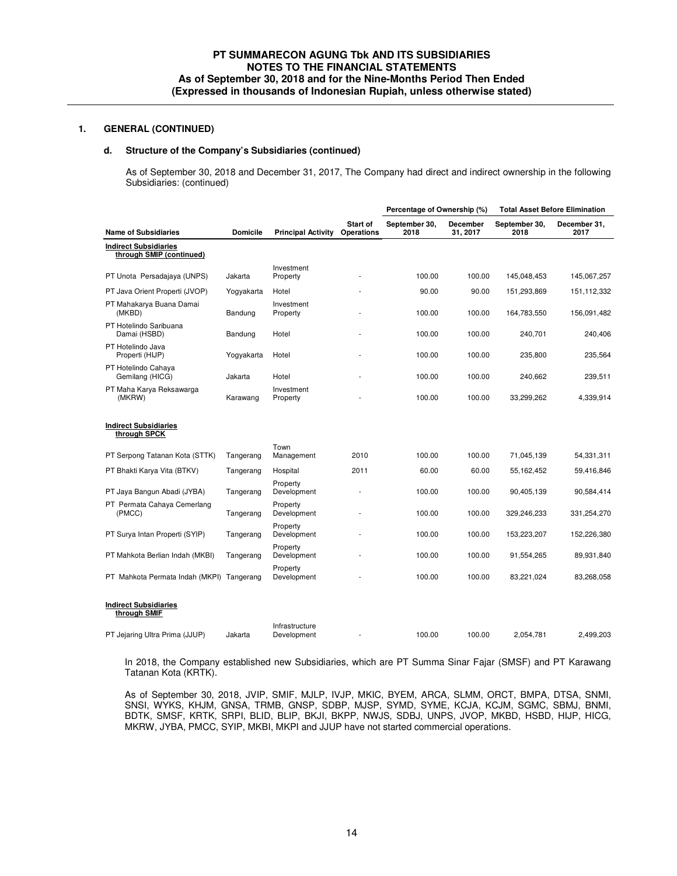#### **d. Structure of the Company's Subsidiaries (continued)**

As of September 30, 2018 and December 31, 2017, The Company had direct and indirect ownership in the following Subsidiaries: (continued)

|                                                          |                 |                               |                               | Percentage of Ownership (%) |                             | <b>Total Asset Before Elimination</b> |                      |
|----------------------------------------------------------|-----------------|-------------------------------|-------------------------------|-----------------------------|-----------------------------|---------------------------------------|----------------------|
| <b>Name of Subsidiaries</b>                              | <b>Domicile</b> | <b>Principal Activity</b>     | Start of<br><b>Operations</b> | September 30,<br>2018       | <b>December</b><br>31, 2017 | September 30,<br>2018                 | December 31.<br>2017 |
| <b>Indirect Subsidiaries</b><br>through SMIP (continued) |                 |                               |                               |                             |                             |                                       |                      |
| PT Unota Persadajaya (UNPS)                              | Jakarta         | Investment<br>Property        |                               | 100.00                      | 100.00                      | 145,048,453                           | 145,067,257          |
| PT Java Orient Properti (JVOP)                           | Yogyakarta      | Hotel                         |                               | 90.00                       | 90.00                       | 151,293,869                           | 151,112,332          |
| PT Mahakarya Buana Damai<br>(MKBD)                       | Bandung         | Investment<br>Property        |                               | 100.00                      | 100.00                      | 164,783,550                           | 156,091,482          |
| PT Hotelindo Saribuana<br>Damai (HSBD)                   | Bandung         | Hotel                         |                               | 100.00                      | 100.00                      | 240,701                               | 240,406              |
| PT Hotelindo Java<br>Properti (HIJP)                     | Yogyakarta      | Hotel                         |                               | 100.00                      | 100.00                      | 235,800                               | 235,564              |
| PT Hotelindo Cahaya<br>Gemilang (HICG)                   | Jakarta         | Hotel                         |                               | 100.00                      | 100.00                      | 240,662                               | 239,511              |
| PT Maha Karya Reksawarga<br>(MKRW)                       | Karawang        | Investment<br>Property        |                               | 100.00                      | 100.00                      | 33,299,262                            | 4,339,914            |
| <b>Indirect Subsidiaries</b><br>through SPCK             |                 |                               |                               |                             |                             |                                       |                      |
| PT Serpong Tatanan Kota (STTK)                           | Tangerang       | Town<br>Management            | 2010                          | 100.00                      | 100.00                      | 71,045,139                            | 54,331,311           |
| PT Bhakti Karya Vita (BTKV)                              | Tangerang       | Hospital                      | 2011                          | 60.00                       | 60.00                       | 55,162,452                            | 59,416,846           |
| PT Jaya Bangun Abadi (JYBA)                              | Tangerang       | Property<br>Development       |                               | 100.00                      | 100.00                      | 90,405,139                            | 90,584,414           |
| PT Permata Cahaya Cemerlang<br>(PMCC)                    | Tangerang       | Property<br>Development       |                               | 100.00                      | 100.00                      | 329,246,233                           | 331,254,270          |
| PT Surya Intan Properti (SYIP)                           | Tangerang       | Property<br>Development       |                               | 100.00                      | 100.00                      | 153,223,207                           | 152,226,380          |
| PT Mahkota Berlian Indah (MKBI)                          | Tangerang       | Property<br>Development       |                               | 100.00                      | 100.00                      | 91,554,265                            | 89,931,840           |
| PT Mahkota Permata Indah (MKPI) Tangerang                |                 | Property<br>Development       |                               | 100.00                      | 100.00                      | 83,221,024                            | 83,268,058           |
| <b>Indirect Subsidiaries</b><br>through SMIF             |                 |                               |                               |                             |                             |                                       |                      |
| PT Jejaring Ultra Prima (JJUP)                           | Jakarta         | Infrastructure<br>Development |                               | 100.00                      | 100.00                      | 2.054.781                             | 2.499.203            |

 In 2018, the Company established new Subsidiaries, which are PT Summa Sinar Fajar (SMSF) and PT Karawang Tatanan Kota (KRTK).

As of September 30, 2018, JVIP, SMIF, MJLP, IVJP, MKIC, BYEM, ARCA, SLMM, ORCT, BMPA, DTSA, SNMI, SNSI, WYKS, KHJM, GNSA, TRMB, GNSP, SDBP, MJSP, SYMD, SYME, KCJA, KCJM, SGMC, SBMJ, BNMI, BDTK, SMSF, KRTK, SRPI, BLID, BLIP, BKJI, BKPP, NWJS, SDBJ, UNPS, JVOP, MKBD, HSBD, HIJP, HICG, MKRW, JYBA, PMCC, SYIP, MKBI, MKPI and JJUP have not started commercial operations.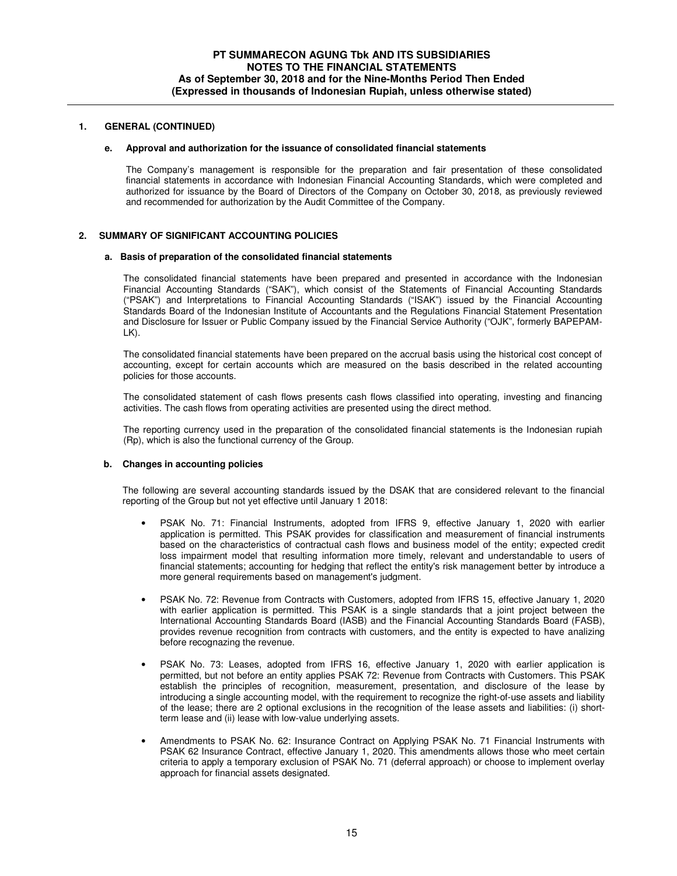#### **e. Approval and authorization for the issuance of consolidated financial statements**

The Company's management is responsible for the preparation and fair presentation of these consolidated financial statements in accordance with Indonesian Financial Accounting Standards, which were completed and authorized for issuance by the Board of Directors of the Company on October 30, 2018, as previously reviewed and recommended for authorization by the Audit Committee of the Company.

### **2. SUMMARY OF SIGNIFICANT ACCOUNTING POLICIES**

#### **a. Basis of preparation of the consolidated financial statements**

The consolidated financial statements have been prepared and presented in accordance with the Indonesian Financial Accounting Standards ("SAK"), which consist of the Statements of Financial Accounting Standards ("PSAK") and Interpretations to Financial Accounting Standards ("ISAK") issued by the Financial Accounting Standards Board of the Indonesian Institute of Accountants and the Regulations Financial Statement Presentation and Disclosure for Issuer or Public Company issued by the Financial Service Authority ("OJK", formerly BAPEPAM-LK).

The consolidated financial statements have been prepared on the accrual basis using the historical cost concept of accounting, except for certain accounts which are measured on the basis described in the related accounting policies for those accounts.

The consolidated statement of cash flows presents cash flows classified into operating, investing and financing activities. The cash flows from operating activities are presented using the direct method.

The reporting currency used in the preparation of the consolidated financial statements is the Indonesian rupiah (Rp), which is also the functional currency of the Group.

#### **b. Changes in accounting policies**

The following are several accounting standards issued by the DSAK that are considered relevant to the financial reporting of the Group but not yet effective until January 1 2018:

- PSAK No. 71: Financial Instruments, adopted from IFRS 9, effective January 1, 2020 with earlier application is permitted. This PSAK provides for classification and measurement of financial instruments based on the characteristics of contractual cash flows and business model of the entity; expected credit loss impairment model that resulting information more timely, relevant and understandable to users of financial statements; accounting for hedging that reflect the entity's risk management better by introduce a more general requirements based on management's judgment.
- PSAK No. 72: Revenue from Contracts with Customers, adopted from IFRS 15, effective January 1, 2020 with earlier application is permitted. This PSAK is a single standards that a joint project between the International Accounting Standards Board (IASB) and the Financial Accounting Standards Board (FASB), provides revenue recognition from contracts with customers, and the entity is expected to have analizing before recognazing the revenue.
- PSAK No. 73: Leases, adopted from IFRS 16, effective January 1, 2020 with earlier application is permitted, but not before an entity applies PSAK 72: Revenue from Contracts with Customers. This PSAK establish the principles of recognition, measurement, presentation, and disclosure of the lease by introducing a single accounting model, with the requirement to recognize the right-of-use assets and liability of the lease; there are 2 optional exclusions in the recognition of the lease assets and liabilities: (i) shortterm lease and (ii) lease with low-value underlying assets.
- Amendments to PSAK No. 62: Insurance Contract on Applying PSAK No. 71 Financial Instruments with PSAK 62 Insurance Contract, effective January 1, 2020. This amendments allows those who meet certain criteria to apply a temporary exclusion of PSAK No. 71 (deferral approach) or choose to implement overlay approach for financial assets designated.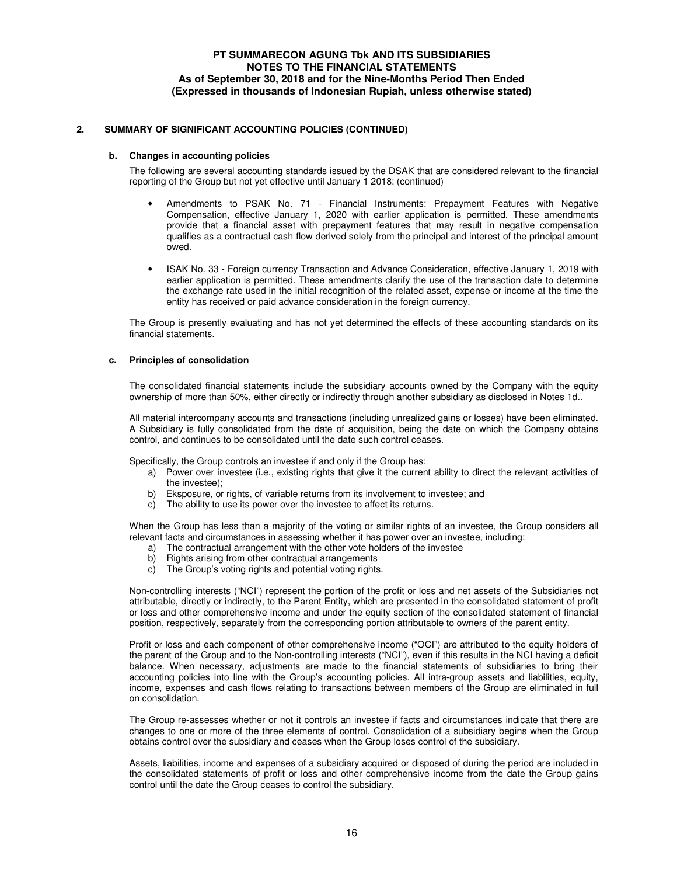#### **b. Changes in accounting policies**

The following are several accounting standards issued by the DSAK that are considered relevant to the financial reporting of the Group but not yet effective until January 1 2018: (continued)

- Amendments to PSAK No. 71 Financial Instruments: Prepayment Features with Negative Compensation, effective January 1, 2020 with earlier application is permitted. These amendments provide that a financial asset with prepayment features that may result in negative compensation qualifies as a contractual cash flow derived solely from the principal and interest of the principal amount owed.
- ISAK No. 33 Foreign currency Transaction and Advance Consideration, effective January 1, 2019 with earlier application is permitted. These amendments clarify the use of the transaction date to determine the exchange rate used in the initial recognition of the related asset, expense or income at the time the entity has received or paid advance consideration in the foreign currency.

The Group is presently evaluating and has not yet determined the effects of these accounting standards on its financial statements.

### **c. Principles of consolidation**

The consolidated financial statements include the subsidiary accounts owned by the Company with the equity ownership of more than 50%, either directly or indirectly through another subsidiary as disclosed in Notes 1d..

All material intercompany accounts and transactions (including unrealized gains or losses) have been eliminated. A Subsidiary is fully consolidated from the date of acquisition, being the date on which the Company obtains control, and continues to be consolidated until the date such control ceases.

Specifically, the Group controls an investee if and only if the Group has:

- a) Power over investee (i.e., existing rights that give it the current ability to direct the relevant activities of the investee);
- b) Eksposure, or rights, of variable returns from its involvement to investee; and
- c) The ability to use its power over the investee to affect its returns.

When the Group has less than a majority of the voting or similar rights of an investee, the Group considers all relevant facts and circumstances in assessing whether it has power over an investee, including:

- a) The contractual arrangement with the other vote holders of the investee
- b) Rights arising from other contractual arrangements
- c) The Group's voting rights and potential voting rights.

Non-controlling interests ("NCI") represent the portion of the profit or loss and net assets of the Subsidiaries not attributable, directly or indirectly, to the Parent Entity, which are presented in the consolidated statement of profit or loss and other comprehensive income and under the equity section of the consolidated statement of financial position, respectively, separately from the corresponding portion attributable to owners of the parent entity.

Profit or loss and each component of other comprehensive income ("OCI") are attributed to the equity holders of the parent of the Group and to the Non-controlling interests ("NCI"), even if this results in the NCI having a deficit balance. When necessary, adjustments are made to the financial statements of subsidiaries to bring their accounting policies into line with the Group's accounting policies. All intra-group assets and liabilities, equity, income, expenses and cash flows relating to transactions between members of the Group are eliminated in full on consolidation.

The Group re-assesses whether or not it controls an investee if facts and circumstances indicate that there are changes to one or more of the three elements of control. Consolidation of a subsidiary begins when the Group obtains control over the subsidiary and ceases when the Group loses control of the subsidiary.

Assets, liabilities, income and expenses of a subsidiary acquired or disposed of during the period are included in the consolidated statements of profit or loss and other comprehensive income from the date the Group gains control until the date the Group ceases to control the subsidiary.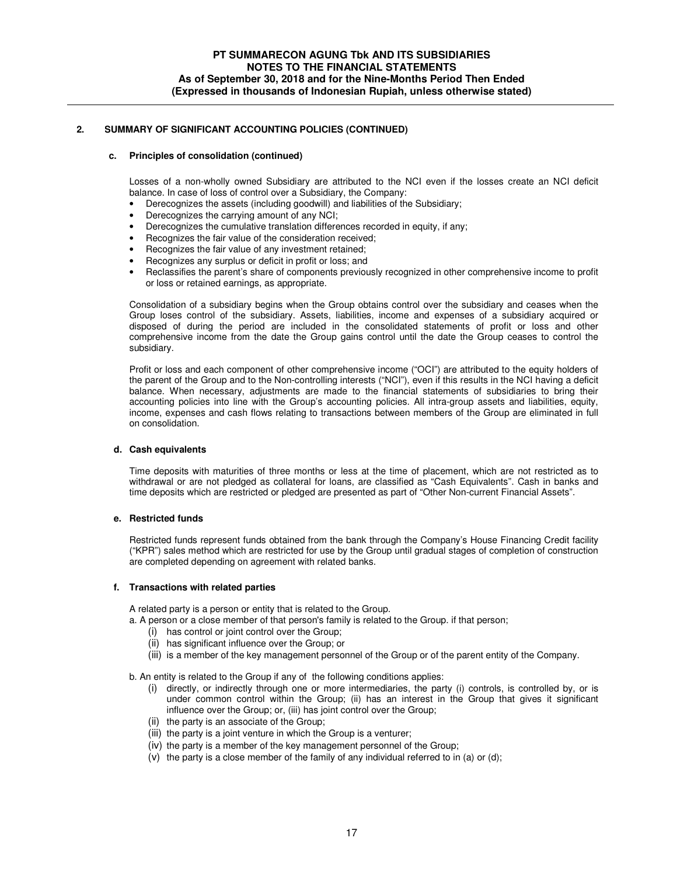### **c. Principles of consolidation (continued)**

Losses of a non-wholly owned Subsidiary are attributed to the NCI even if the losses create an NCI deficit balance. In case of loss of control over a Subsidiary, the Company:

- Derecognizes the assets (including goodwill) and liabilities of the Subsidiary;
- Derecognizes the carrying amount of any NCI;
- Derecognizes the cumulative translation differences recorded in equity, if any;
- Recognizes the fair value of the consideration received;
- Recognizes the fair value of any investment retained;
- Recognizes any surplus or deficit in profit or loss; and
- Reclassifies the parent's share of components previously recognized in other comprehensive income to profit or loss or retained earnings, as appropriate.

Consolidation of a subsidiary begins when the Group obtains control over the subsidiary and ceases when the Group loses control of the subsidiary. Assets, liabilities, income and expenses of a subsidiary acquired or disposed of during the period are included in the consolidated statements of profit or loss and other comprehensive income from the date the Group gains control until the date the Group ceases to control the subsidiary.

Profit or loss and each component of other comprehensive income ("OCI") are attributed to the equity holders of the parent of the Group and to the Non-controlling interests ("NCI"), even if this results in the NCI having a deficit balance. When necessary, adjustments are made to the financial statements of subsidiaries to bring their accounting policies into line with the Group's accounting policies. All intra-group assets and liabilities, equity, income, expenses and cash flows relating to transactions between members of the Group are eliminated in full on consolidation.

#### **d. Cash equivalents**

Time deposits with maturities of three months or less at the time of placement, which are not restricted as to withdrawal or are not pledged as collateral for loans, are classified as "Cash Equivalents". Cash in banks and time deposits which are restricted or pledged are presented as part of "Other Non-current Financial Assets".

# **e. Restricted funds**

Restricted funds represent funds obtained from the bank through the Company's House Financing Credit facility ("KPR") sales method which are restricted for use by the Group until gradual stages of completion of construction are completed depending on agreement with related banks.

#### **f. Transactions with related parties**

A related party is a person or entity that is related to the Group.

a. A person or a close member of that person's family is related to the Group. if that person;

- (i) has control or joint control over the Group;
- (ii) has significant influence over the Group; or
- (iii) is a member of the key management personnel of the Group or of the parent entity of the Company.

b. An entity is related to the Group if any of the following conditions applies:

- (i) directly, or indirectly through one or more intermediaries, the party (i) controls, is controlled by, or is under common control within the Group; (ii) has an interest in the Group that gives it significant influence over the Group; or, (iii) has joint control over the Group;
- (ii) the party is an associate of the Group;
- (iii) the party is a joint venture in which the Group is a venturer;
- (iv) the party is a member of the key management personnel of the Group;
- (v) the party is a close member of the family of any individual referred to in (a) or (d);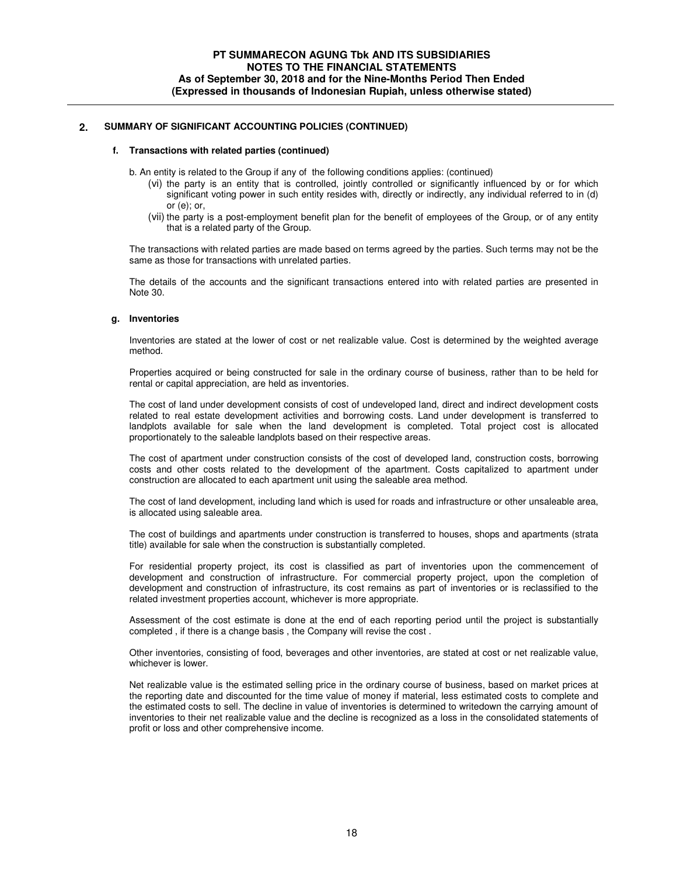#### **f. Transactions with related parties (continued)**

b. An entity is related to the Group if any of the following conditions applies: (continued)

- (vi) the party is an entity that is controlled, jointly controlled or significantly influenced by or for which significant voting power in such entity resides with, directly or indirectly, any individual referred to in (d) or (e); or,
- (vii) the party is a post-employment benefit plan for the benefit of employees of the Group, or of any entity that is a related party of the Group.

The transactions with related parties are made based on terms agreed by the parties. Such terms may not be the same as those for transactions with unrelated parties.

The details of the accounts and the significant transactions entered into with related parties are presented in Note 30.

#### **g. Inventories**

Inventories are stated at the lower of cost or net realizable value. Cost is determined by the weighted average method.

Properties acquired or being constructed for sale in the ordinary course of business, rather than to be held for rental or capital appreciation, are held as inventories.

The cost of land under development consists of cost of undeveloped land, direct and indirect development costs related to real estate development activities and borrowing costs. Land under development is transferred to landplots available for sale when the land development is completed. Total project cost is allocated proportionately to the saleable landplots based on their respective areas.

The cost of apartment under construction consists of the cost of developed land, construction costs, borrowing costs and other costs related to the development of the apartment. Costs capitalized to apartment under construction are allocated to each apartment unit using the saleable area method.

The cost of land development, including land which is used for roads and infrastructure or other unsaleable area, is allocated using saleable area.

The cost of buildings and apartments under construction is transferred to houses, shops and apartments (strata title) available for sale when the construction is substantially completed.

For residential property project, its cost is classified as part of inventories upon the commencement of development and construction of infrastructure. For commercial property project, upon the completion of development and construction of infrastructure, its cost remains as part of inventories or is reclassified to the related investment properties account, whichever is more appropriate.

Assessment of the cost estimate is done at the end of each reporting period until the project is substantially completed , if there is a change basis , the Company will revise the cost .

Other inventories, consisting of food, beverages and other inventories, are stated at cost or net realizable value, whichever is lower.

Net realizable value is the estimated selling price in the ordinary course of business, based on market prices at the reporting date and discounted for the time value of money if material, less estimated costs to complete and the estimated costs to sell. The decline in value of inventories is determined to writedown the carrying amount of inventories to their net realizable value and the decline is recognized as a loss in the consolidated statements of profit or loss and other comprehensive income.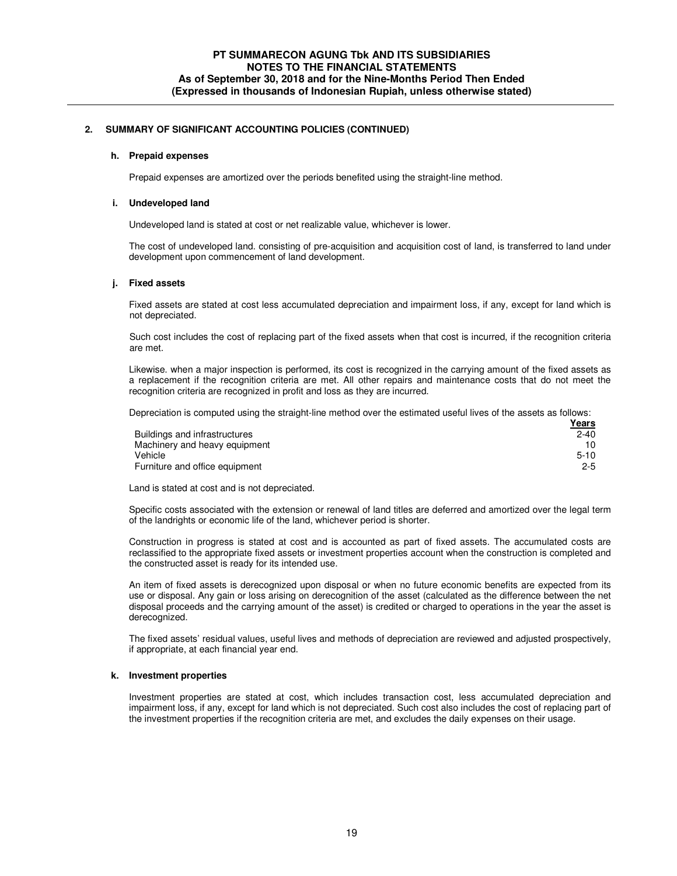#### **h. Prepaid expenses**

Prepaid expenses are amortized over the periods benefited using the straight-line method.

#### **i. Undeveloped land**

Undeveloped land is stated at cost or net realizable value, whichever is lower.

The cost of undeveloped land. consisting of pre-acquisition and acquisition cost of land, is transferred to land under development upon commencement of land development.

#### **j. Fixed assets**

Fixed assets are stated at cost less accumulated depreciation and impairment loss, if any, except for land which is not depreciated.

 Such cost includes the cost of replacing part of the fixed assets when that cost is incurred, if the recognition criteria are met.

Likewise. when a major inspection is performed, its cost is recognized in the carrying amount of the fixed assets as a replacement if the recognition criteria are met. All other repairs and maintenance costs that do not meet the recognition criteria are recognized in profit and loss as they are incurred.

Depreciation is computed using the straight-line method over the estimated useful lives of the assets as follows:

|                                | <u>Years</u> |
|--------------------------------|--------------|
| Buildings and infrastructures  | $2 - 40$     |
| Machinery and heavy equipment  | 10.          |
| Vehicle                        | $5-10$       |
| Furniture and office equipment | $2 - 5$      |

Land is stated at cost and is not depreciated.

Specific costs associated with the extension or renewal of land titles are deferred and amortized over the legal term of the landrights or economic life of the land, whichever period is shorter.

Construction in progress is stated at cost and is accounted as part of fixed assets. The accumulated costs are reclassified to the appropriate fixed assets or investment properties account when the construction is completed and the constructed asset is ready for its intended use.

An item of fixed assets is derecognized upon disposal or when no future economic benefits are expected from its use or disposal. Any gain or loss arising on derecognition of the asset (calculated as the difference between the net disposal proceeds and the carrying amount of the asset) is credited or charged to operations in the year the asset is derecognized.

The fixed assets' residual values, useful lives and methods of depreciation are reviewed and adjusted prospectively, if appropriate, at each financial year end.

#### **k. Investment properties**

Investment properties are stated at cost, which includes transaction cost, less accumulated depreciation and impairment loss, if any, except for land which is not depreciated. Such cost also includes the cost of replacing part of the investment properties if the recognition criteria are met, and excludes the daily expenses on their usage.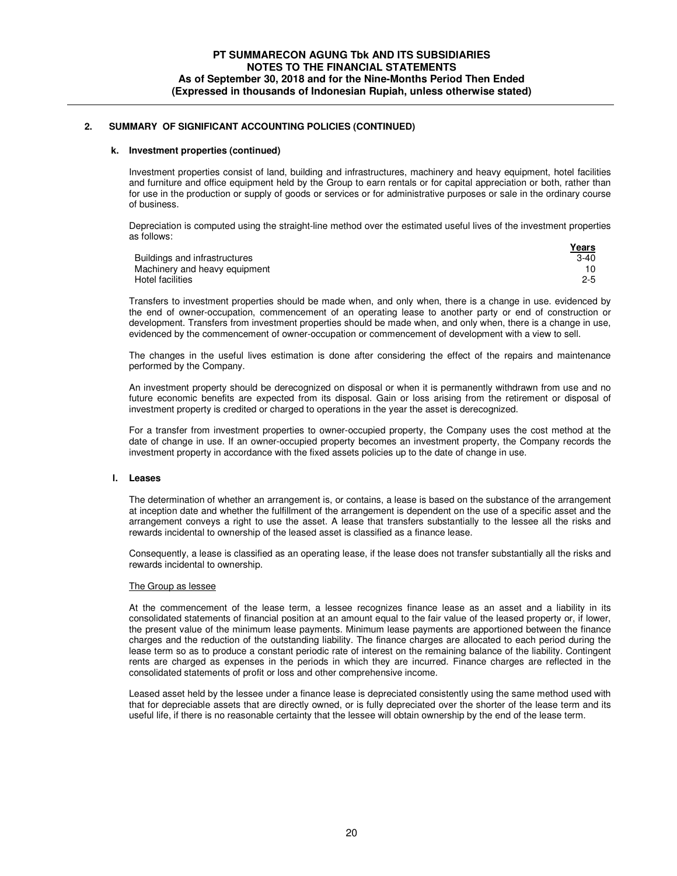#### **k. Investment properties (continued)**

Investment properties consist of land, building and infrastructures, machinery and heavy equipment, hotel facilities and furniture and office equipment held by the Group to earn rentals or for capital appreciation or both, rather than for use in the production or supply of goods or services or for administrative purposes or sale in the ordinary course of business.

Depreciation is computed using the straight-line method over the estimated useful lives of the investment properties as follows:

|                               | Years   |
|-------------------------------|---------|
| Buildings and infrastructures | $3-40$  |
| Machinery and heavy equipment |         |
| Hotel facilities              | $2 - 5$ |

Transfers to investment properties should be made when, and only when, there is a change in use. evidenced by the end of owner-occupation, commencement of an operating lease to another party or end of construction or development. Transfers from investment properties should be made when, and only when, there is a change in use, evidenced by the commencement of owner-occupation or commencement of development with a view to sell.

The changes in the useful lives estimation is done after considering the effect of the repairs and maintenance performed by the Company.

An investment property should be derecognized on disposal or when it is permanently withdrawn from use and no future economic benefits are expected from its disposal. Gain or loss arising from the retirement or disposal of investment property is credited or charged to operations in the year the asset is derecognized.

For a transfer from investment properties to owner-occupied property, the Company uses the cost method at the date of change in use. If an owner-occupied property becomes an investment property, the Company records the investment property in accordance with the fixed assets policies up to the date of change in use.

#### **l. Leases**

The determination of whether an arrangement is, or contains, a lease is based on the substance of the arrangement at inception date and whether the fulfillment of the arrangement is dependent on the use of a specific asset and the arrangement conveys a right to use the asset. A lease that transfers substantially to the lessee all the risks and rewards incidental to ownership of the leased asset is classified as a finance lease.

Consequently, a lease is classified as an operating lease, if the lease does not transfer substantially all the risks and rewards incidental to ownership.

#### The Group as lessee

At the commencement of the lease term, a lessee recognizes finance lease as an asset and a liability in its consolidated statements of financial position at an amount equal to the fair value of the leased property or, if lower, the present value of the minimum lease payments. Minimum lease payments are apportioned between the finance charges and the reduction of the outstanding liability. The finance charges are allocated to each period during the lease term so as to produce a constant periodic rate of interest on the remaining balance of the liability. Contingent rents are charged as expenses in the periods in which they are incurred. Finance charges are reflected in the consolidated statements of profit or loss and other comprehensive income.

Leased asset held by the lessee under a finance lease is depreciated consistently using the same method used with that for depreciable assets that are directly owned, or is fully depreciated over the shorter of the lease term and its useful life, if there is no reasonable certainty that the lessee will obtain ownership by the end of the lease term.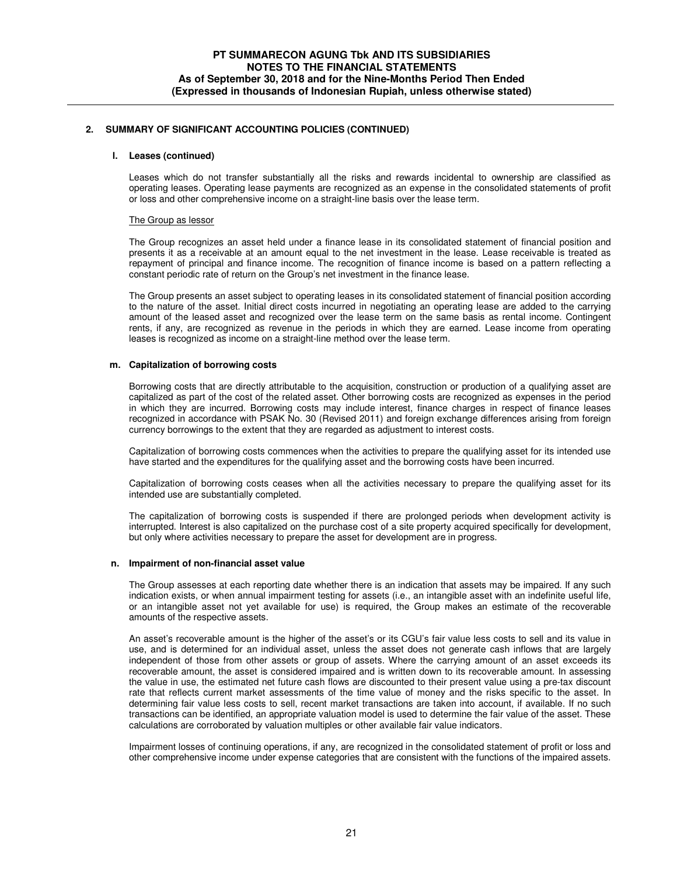#### **l. Leases (continued)**

Leases which do not transfer substantially all the risks and rewards incidental to ownership are classified as operating leases. Operating lease payments are recognized as an expense in the consolidated statements of profit or loss and other comprehensive income on a straight-line basis over the lease term.

#### The Group as lessor

The Group recognizes an asset held under a finance lease in its consolidated statement of financial position and presents it as a receivable at an amount equal to the net investment in the lease. Lease receivable is treated as repayment of principal and finance income. The recognition of finance income is based on a pattern reflecting a constant periodic rate of return on the Group's net investment in the finance lease.

The Group presents an asset subject to operating leases in its consolidated statement of financial position according to the nature of the asset. Initial direct costs incurred in negotiating an operating lease are added to the carrying amount of the leased asset and recognized over the lease term on the same basis as rental income. Contingent rents, if any, are recognized as revenue in the periods in which they are earned. Lease income from operating leases is recognized as income on a straight-line method over the lease term.

#### **m. Capitalization of borrowing costs**

Borrowing costs that are directly attributable to the acquisition, construction or production of a qualifying asset are capitalized as part of the cost of the related asset. Other borrowing costs are recognized as expenses in the period in which they are incurred. Borrowing costs may include interest, finance charges in respect of finance leases recognized in accordance with PSAK No. 30 (Revised 2011) and foreign exchange differences arising from foreign currency borrowings to the extent that they are regarded as adjustment to interest costs.

Capitalization of borrowing costs commences when the activities to prepare the qualifying asset for its intended use have started and the expenditures for the qualifying asset and the borrowing costs have been incurred.

Capitalization of borrowing costs ceases when all the activities necessary to prepare the qualifying asset for its intended use are substantially completed.

The capitalization of borrowing costs is suspended if there are prolonged periods when development activity is interrupted. Interest is also capitalized on the purchase cost of a site property acquired specifically for development, but only where activities necessary to prepare the asset for development are in progress.

#### **n. Impairment of non-financial asset value**

The Group assesses at each reporting date whether there is an indication that assets may be impaired. If any such indication exists, or when annual impairment testing for assets (i.e., an intangible asset with an indefinite useful life, or an intangible asset not yet available for use) is required, the Group makes an estimate of the recoverable amounts of the respective assets.

An asset's recoverable amount is the higher of the asset's or its CGU's fair value less costs to sell and its value in use, and is determined for an individual asset, unless the asset does not generate cash inflows that are largely independent of those from other assets or group of assets. Where the carrying amount of an asset exceeds its recoverable amount, the asset is considered impaired and is written down to its recoverable amount. In assessing the value in use, the estimated net future cash flows are discounted to their present value using a pre-tax discount rate that reflects current market assessments of the time value of money and the risks specific to the asset. In determining fair value less costs to sell, recent market transactions are taken into account, if available. If no such transactions can be identified, an appropriate valuation model is used to determine the fair value of the asset. These calculations are corroborated by valuation multiples or other available fair value indicators.

Impairment losses of continuing operations, if any, are recognized in the consolidated statement of profit or loss and other comprehensive income under expense categories that are consistent with the functions of the impaired assets.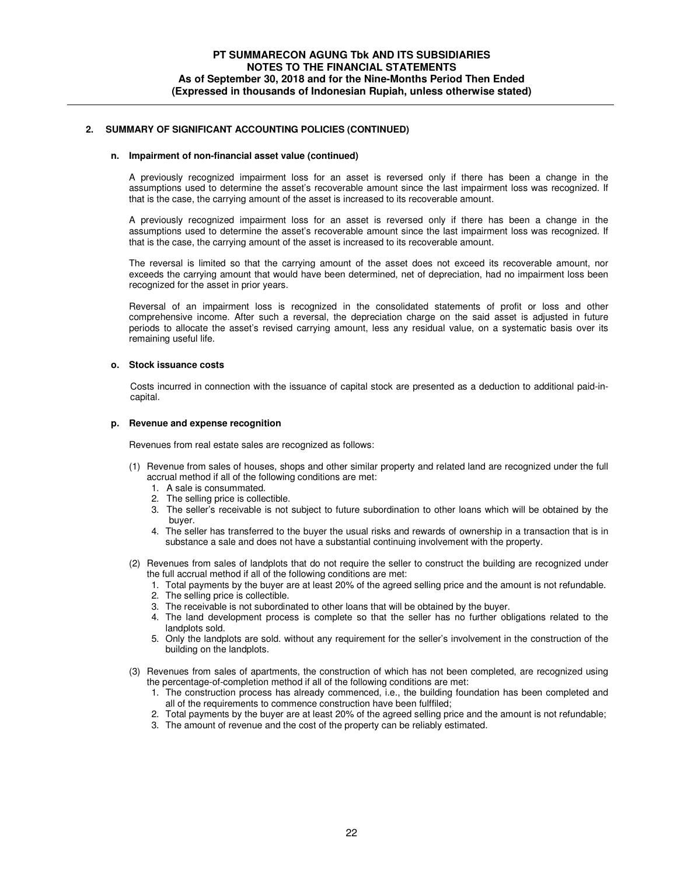#### **n. Impairment of non-financial asset value (continued)**

A previously recognized impairment loss for an asset is reversed only if there has been a change in the assumptions used to determine the asset's recoverable amount since the last impairment loss was recognized. If that is the case, the carrying amount of the asset is increased to its recoverable amount.

A previously recognized impairment loss for an asset is reversed only if there has been a change in the assumptions used to determine the asset's recoverable amount since the last impairment loss was recognized. If that is the case, the carrying amount of the asset is increased to its recoverable amount.

The reversal is limited so that the carrying amount of the asset does not exceed its recoverable amount, nor exceeds the carrying amount that would have been determined, net of depreciation, had no impairment loss been recognized for the asset in prior years.

Reversal of an impairment loss is recognized in the consolidated statements of profit or loss and other comprehensive income. After such a reversal, the depreciation charge on the said asset is adjusted in future periods to allocate the asset's revised carrying amount, less any residual value, on a systematic basis over its remaining useful life.

#### **o. Stock issuance costs**

Costs incurred in connection with the issuance of capital stock are presented as a deduction to additional paid-incapital.

#### **p. Revenue and expense recognition**

Revenues from real estate sales are recognized as follows:

- (1) Revenue from sales of houses, shops and other similar property and related land are recognized under the full accrual method if all of the following conditions are met:
	- 1. A sale is consummated.
	- 2. The selling price is collectible.
	- 3. The seller's receivable is not subject to future subordination to other loans which will be obtained by the buyer.
	- 4. The seller has transferred to the buyer the usual risks and rewards of ownership in a transaction that is in substance a sale and does not have a substantial continuing involvement with the property.
- (2) Revenues from sales of landplots that do not require the seller to construct the building are recognized under the full accrual method if all of the following conditions are met:
	- 1. Total payments by the buyer are at least 20% of the agreed selling price and the amount is not refundable.
	- 2. The selling price is collectible.
	- 3. The receivable is not subordinated to other loans that will be obtained by the buyer.
	- 4. The land development process is complete so that the seller has no further obligations related to the landplots sold.
	- 5. Only the landplots are sold. without any requirement for the seller's involvement in the construction of the building on the landplots.
- (3) Revenues from sales of apartments, the construction of which has not been completed, are recognized using the percentage-of-completion method if all of the following conditions are met:
	- 1. The construction process has already commenced, i.e., the building foundation has been completed and all of the requirements to commence construction have been fulffiled;
	- 2. Total payments by the buyer are at least 20% of the agreed selling price and the amount is not refundable;
	- 3. The amount of revenue and the cost of the property can be reliably estimated.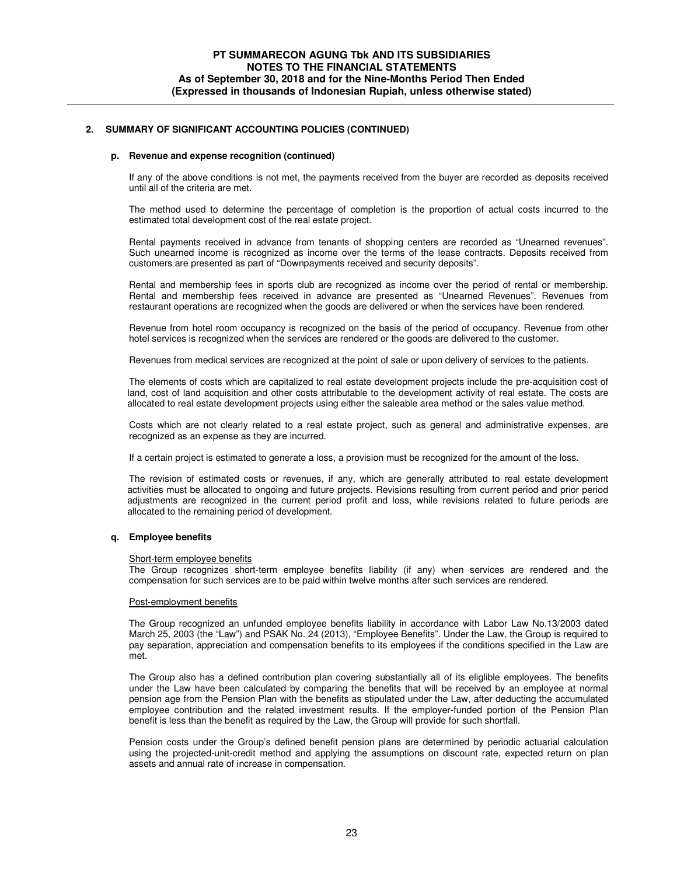#### **p. Revenue and expense recognition (continued)**

If any of the above conditions is not met, the payments received from the buyer are recorded as deposits received until all of the criteria are met.

The method used to determine the percentage of completion is the proportion of actual costs incurred to the estimated total development cost of the real estate project.

Rental payments received in advance from tenants of shopping centers are recorded as "Unearned revenues". Such unearned income is recognized as income over the terms of the lease contracts. Deposits received from customers are presented as part of "Downpayments received and security deposits".

Rental and membership fees in sports club are recognized as income over the period of rental or membership. Rental and membership fees received in advance are presented as "Unearned Revenues". Revenues from restaurant operations are recognized when the goods are delivered or when the services have been rendered.

Revenue from hotel room occupancy is recognized on the basis of the period of occupancy. Revenue from other hotel services is recognized when the services are rendered or the goods are delivered to the customer.

Revenues from medical services are recognized at the point of sale or upon delivery of services to the patients.

The elements of costs which are capitalized to real estate development projects include the pre-acquisition cost of land, cost of land acquisition and other costs attributable to the development activity of real estate. The costs are allocated to real estate development projects using either the saleable area method or the sales value method.

Costs which are not clearly related to a real estate project, such as general and administrative expenses, are recognized as an expense as they are incurred.

If a certain project is estimated to generate a loss, a provision must be recognized for the amount of the loss.

The revision of estimated costs or revenues, if any, which are generally attributed to real estate development activities must be allocated to ongoing and future projects. Revisions resulting from current period and prior period adjustments are recognized in the current period profit and loss, while revisions related to future periods are allocated to the remaining period of development.

#### **q. Employee benefits**

#### Short-term employee benefits

The Group recognizes short-term employee benefits liability (if any) when services are rendered and the compensation for such services are to be paid within twelve months after such services are rendered.

#### Post-employment benefits

The Group recognized an unfunded employee benefits liability in accordance with Labor Law No.13/2003 dated March 25, 2003 (the "Law") and PSAK No. 24 (2013), "Employee Benefits". Under the Law, the Group is required to pay separation, appreciation and compensation benefits to its employees if the conditions specified in the Law are met.

The Group also has a defined contribution plan covering substantially all of its eliglible employees. The benefits under the Law have been calculated by comparing the benefits that will be received by an employee at normal pension age from the Pension Plan with the benefits as stipulated under the Law, after deducting the accumulated employee contribution and the related investment results. If the employer-funded portion of the Pension Plan benefit is less than the benefit as required by the Law, the Group will provide for such shortfall.

Pension costs under the Group's defined benefit pension plans are determined by periodic actuarial calculation using the projected-unit-credit method and applying the assumptions on discount rate, expected return on plan assets and annual rate of increase in compensation.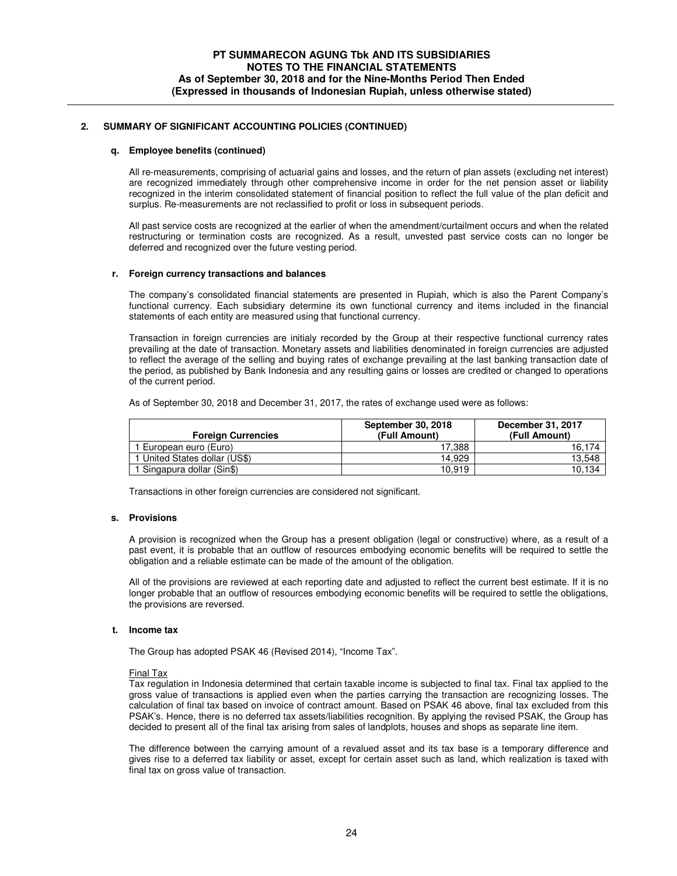#### **q. Employee benefits (continued)**

All re-measurements, comprising of actuarial gains and losses, and the return of plan assets (excluding net interest) are recognized immediately through other comprehensive income in order for the net pension asset or liability recognized in the interim consolidated statement of financial position to reflect the full value of the plan deficit and surplus. Re-measurements are not reclassified to profit or loss in subsequent periods.

All past service costs are recognized at the earlier of when the amendment/curtailment occurs and when the related restructuring or termination costs are recognized. As a result, unvested past service costs can no longer be deferred and recognized over the future vesting period.

#### **r. Foreign currency transactions and balances**

The company's consolidated financial statements are presented in Rupiah, which is also the Parent Company's functional currency. Each subsidiary determine its own functional currency and items included in the financial statements of each entity are measured using that functional currency.

Transaction in foreign currencies are initialy recorded by the Group at their respective functional currency rates prevailing at the date of transaction. Monetary assets and liabilities denominated in foreign currencies are adjusted to reflect the average of the selling and buying rates of exchange prevailing at the last banking transaction date of the period, as published by Bank Indonesia and any resulting gains or losses are credited or changed to operations of the current period.

As of September 30, 2018 and December 31, 2017, the rates of exchange used were as follows:

| <b>Foreign Currencies</b>     | September 30, 2018<br>(Full Amount) | December 31, 2017<br>(Full Amount) |
|-------------------------------|-------------------------------------|------------------------------------|
| I European euro (Euro)        | 17.388                              | 16.174                             |
| 1 United States dollar (US\$) | 14.929                              | 13.548                             |
| 1 Singapura dollar (Sin\$)    | 10.919                              | 10.134                             |

Transactions in other foreign currencies are considered not significant.

### **s. Provisions**

A provision is recognized when the Group has a present obligation (legal or constructive) where, as a result of a past event, it is probable that an outflow of resources embodying economic benefits will be required to settle the obligation and a reliable estimate can be made of the amount of the obligation.

All of the provisions are reviewed at each reporting date and adjusted to reflect the current best estimate. If it is no longer probable that an outflow of resources embodying economic benefits will be required to settle the obligations, the provisions are reversed.

#### **t. Income tax**

The Group has adopted PSAK 46 (Revised 2014), "Income Tax".

#### Final Tax

Tax regulation in Indonesia determined that certain taxable income is subjected to final tax. Final tax applied to the gross value of transactions is applied even when the parties carrying the transaction are recognizing losses. The calculation of final tax based on invoice of contract amount. Based on PSAK 46 above, final tax excluded from this PSAK's. Hence, there is no deferred tax assets/liabilities recognition. By applying the revised PSAK, the Group has decided to present all of the final tax arising from sales of landplots, houses and shops as separate line item.

The difference between the carrying amount of a revalued asset and its tax base is a temporary difference and gives rise to a deferred tax liability or asset, except for certain asset such as land, which realization is taxed with final tax on gross value of transaction.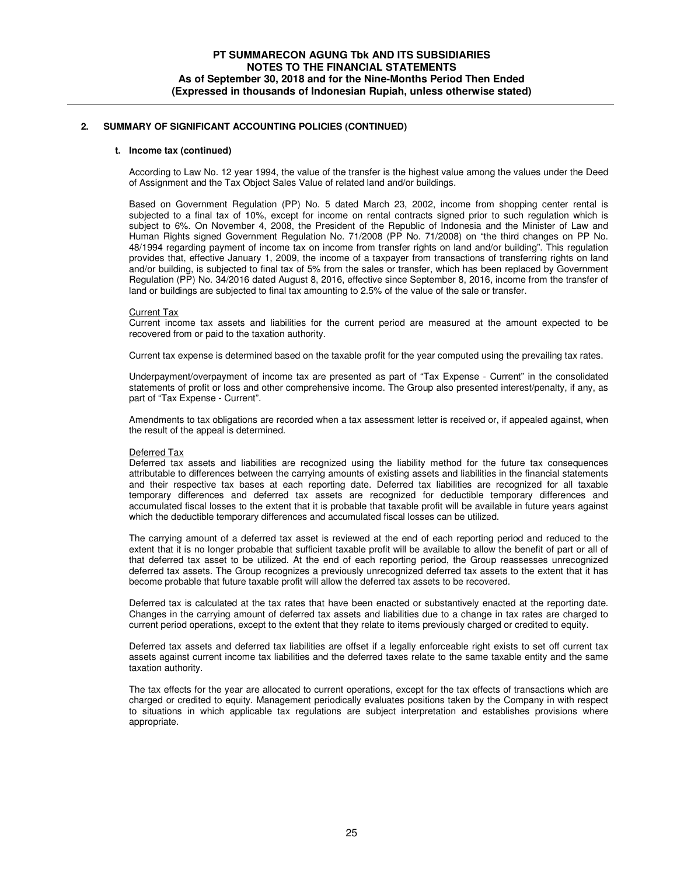#### **t. Income tax (continued)**

According to Law No. 12 year 1994, the value of the transfer is the highest value among the values under the Deed of Assignment and the Tax Object Sales Value of related land and/or buildings.

Based on Government Regulation (PP) No. 5 dated March 23, 2002, income from shopping center rental is subjected to a final tax of 10%, except for income on rental contracts signed prior to such regulation which is subject to 6%. On November 4, 2008, the President of the Republic of Indonesia and the Minister of Law and Human Rights signed Government Regulation No. 71/2008 (PP No. 71/2008) on "the third changes on PP No. 48/1994 regarding payment of income tax on income from transfer rights on land and/or building". This regulation provides that, effective January 1, 2009, the income of a taxpayer from transactions of transferring rights on land and/or building, is subjected to final tax of 5% from the sales or transfer, which has been replaced by Government Regulation (PP) No. 34/2016 dated August 8, 2016, effective since September 8, 2016, income from the transfer of land or buildings are subjected to final tax amounting to 2.5% of the value of the sale or transfer.

#### Current Tax

Current income tax assets and liabilities for the current period are measured at the amount expected to be recovered from or paid to the taxation authority.

Current tax expense is determined based on the taxable profit for the year computed using the prevailing tax rates.

Underpayment/overpayment of income tax are presented as part of "Tax Expense - Current" in the consolidated statements of profit or loss and other comprehensive income. The Group also presented interest/penalty, if any, as part of "Tax Expense - Current".

Amendments to tax obligations are recorded when a tax assessment letter is received or, if appealed against, when the result of the appeal is determined.

#### Deferred Tax

Deferred tax assets and liabilities are recognized using the liability method for the future tax consequences attributable to differences between the carrying amounts of existing assets and liabilities in the financial statements and their respective tax bases at each reporting date. Deferred tax liabilities are recognized for all taxable temporary differences and deferred tax assets are recognized for deductible temporary differences and accumulated fiscal losses to the extent that it is probable that taxable profit will be available in future years against which the deductible temporary differences and accumulated fiscal losses can be utilized.

The carrying amount of a deferred tax asset is reviewed at the end of each reporting period and reduced to the extent that it is no longer probable that sufficient taxable profit will be available to allow the benefit of part or all of that deferred tax asset to be utilized. At the end of each reporting period, the Group reassesses unrecognized deferred tax assets. The Group recognizes a previously unrecognized deferred tax assets to the extent that it has become probable that future taxable profit will allow the deferred tax assets to be recovered.

Deferred tax is calculated at the tax rates that have been enacted or substantively enacted at the reporting date. Changes in the carrying amount of deferred tax assets and liabilities due to a change in tax rates are charged to current period operations, except to the extent that they relate to items previously charged or credited to equity.

Deferred tax assets and deferred tax liabilities are offset if a legally enforceable right exists to set off current tax assets against current income tax liabilities and the deferred taxes relate to the same taxable entity and the same taxation authority.

The tax effects for the year are allocated to current operations, except for the tax effects of transactions which are charged or credited to equity. Management periodically evaluates positions taken by the Company in with respect to situations in which applicable tax regulations are subject interpretation and establishes provisions where appropriate.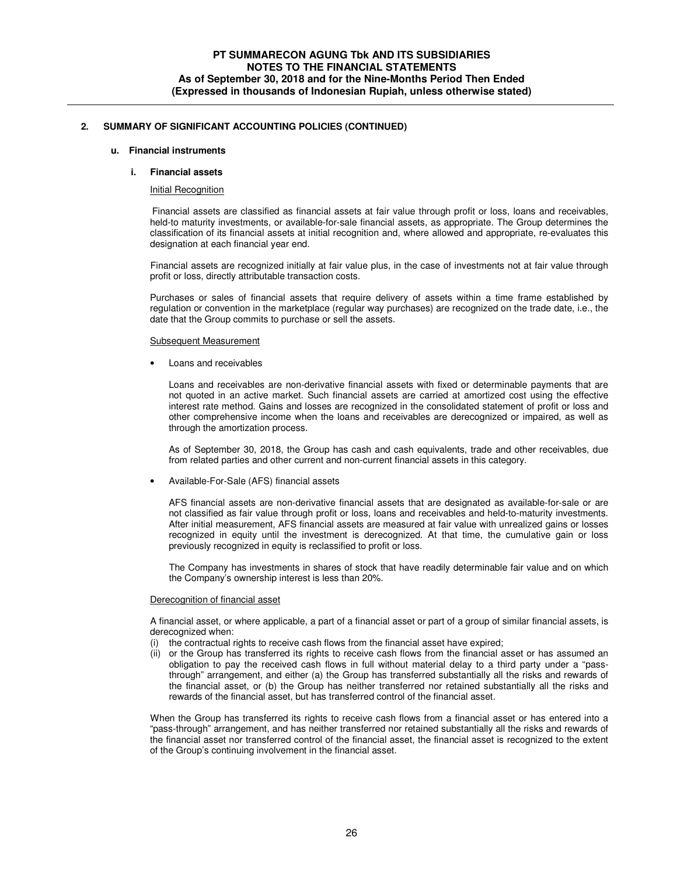#### **u. Financial instruments**

#### **i. Financial assets**

#### Initial Recognition

 Financial assets are classified as financial assets at fair value through profit or loss, loans and receivables, held-to maturity investments, or available-for-sale financial assets, as appropriate. The Group determines the classification of its financial assets at initial recognition and, where allowed and appropriate, re-evaluates this designation at each financial year end.

 Financial assets are recognized initially at fair value plus, in the case of investments not at fair value through profit or loss, directly attributable transaction costs.

Purchases or sales of financial assets that require delivery of assets within a time frame established by regulation or convention in the marketplace (regular way purchases) are recognized on the trade date, i.e., the date that the Group commits to purchase or sell the assets.

#### Subsequent Measurement

Loans and receivables

Loans and receivables are non-derivative financial assets with fixed or determinable payments that are not quoted in an active market. Such financial assets are carried at amortized cost using the effective interest rate method. Gains and losses are recognized in the consolidated statement of profit or loss and other comprehensive income when the loans and receivables are derecognized or impaired, as well as through the amortization process.

As of September 30, 2018, the Group has cash and cash equivalents, trade and other receivables, due from related parties and other current and non-current financial assets in this category.

• Available-For-Sale (AFS) financial assets

AFS financial assets are non-derivative financial assets that are designated as available-for-sale or are not classified as fair value through profit or loss, loans and receivables and held-to-maturity investments. After initial measurement, AFS financial assets are measured at fair value with unrealized gains or losses recognized in equity until the investment is derecognized. At that time, the cumulative gain or loss previously recognized in equity is reclassified to profit or loss.

The Company has investments in shares of stock that have readily determinable fair value and on which the Company's ownership interest is less than 20%.

#### Derecognition of financial asset

A financial asset, or where applicable, a part of a financial asset or part of a group of similar financial assets, is derecognized when:

- (i) the contractual rights to receive cash flows from the financial asset have expired;
- (ii) or the Group has transferred its rights to receive cash flows from the financial asset or has assumed an obligation to pay the received cash flows in full without material delay to a third party under a "passthrough" arrangement, and either (a) the Group has transferred substantially all the risks and rewards of the financial asset, or (b) the Group has neither transferred nor retained substantially all the risks and rewards of the financial asset, but has transferred control of the financial asset.

When the Group has transferred its rights to receive cash flows from a financial asset or has entered into a "pass-through" arrangement, and has neither transferred nor retained substantially all the risks and rewards of the financial asset nor transferred control of the financial asset, the financial asset is recognized to the extent of the Group's continuing involvement in the financial asset.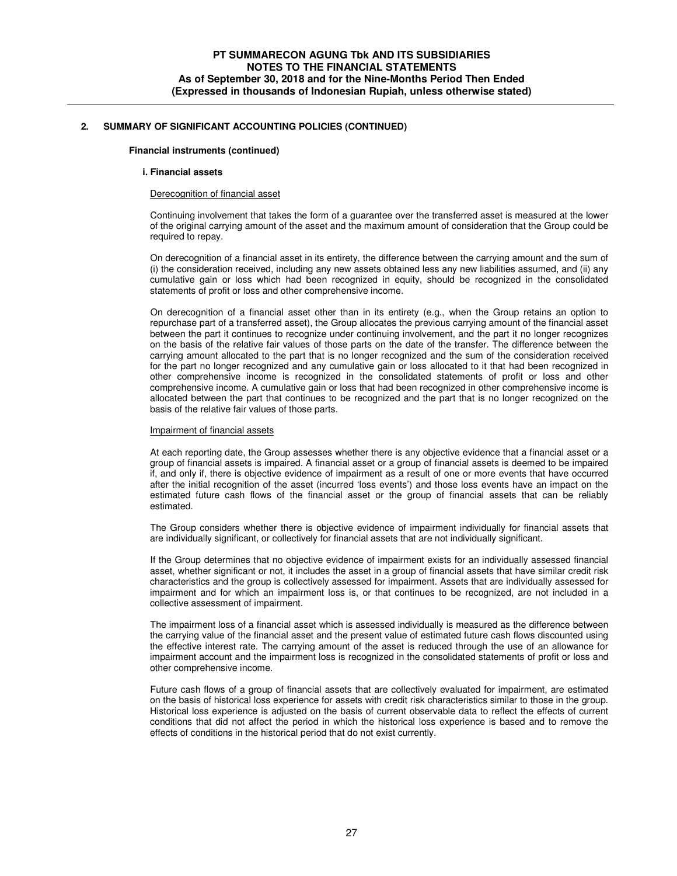#### **Financial instruments (continued)**

#### **i. Financial assets**

#### Derecognition of financial asset

Continuing involvement that takes the form of a guarantee over the transferred asset is measured at the lower of the original carrying amount of the asset and the maximum amount of consideration that the Group could be required to repay.

On derecognition of a financial asset in its entirety, the difference between the carrying amount and the sum of (i) the consideration received, including any new assets obtained less any new liabilities assumed, and (ii) any cumulative gain or loss which had been recognized in equity, should be recognized in the consolidated statements of profit or loss and other comprehensive income.

On derecognition of a financial asset other than in its entirety (e.g., when the Group retains an option to repurchase part of a transferred asset), the Group allocates the previous carrying amount of the financial asset between the part it continues to recognize under continuing involvement, and the part it no longer recognizes on the basis of the relative fair values of those parts on the date of the transfer. The difference between the carrying amount allocated to the part that is no longer recognized and the sum of the consideration received for the part no longer recognized and any cumulative gain or loss allocated to it that had been recognized in other comprehensive income is recognized in the consolidated statements of profit or loss and other comprehensive income. A cumulative gain or loss that had been recognized in other comprehensive income is allocated between the part that continues to be recognized and the part that is no longer recognized on the basis of the relative fair values of those parts.

#### Impairment of financial assets

At each reporting date, the Group assesses whether there is any objective evidence that a financial asset or a group of financial assets is impaired. A financial asset or a group of financial assets is deemed to be impaired if, and only if, there is objective evidence of impairment as a result of one or more events that have occurred after the initial recognition of the asset (incurred 'loss events') and those loss events have an impact on the estimated future cash flows of the financial asset or the group of financial assets that can be reliably estimated.

The Group considers whether there is objective evidence of impairment individually for financial assets that are individually significant, or collectively for financial assets that are not individually significant.

If the Group determines that no objective evidence of impairment exists for an individually assessed financial asset, whether significant or not, it includes the asset in a group of financial assets that have similar credit risk characteristics and the group is collectively assessed for impairment. Assets that are individually assessed for impairment and for which an impairment loss is, or that continues to be recognized, are not included in a collective assessment of impairment.

The impairment loss of a financial asset which is assessed individually is measured as the difference between the carrying value of the financial asset and the present value of estimated future cash flows discounted using the effective interest rate. The carrying amount of the asset is reduced through the use of an allowance for impairment account and the impairment loss is recognized in the consolidated statements of profit or loss and other comprehensive income.

Future cash flows of a group of financial assets that are collectively evaluated for impairment, are estimated on the basis of historical loss experience for assets with credit risk characteristics similar to those in the group. Historical loss experience is adjusted on the basis of current observable data to reflect the effects of current conditions that did not affect the period in which the historical loss experience is based and to remove the effects of conditions in the historical period that do not exist currently.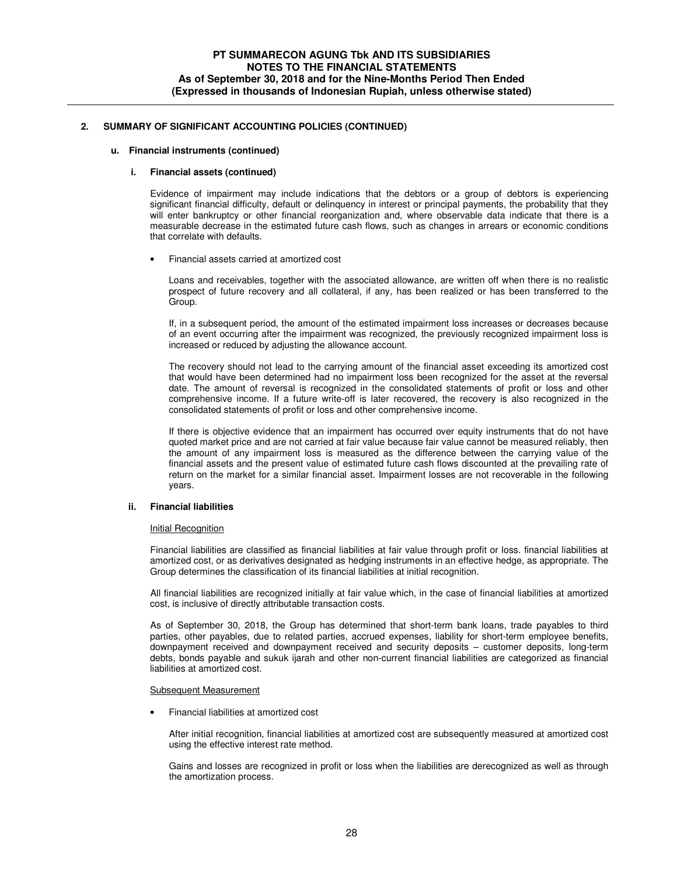#### **u. Financial instruments (continued)**

#### **i. Financial assets (continued)**

Evidence of impairment may include indications that the debtors or a group of debtors is experiencing significant financial difficulty, default or delinquency in interest or principal payments, the probability that they will enter bankruptcy or other financial reorganization and, where observable data indicate that there is a measurable decrease in the estimated future cash flows, such as changes in arrears or economic conditions that correlate with defaults.

• Financial assets carried at amortized cost

Loans and receivables, together with the associated allowance, are written off when there is no realistic prospect of future recovery and all collateral, if any, has been realized or has been transferred to the Group.

If, in a subsequent period, the amount of the estimated impairment loss increases or decreases because of an event occurring after the impairment was recognized, the previously recognized impairment loss is increased or reduced by adjusting the allowance account.

The recovery should not lead to the carrying amount of the financial asset exceeding its amortized cost that would have been determined had no impairment loss been recognized for the asset at the reversal date. The amount of reversal is recognized in the consolidated statements of profit or loss and other comprehensive income. If a future write-off is later recovered, the recovery is also recognized in the consolidated statements of profit or loss and other comprehensive income.

If there is objective evidence that an impairment has occurred over equity instruments that do not have quoted market price and are not carried at fair value because fair value cannot be measured reliably, then the amount of any impairment loss is measured as the difference between the carrying value of the financial assets and the present value of estimated future cash flows discounted at the prevailing rate of return on the market for a similar financial asset. Impairment losses are not recoverable in the following years.

#### **ii. Financial liabilities**

#### Initial Recognition

Financial liabilities are classified as financial liabilities at fair value through profit or loss. financial liabilities at amortized cost, or as derivatives designated as hedging instruments in an effective hedge, as appropriate. The Group determines the classification of its financial liabilities at initial recognition.

All financial liabilities are recognized initially at fair value which, in the case of financial liabilities at amortized cost, is inclusive of directly attributable transaction costs.

As of September 30, 2018, the Group has determined that short-term bank loans, trade payables to third parties, other payables, due to related parties, accrued expenses, liability for short-term employee benefits, downpayment received and downpayment received and security deposits – customer deposits, long-term debts, bonds payable and sukuk ijarah and other non-current financial liabilities are categorized as financial liabilities at amortized cost.

#### Subsequent Measurement

• Financial liabilities at amortized cost

After initial recognition, financial liabilities at amortized cost are subsequently measured at amortized cost using the effective interest rate method.

Gains and losses are recognized in profit or loss when the liabilities are derecognized as well as through the amortization process.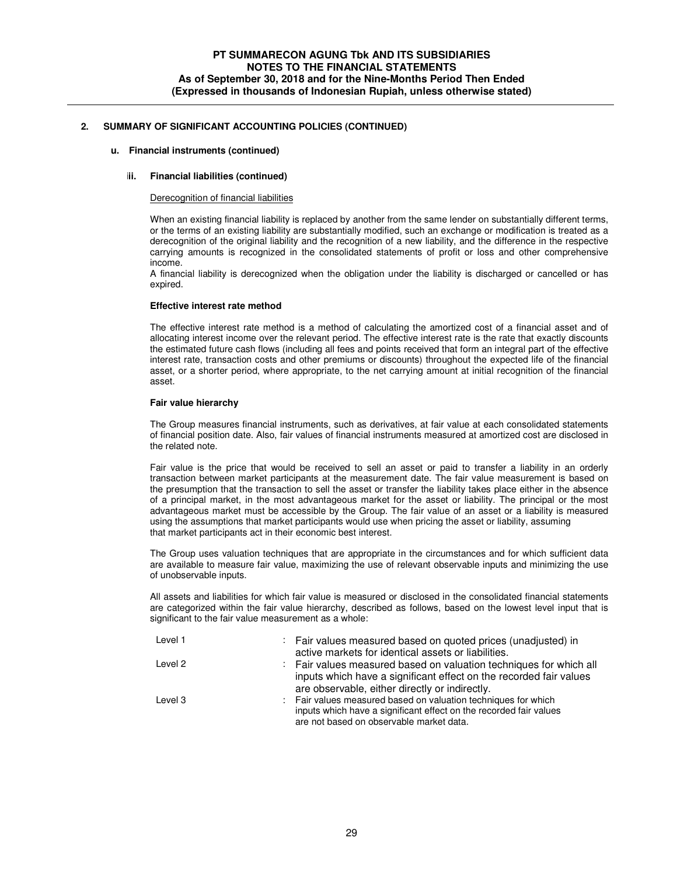#### **u. Financial instruments (continued)**

### **iii. Financial liabilities (continued)**

#### Derecognition of financial liabilities

When an existing financial liability is replaced by another from the same lender on substantially different terms, or the terms of an existing liability are substantially modified, such an exchange or modification is treated as a derecognition of the original liability and the recognition of a new liability, and the difference in the respective carrying amounts is recognized in the consolidated statements of profit or loss and other comprehensive income.

A financial liability is derecognized when the obligation under the liability is discharged or cancelled or has expired.

#### **Effective interest rate method**

The effective interest rate method is a method of calculating the amortized cost of a financial asset and of allocating interest income over the relevant period. The effective interest rate is the rate that exactly discounts the estimated future cash flows (including all fees and points received that form an integral part of the effective interest rate, transaction costs and other premiums or discounts) throughout the expected life of the financial asset, or a shorter period, where appropriate, to the net carrying amount at initial recognition of the financial asset.

#### **Fair value hierarchy**

The Group measures financial instruments, such as derivatives, at fair value at each consolidated statements of financial position date. Also, fair values of financial instruments measured at amortized cost are disclosed in the related note.

Fair value is the price that would be received to sell an asset or paid to transfer a liability in an orderly transaction between market participants at the measurement date. The fair value measurement is based on the presumption that the transaction to sell the asset or transfer the liability takes place either in the absence of a principal market, in the most advantageous market for the asset or liability. The principal or the most advantageous market must be accessible by the Group. The fair value of an asset or a liability is measured using the assumptions that market participants would use when pricing the asset or liability, assuming that market participants act in their economic best interest.

The Group uses valuation techniques that are appropriate in the circumstances and for which sufficient data are available to measure fair value, maximizing the use of relevant observable inputs and minimizing the use of unobservable inputs.

All assets and liabilities for which fair value is measured or disclosed in the consolidated financial statements are categorized within the fair value hierarchy, described as follows, based on the lowest level input that is significant to the fair value measurement as a whole:

| Level 1 | : Fair values measured based on quoted prices (unadjusted) in                                                  |
|---------|----------------------------------------------------------------------------------------------------------------|
|         | active markets for identical assets or liabilities.                                                            |
| Level 2 | : Fair values measured based on valuation techniques for which all                                             |
|         | inputs which have a significant effect on the recorded fair values                                             |
|         | are observable, either directly or indirectly.                                                                 |
| Level 3 | : Fair values measured based on valuation techniques for which                                                 |
|         | inputs which have a significant effect on the recorded fair values<br>are not based on observable market data. |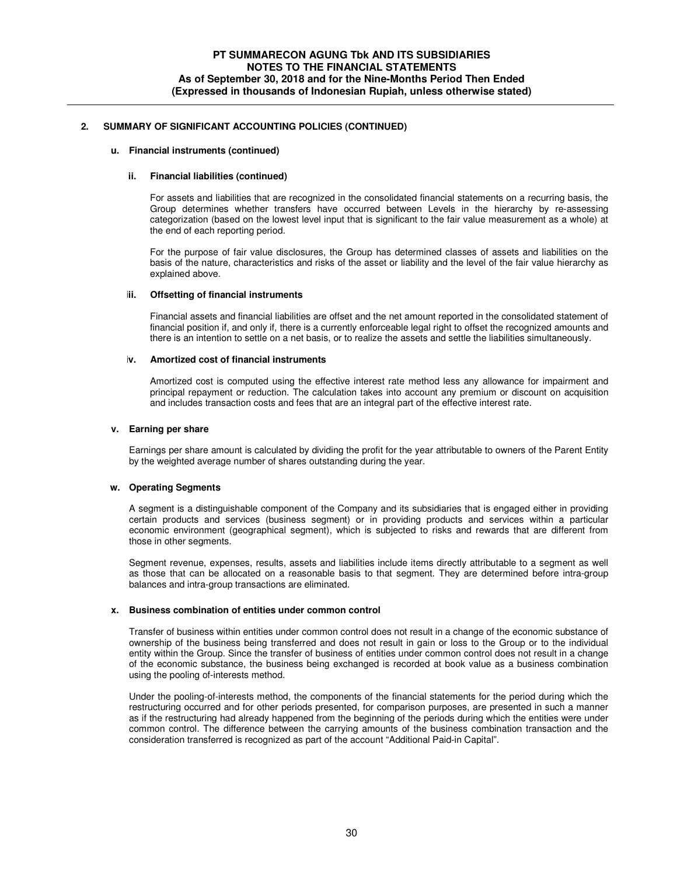#### **u. Financial instruments (continued)**

#### **ii. Financial liabilities (continued)**

For assets and liabilities that are recognized in the consolidated financial statements on a recurring basis, the Group determines whether transfers have occurred between Levels in the hierarchy by re-assessing categorization (based on the lowest level input that is significant to the fair value measurement as a whole) at the end of each reporting period.

For the purpose of fair value disclosures, the Group has determined classes of assets and liabilities on the basis of the nature, characteristics and risks of the asset or liability and the level of the fair value hierarchy as explained above.

#### **iii. Offsetting of financial instruments**

Financial assets and financial liabilities are offset and the net amount reported in the consolidated statement of financial position if, and only if, there is a currently enforceable legal right to offset the recognized amounts and there is an intention to settle on a net basis, or to realize the assets and settle the liabilities simultaneously.

#### **iv. Amortized cost of financial instruments**

Amortized cost is computed using the effective interest rate method less any allowance for impairment and principal repayment or reduction. The calculation takes into account any premium or discount on acquisition and includes transaction costs and fees that are an integral part of the effective interest rate.

#### **v. Earning per share**

Earnings per share amount is calculated by dividing the profit for the year attributable to owners of the Parent Entity by the weighted average number of shares outstanding during the year.

#### **w. Operating Segments**

A segment is a distinguishable component of the Company and its subsidiaries that is engaged either in providing certain products and services (business segment) or in providing products and services within a particular economic environment (geographical segment), which is subjected to risks and rewards that are different from those in other segments.

Segment revenue, expenses, results, assets and liabilities include items directly attributable to a segment as well as those that can be allocated on a reasonable basis to that segment. They are determined before intra-group balances and intra-group transactions are eliminated.

### **x. Business combination of entities under common control**

Transfer of business within entities under common control does not result in a change of the economic substance of ownership of the business being transferred and does not result in gain or loss to the Group or to the individual entity within the Group. Since the transfer of business of entities under common control does not result in a change of the economic substance, the business being exchanged is recorded at book value as a business combination using the pooling of-interests method.

Under the pooling-of-interests method, the components of the financial statements for the period during which the restructuring occurred and for other periods presented, for comparison purposes, are presented in such a manner as if the restructuring had already happened from the beginning of the periods during which the entities were under common control. The difference between the carrying amounts of the business combination transaction and the consideration transferred is recognized as part of the account "Additional Paid-in Capital".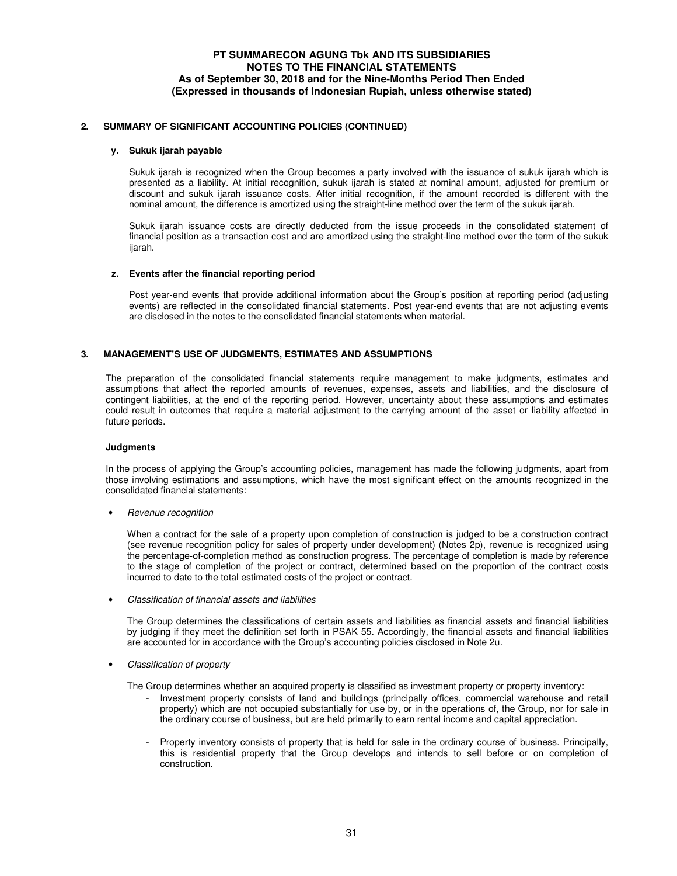### **y. Sukuk ijarah payable**

Sukuk ijarah is recognized when the Group becomes a party involved with the issuance of sukuk ijarah which is presented as a liability. At initial recognition, sukuk ijarah is stated at nominal amount, adjusted for premium or discount and sukuk ijarah issuance costs. After initial recognition, if the amount recorded is different with the nominal amount, the difference is amortized using the straight-line method over the term of the sukuk ijarah.

Sukuk ijarah issuance costs are directly deducted from the issue proceeds in the consolidated statement of financial position as a transaction cost and are amortized using the straight-line method over the term of the sukuk ijarah.

#### **z. Events after the financial reporting period**

Post year-end events that provide additional information about the Group's position at reporting period (adjusting events) are reflected in the consolidated financial statements. Post year-end events that are not adjusting events are disclosed in the notes to the consolidated financial statements when material.

#### **3. MANAGEMENT'S USE OF JUDGMENTS, ESTIMATES AND ASSUMPTIONS**

 The preparation of the consolidated financial statements require management to make judgments, estimates and assumptions that affect the reported amounts of revenues, expenses, assets and liabilities, and the disclosure of contingent liabilities, at the end of the reporting period. However, uncertainty about these assumptions and estimates could result in outcomes that require a material adjustment to the carrying amount of the asset or liability affected in future periods.

#### **Judgments**

In the process of applying the Group's accounting policies, management has made the following judgments, apart from those involving estimations and assumptions, which have the most significant effect on the amounts recognized in the consolidated financial statements:

• Revenue recognition

When a contract for the sale of a property upon completion of construction is judged to be a construction contract (see revenue recognition policy for sales of property under development) (Notes 2p), revenue is recognized using the percentage-of-completion method as construction progress. The percentage of completion is made by reference to the stage of completion of the project or contract, determined based on the proportion of the contract costs incurred to date to the total estimated costs of the project or contract.

• Classification of financial assets and liabilities

The Group determines the classifications of certain assets and liabilities as financial assets and financial liabilities by judging if they meet the definition set forth in PSAK 55. Accordingly, the financial assets and financial liabilities are accounted for in accordance with the Group's accounting policies disclosed in Note 2u.

• Classification of property

The Group determines whether an acquired property is classified as investment property or property inventory:

- Investment property consists of land and buildings (principally offices, commercial warehouse and retail property) which are not occupied substantially for use by, or in the operations of, the Group, nor for sale in the ordinary course of business, but are held primarily to earn rental income and capital appreciation.
- Property inventory consists of property that is held for sale in the ordinary course of business. Principally, this is residential property that the Group develops and intends to sell before or on completion of construction.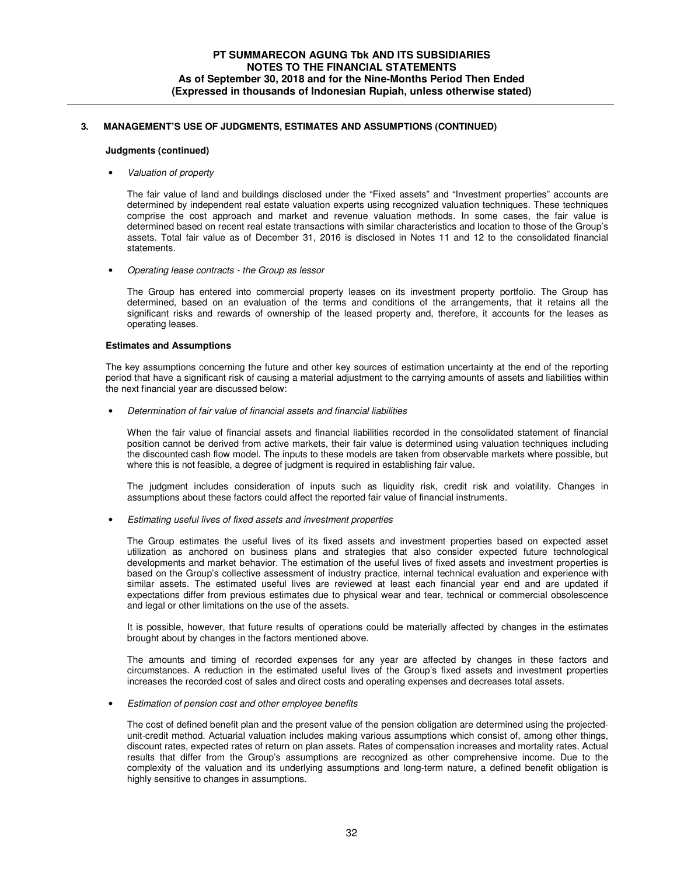# **3. MANAGEMENT'S USE OF JUDGMENTS, ESTIMATES AND ASSUMPTIONS (CONTINUED)**

#### **Judgments (continued)**

#### • Valuation of property

The fair value of land and buildings disclosed under the "Fixed assets" and "Investment properties" accounts are determined by independent real estate valuation experts using recognized valuation techniques. These techniques comprise the cost approach and market and revenue valuation methods. In some cases, the fair value is determined based on recent real estate transactions with similar characteristics and location to those of the Group's assets. Total fair value as of December 31, 2016 is disclosed in Notes 11 and 12 to the consolidated financial statements.

• Operating lease contracts - the Group as lessor

The Group has entered into commercial property leases on its investment property portfolio. The Group has determined, based on an evaluation of the terms and conditions of the arrangements, that it retains all the significant risks and rewards of ownership of the leased property and, therefore, it accounts for the leases as operating leases.

#### **Estimates and Assumptions**

The key assumptions concerning the future and other key sources of estimation uncertainty at the end of the reporting period that have a significant risk of causing a material adjustment to the carrying amounts of assets and liabilities within the next financial year are discussed below:

• Determination of fair value of financial assets and financial liabilities

When the fair value of financial assets and financial liabilities recorded in the consolidated statement of financial position cannot be derived from active markets, their fair value is determined using valuation techniques including the discounted cash flow model. The inputs to these models are taken from observable markets where possible, but where this is not feasible, a degree of judgment is required in establishing fair value.

The judgment includes consideration of inputs such as liquidity risk, credit risk and volatility. Changes in assumptions about these factors could affect the reported fair value of financial instruments.

• Estimating useful lives of fixed assets and investment properties

The Group estimates the useful lives of its fixed assets and investment properties based on expected asset utilization as anchored on business plans and strategies that also consider expected future technological developments and market behavior. The estimation of the useful lives of fixed assets and investment properties is based on the Group's collective assessment of industry practice, internal technical evaluation and experience with similar assets. The estimated useful lives are reviewed at least each financial year end and are updated if expectations differ from previous estimates due to physical wear and tear, technical or commercial obsolescence and legal or other limitations on the use of the assets.

It is possible, however, that future results of operations could be materially affected by changes in the estimates brought about by changes in the factors mentioned above.

The amounts and timing of recorded expenses for any year are affected by changes in these factors and circumstances. A reduction in the estimated useful lives of the Group's fixed assets and investment properties increases the recorded cost of sales and direct costs and operating expenses and decreases total assets.

#### • Estimation of pension cost and other employee benefits

The cost of defined benefit plan and the present value of the pension obligation are determined using the projectedunit-credit method. Actuarial valuation includes making various assumptions which consist of, among other things, discount rates, expected rates of return on plan assets. Rates of compensation increases and mortality rates. Actual results that differ from the Group's assumptions are recognized as other comprehensive income. Due to the complexity of the valuation and its underlying assumptions and long-term nature, a defined benefit obligation is highly sensitive to changes in assumptions.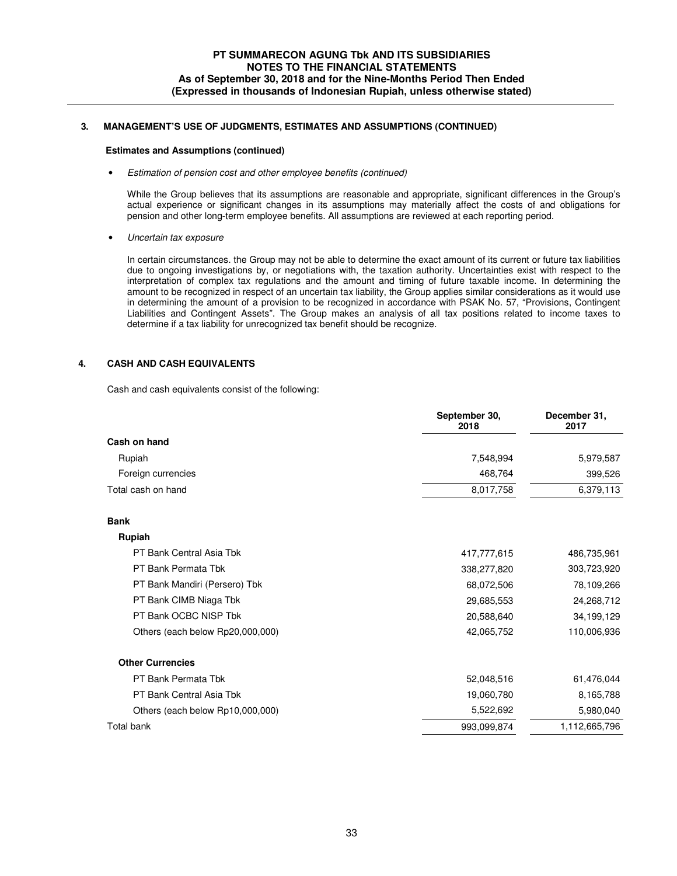# **3. MANAGEMENT'S USE OF JUDGMENTS, ESTIMATES AND ASSUMPTIONS (CONTINUED)**

#### **Estimates and Assumptions (continued)**

• Estimation of pension cost and other employee benefits (continued)

While the Group believes that its assumptions are reasonable and appropriate, significant differences in the Group's actual experience or significant changes in its assumptions may materially affect the costs of and obligations for pension and other long-term employee benefits. All assumptions are reviewed at each reporting period.

• Uncertain tax exposure

In certain circumstances. the Group may not be able to determine the exact amount of its current or future tax liabilities due to ongoing investigations by, or negotiations with, the taxation authority. Uncertainties exist with respect to the interpretation of complex tax regulations and the amount and timing of future taxable income. In determining the amount to be recognized in respect of an uncertain tax liability, the Group applies similar considerations as it would use in determining the amount of a provision to be recognized in accordance with PSAK No. 57, "Provisions, Contingent Liabilities and Contingent Assets". The Group makes an analysis of all tax positions related to income taxes to determine if a tax liability for unrecognized tax benefit should be recognize.

# **4. CASH AND CASH EQUIVALENTS**

Cash and cash equivalents consist of the following:

| 7,548,994   | 5,979,587     |
|-------------|---------------|
| 468,764     | 399,526       |
| 8,017,758   | 6,379,113     |
|             |               |
|             |               |
| 417,777,615 | 486,735,961   |
| 338,277,820 | 303,723,920   |
| 68,072,506  | 78,109,266    |
| 29,685,553  | 24,268,712    |
| 20,588,640  | 34,199,129    |
| 42,065,752  | 110,006,936   |
|             |               |
| 52,048,516  | 61,476,044    |
| 19,060,780  | 8,165,788     |
| 5,522,692   | 5,980,040     |
| 993,099,874 | 1,112,665,796 |
|             |               |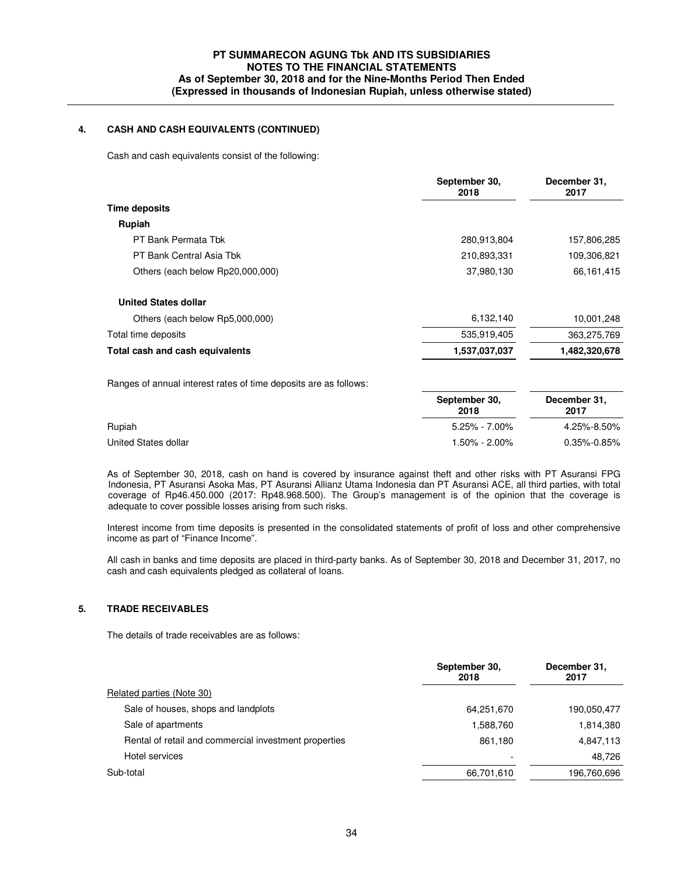# **4. CASH AND CASH EQUIVALENTS (CONTINUED)**

Cash and cash equivalents consist of the following:

|                                  | September 30,<br>2018 | December 31,<br>2017 |
|----------------------------------|-----------------------|----------------------|
| Time deposits                    |                       |                      |
| Rupiah                           |                       |                      |
| PT Bank Permata Tbk              | 280,913,804           | 157,806,285          |
| PT Bank Central Asia Tbk         | 210,893,331           | 109,306,821          |
| Others (each below Rp20,000,000) | 37,980,130            | 66,161,415           |
| <b>United States dollar</b>      |                       |                      |
| Others (each below Rp5,000,000)  | 6,132,140             | 10,001,248           |
| Total time deposits              | 535,919,405           | 363,275,769          |
| Total cash and cash equivalents  | 1,537,037,037         | 1,482,320,678        |

|                      | September 30,<br>2018 | December 31,<br>2017 |  |
|----------------------|-----------------------|----------------------|--|
| Rupiah               | $5.25\% - 7.00\%$     | 4.25%-8.50%          |  |
| United States dollar | $1.50\% - 2.00\%$     | $0.35\% - 0.85\%$    |  |

 As of September 30, 2018, cash on hand is covered by insurance against theft and other risks with PT Asuransi FPG Indonesia, PT Asuransi Asoka Mas, PT Asuransi Allianz Utama Indonesia dan PT Asuransi ACE, all third parties, with total coverage of Rp46.450.000 (2017: Rp48.968.500). The Group's management is of the opinion that the coverage is adequate to cover possible losses arising from such risks.

Interest income from time deposits is presented in the consolidated statements of profit of loss and other comprehensive income as part of "Finance Income".

All cash in banks and time deposits are placed in third-party banks. As of September 30, 2018 and December 31, 2017, no cash and cash equivalents pledged as collateral of loans.

# **5. TRADE RECEIVABLES**

The details of trade receivables are as follows:

|                                                       | September 30,<br>2018    | December 31.<br>2017 |
|-------------------------------------------------------|--------------------------|----------------------|
| Related parties (Note 30)                             |                          |                      |
| Sale of houses, shops and landplots                   | 64,251,670               | 190,050,477          |
| Sale of apartments                                    | 1,588,760                | 1,814,380            |
| Rental of retail and commercial investment properties | 861.180                  | 4,847,113            |
| Hotel services                                        | $\overline{\phantom{a}}$ | 48.726               |
| Sub-total                                             | 66,701,610               | 196,760,696          |
|                                                       |                          |                      |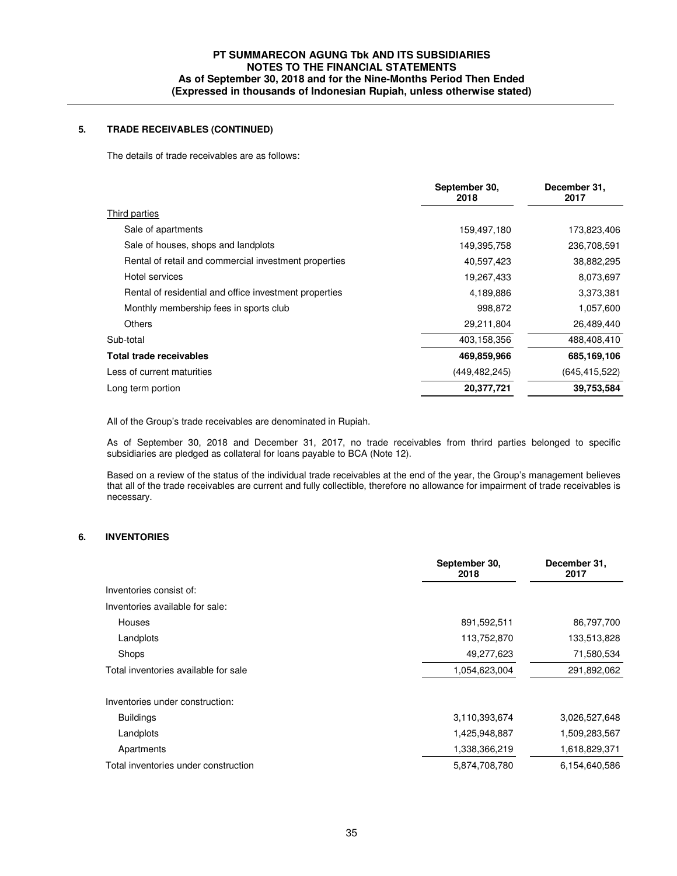## **5. TRADE RECEIVABLES (CONTINUED)**

The details of trade receivables are as follows:

|                                                        | September 30.<br>2018 | December 31,<br>2017 |
|--------------------------------------------------------|-----------------------|----------------------|
| Third parties                                          |                       |                      |
| Sale of apartments                                     | 159,497,180           | 173,823,406          |
| Sale of houses, shops and landplots                    | 149,395,758           | 236,708,591          |
| Rental of retail and commercial investment properties  | 40,597,423            | 38,882,295           |
| Hotel services                                         | 19,267,433            | 8,073,697            |
| Rental of residential and office investment properties | 4,189,886             | 3,373,381            |
| Monthly membership fees in sports club                 | 998,872               | 1,057,600            |
| Others                                                 | 29,211,804            | 26,489,440           |
| Sub-total                                              | 403,158,356           | 488,408,410          |
| Total trade receivables                                | 469,859,966           | 685,169,106          |
| Less of current maturities                             | (449, 482, 245)       | (645, 415, 522)      |
| Long term portion                                      | 20,377,721            | 39,753,584           |

All of the Group's trade receivables are denominated in Rupiah.

As of September 30, 2018 and December 31, 2017, no trade receivables from thrird parties belonged to specific subsidiaries are pledged as collateral for loans payable to BCA (Note 12).

Based on a review of the status of the individual trade receivables at the end of the year, the Group's management believes that all of the trade receivables are current and fully collectible, therefore no allowance for impairment of trade receivables is necessary.

## **6. INVENTORIES**

|                                      | September 30,<br>2018 | December 31,<br>2017 |
|--------------------------------------|-----------------------|----------------------|
| Inventories consist of:              |                       |                      |
| Inventories available for sale:      |                       |                      |
| Houses                               | 891,592,511           | 86,797,700           |
| Landplots                            | 113,752,870           | 133,513,828          |
| Shops                                | 49,277,623            | 71,580,534           |
| Total inventories available for sale | 1,054,623,004         | 291,892,062          |
| Inventories under construction:      |                       |                      |
| <b>Buildings</b>                     | 3,110,393,674         | 3,026,527,648        |
| Landplots                            | 1,425,948,887         | 1,509,283,567        |
| Apartments                           | 1,338,366,219         | 1,618,829,371        |
| Total inventories under construction | 5,874,708,780         | 6,154,640,586        |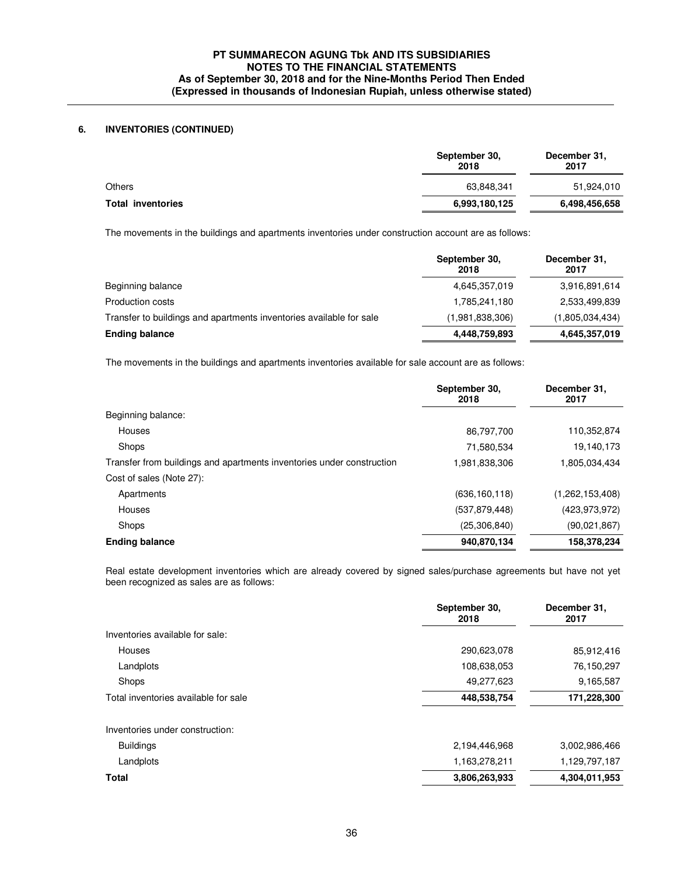## **6. INVENTORIES (CONTINUED)**

|                          | September 30,<br>2018 | December 31,<br>2017 |
|--------------------------|-----------------------|----------------------|
| Others                   | 63,848,341            | 51,924,010           |
| <b>Total inventories</b> | 6,993,180,125         | 6,498,456,658        |

The movements in the buildings and apartments inventories under construction account are as follows:

|                                                                     | September 30,<br>2018 | December 31,<br>2017 |
|---------------------------------------------------------------------|-----------------------|----------------------|
| Beginning balance                                                   | 4,645,357,019         | 3,916,891,614        |
| Production costs                                                    | 1,785,241,180         | 2,533,499,839        |
| Transfer to buildings and apartments inventories available for sale | (1,981,838,306)       | (1,805,034,434)      |
| <b>Ending balance</b>                                               | 4,448,759,893         | 4,645,357,019        |

The movements in the buildings and apartments inventories available for sale account are as follows:

|                                                                       | September 30,<br>2018 | December 31,<br>2017 |
|-----------------------------------------------------------------------|-----------------------|----------------------|
| Beginning balance:                                                    |                       |                      |
| <b>Houses</b>                                                         | 86,797,700            | 110,352,874          |
| Shops                                                                 | 71,580,534            | 19,140,173           |
| Transfer from buildings and apartments inventories under construction | 1,981,838,306         | 1,805,034,434        |
| Cost of sales (Note 27):                                              |                       |                      |
| Apartments                                                            | (636, 160, 118)       | (1,262,153,408)      |
| Houses                                                                | (537, 879, 448)       | (423, 973, 972)      |
| Shops                                                                 | (25, 306, 840)        | (90,021,867)         |
| <b>Ending balance</b>                                                 | 940,870,134           | 158,378,234          |

Real estate development inventories which are already covered by signed sales/purchase agreements but have not yet been recognized as sales are as follows:

| September 30,<br>2018 | December 31,<br>2017 |
|-----------------------|----------------------|
|                       |                      |
| 290,623,078           | 85,912,416           |
| 108,638,053           | 76,150,297           |
| 49,277,623            | 9,165,587            |
| 448,538,754           | 171,228,300          |
|                       |                      |
| 2,194,446,968         | 3,002,986,466        |
| 1,163,278,211         | 1,129,797,187        |
| 3,806,263,933         | 4,304,011,953        |
|                       |                      |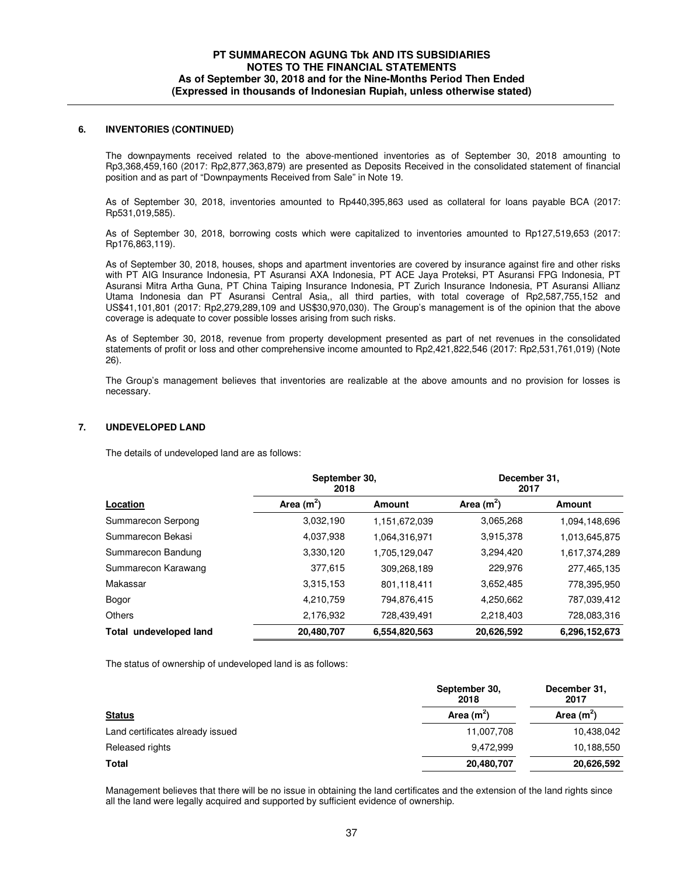#### **6. INVENTORIES (CONTINUED)**

 The downpayments received related to the above-mentioned inventories as of September 30, 2018 amounting to Rp3,368,459,160 (2017: Rp2,877,363,879) are presented as Deposits Received in the consolidated statement of financial position and as part of "Downpayments Received from Sale" in Note 19.

 As of September 30, 2018, inventories amounted to Rp440,395,863 used as collateral for loans payable BCA (2017: Rp531,019,585).

As of September 30, 2018, borrowing costs which were capitalized to inventories amounted to Rp127,519,653 (2017: Rp176,863,119).

As of September 30, 2018, houses, shops and apartment inventories are covered by insurance against fire and other risks with PT AIG Insurance Indonesia, PT Asuransi AXA Indonesia, PT ACE Jaya Proteksi, PT Asuransi FPG Indonesia, PT Asuransi Mitra Artha Guna, PT China Taiping Insurance Indonesia, PT Zurich Insurance Indonesia, PT Asuransi Allianz Utama Indonesia dan PT Asuransi Central Asia,, all third parties, with total coverage of Rp2,587,755,152 and US\$41,101,801 (2017: Rp2,279,289,109 and US\$30,970,030). The Group's management is of the opinion that the above coverage is adequate to cover possible losses arising from such risks.

As of September 30, 2018, revenue from property development presented as part of net revenues in the consolidated statements of profit or loss and other comprehensive income amounted to Rp2,421,822,546 (2017: Rp2,531,761,019) (Note 26).

The Group's management believes that inventories are realizable at the above amounts and no provision for losses is necessary.

#### **7. UNDEVELOPED LAND**

The details of undeveloped land are as follows:

|                        | September 30,<br>2018 |               | December 31,<br>2017 |               |
|------------------------|-----------------------|---------------|----------------------|---------------|
| Location               | Area $(m^2)$          | <b>Amount</b> | Area $(m^2)$         | Amount        |
| Summarecon Serpong     | 3,032,190             | 1,151,672,039 | 3,065,268            | 1,094,148,696 |
| Summarecon Bekasi      | 4,037,938             | 1,064,316,971 | 3,915,378            | 1,013,645,875 |
| Summarecon Bandung     | 3,330,120             | 1,705,129,047 | 3,294,420            | 1,617,374,289 |
| Summarecon Karawang    | 377,615               | 309,268,189   | 229,976              | 277,465,135   |
| Makassar               | 3,315,153             | 801.118.411   | 3,652,485            | 778,395,950   |
| Bogor                  | 4,210,759             | 794.876.415   | 4,250,662            | 787,039,412   |
| Others                 | 2,176,932             | 728,439,491   | 2,218,403            | 728,083,316   |
| Total undeveloped land | 20,480,707            | 6,554,820,563 | 20,626,592           | 6,296,152,673 |

The status of ownership of undeveloped land is as follows:

|                                  | September 30,<br>2018 | December 31,<br>2017 |
|----------------------------------|-----------------------|----------------------|
| <b>Status</b>                    | Area $(m2)$           | Area $(m^2)$         |
| Land certificates already issued | 11,007,708            | 10,438,042           |
| Released rights                  | 9,472,999             | 10,188,550           |
| Total                            | 20,480,707            | 20,626,592           |

Management believes that there will be no issue in obtaining the land certificates and the extension of the land rights since all the land were legally acquired and supported by sufficient evidence of ownership.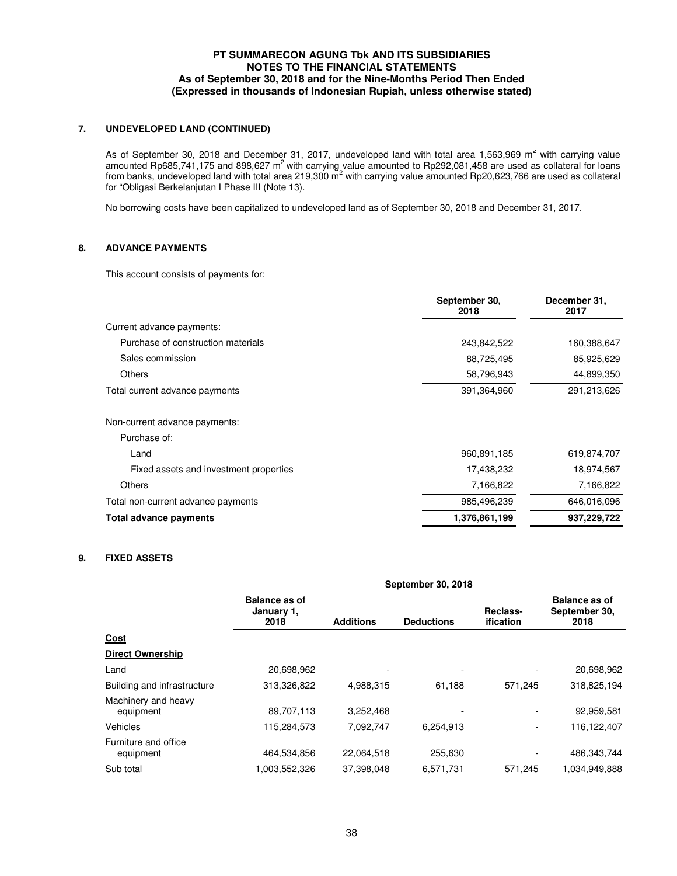## **7. UNDEVELOPED LAND (CONTINUED)**

As of September 30, 2018 and December 31, 2017, undeveloped land with total area 1,563,969  $m^2$  with carrying value amounted Rp685,741,175 and 898,627 m<sup>2</sup> with carrying value amounted to Rp292,081,458 are used as collateral for loans from banks, undeveloped land with total area 219,300 m<sup>2</sup> with carrying value amounted Rp20,623,766 are used as collateral for "Obligasi Berkelanjutan I Phase III (Note 13).

No borrowing costs have been capitalized to undeveloped land as of September 30, 2018 and December 31, 2017.

### **8. ADVANCE PAYMENTS**

This account consists of payments for:

|                                    | September 30,<br>2018 | December 31,<br>2017 |
|------------------------------------|-----------------------|----------------------|
| Current advance payments:          |                       |                      |
| Purchase of construction materials | 243,842,522           | 160,388,647          |
| Sales commission                   | 88,725,495            | 85,925,629           |
| Others                             | 58,796,943            | 44,899,350           |
| Total current advance payments     | 391,364,960           | 291,213,626          |

Non-current advance payments:

| Total advance payments                 | 1,376,861,199 | 937,229,722 |
|----------------------------------------|---------------|-------------|
| Total non-current advance payments     | 985,496,239   | 646,016,096 |
| Others                                 | 7.166.822     | 7,166,822   |
| Fixed assets and investment properties | 17,438,232    | 18,974,567  |
| Land                                   | 960,891,185   | 619,874,707 |
| Purchase of:                           |               |             |

### **9. FIXED ASSETS**

|                                   |                                            | <b>September 30, 2018</b> |                   |                          |                                               |  |
|-----------------------------------|--------------------------------------------|---------------------------|-------------------|--------------------------|-----------------------------------------------|--|
|                                   | <b>Balance as of</b><br>January 1,<br>2018 | <b>Additions</b>          | <b>Deductions</b> | Reclass-<br>ification    | <b>Balance as of</b><br>September 30,<br>2018 |  |
| Cost                              |                                            |                           |                   |                          |                                               |  |
| <b>Direct Ownership</b>           |                                            |                           |                   |                          |                                               |  |
| Land                              | 20,698,962                                 |                           |                   |                          | 20,698,962                                    |  |
| Building and infrastructure       | 313,326,822                                | 4.988.315                 | 61.188            | 571,245                  | 318,825,194                                   |  |
| Machinery and heavy<br>equipment  | 89,707,113                                 | 3,252,468                 |                   |                          | 92,959,581                                    |  |
| Vehicles                          | 115,284,573                                | 7,092,747                 | 6.254.913         | $\overline{\phantom{a}}$ | 116,122,407                                   |  |
| Furniture and office<br>equipment | 464,534,856                                | 22.064.518                | 255,630           | $\overline{\phantom{a}}$ | 486,343,744                                   |  |
| Sub total                         | 1,003,552,326                              | 37,398,048                | 6,571,731         | 571,245                  | 1,034,949,888                                 |  |
|                                   |                                            |                           |                   |                          |                                               |  |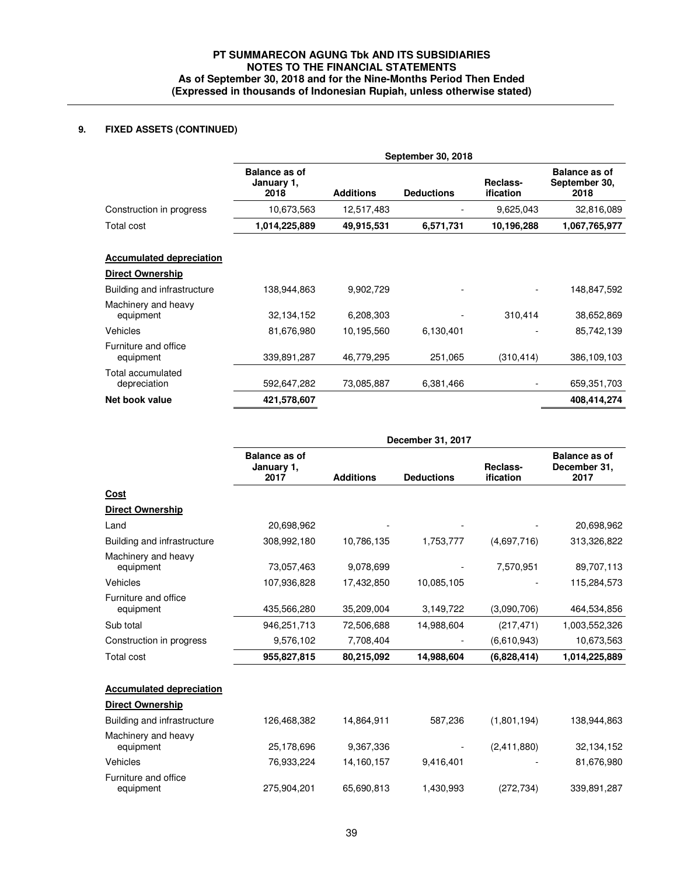## **9. FIXED ASSETS (CONTINUED)**

|                                   | September 30, 2018                         |                  |                   |                              |                                               |
|-----------------------------------|--------------------------------------------|------------------|-------------------|------------------------------|-----------------------------------------------|
|                                   | <b>Balance as of</b><br>January 1,<br>2018 | <b>Additions</b> | <b>Deductions</b> | Reclass-<br><b>ification</b> | <b>Balance as of</b><br>September 30,<br>2018 |
| Construction in progress          | 10,673,563                                 | 12,517,483       |                   | 9,625,043                    | 32,816,089                                    |
| Total cost                        | 1,014,225,889                              | 49,915,531       | 6,571,731         | 10,196,288                   | 1,067,765,977                                 |
| <b>Accumulated depreciation</b>   |                                            |                  |                   |                              |                                               |
| <b>Direct Ownership</b>           |                                            |                  |                   |                              |                                               |
| Building and infrastructure       | 138,944,863                                | 9,902,729        |                   |                              | 148,847,592                                   |
| Machinery and heavy<br>equipment  | 32, 134, 152                               | 6,208,303        |                   | 310,414                      | 38,652,869                                    |
| Vehicles                          | 81,676,980                                 | 10,195,560       | 6,130,401         |                              | 85,742,139                                    |
| Furniture and office<br>equipment | 339,891,287                                | 46,779,295       | 251,065           | (310, 414)                   | 386,109,103                                   |
| Total accumulated<br>depreciation | 592,647,282                                | 73,085,887       | 6,381,466         |                              | 659,351,703                                   |
| Net book value                    | 421,578,607                                |                  |                   |                              | 408,414,274                                   |

|                                   | December 31, 2017                          |                  |                   |                              |                                              |
|-----------------------------------|--------------------------------------------|------------------|-------------------|------------------------------|----------------------------------------------|
|                                   | <b>Balance as of</b><br>January 1,<br>2017 | <b>Additions</b> | <b>Deductions</b> | Reclass-<br><b>ification</b> | <b>Balance as of</b><br>December 31,<br>2017 |
| <b>Cost</b>                       |                                            |                  |                   |                              |                                              |
| <b>Direct Ownership</b>           |                                            |                  |                   |                              |                                              |
| Land                              | 20,698,962                                 |                  |                   |                              | 20,698,962                                   |
| Building and infrastructure       | 308,992,180                                | 10,786,135       | 1,753,777         | (4,697,716)                  | 313,326,822                                  |
| Machinery and heavy<br>equipment  | 73,057,463                                 | 9,078,699        |                   | 7,570,951                    | 89,707,113                                   |
| Vehicles                          | 107,936,828                                | 17,432,850       | 10,085,105        |                              | 115,284,573                                  |
| Furniture and office<br>equipment | 435,566,280                                | 35,209,004       | 3,149,722         | (3,090,706)                  | 464,534,856                                  |
| Sub total                         | 946,251,713                                | 72,506,688       | 14,988,604        | (217, 471)                   | 1,003,552,326                                |
| Construction in progress          | 9,576,102                                  | 7,708,404        |                   | (6,610,943)                  | 10,673,563                                   |
| Total cost                        | 955,827,815                                | 80,215,092       | 14,988,604        | (6,828,414)                  | 1,014,225,889                                |
| <b>Accumulated depreciation</b>   |                                            |                  |                   |                              |                                              |
| <b>Direct Ownership</b>           |                                            |                  |                   |                              |                                              |
| Building and infrastructure       | 126,468,382                                | 14,864,911       | 587,236           | (1,801,194)                  | 138,944,863                                  |
| Machinery and heavy<br>equipment  | 25,178,696                                 | 9,367,336        |                   | (2,411,880)                  | 32,134,152                                   |
| Vehicles                          | 76,933,224                                 | 14,160,157       | 9,416,401         |                              | 81,676,980                                   |
| Furniture and office<br>equipment | 275,904,201                                | 65,690,813       | 1,430,993         | (272, 734)                   | 339,891,287                                  |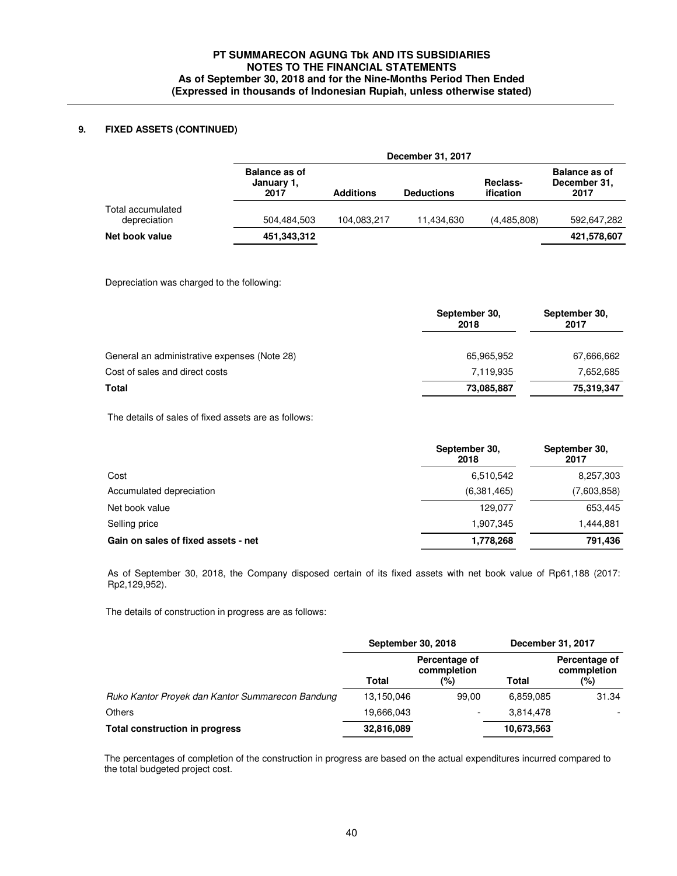## **9. FIXED ASSETS (CONTINUED)**

|                                   | December 31, 2017                          |                  |                   |                       |                                              |  |
|-----------------------------------|--------------------------------------------|------------------|-------------------|-----------------------|----------------------------------------------|--|
|                                   | <b>Balance as of</b><br>January 1,<br>2017 | <b>Additions</b> | <b>Deductions</b> | Reclass-<br>ification | <b>Balance as of</b><br>December 31,<br>2017 |  |
| Total accumulated<br>depreciation | 504.484.503                                | 104,083,217      | 11.434.630        | (4,485,808)           | 592,647,282                                  |  |
| Net book value                    | 451,343,312                                |                  |                   |                       | 421,578,607                                  |  |

Depreciation was charged to the following:

|                                              | September 30,<br>2018 | September 30,<br>2017 |
|----------------------------------------------|-----------------------|-----------------------|
| General an administrative expenses (Note 28) | 65,965,952            | 67,666,662            |
| Cost of sales and direct costs               | 7,119,935             | 7,652,685             |
| Total                                        | 73,085,887            | 75,319,347            |

The details of sales of fixed assets are as follows:

|                                     | September 30,<br>2018 | September 30,<br>2017 |
|-------------------------------------|-----------------------|-----------------------|
| Cost                                | 6,510,542             | 8,257,303             |
| Accumulated depreciation            | (6,381,465)           | (7,603,858)           |
| Net book value                      | 129.077               | 653,445               |
| Selling price                       | 1,907,345             | 1,444,881             |
| Gain on sales of fixed assets - net | 1,778,268             | 791,436               |

 As of September 30, 2018, the Company disposed certain of its fixed assets with net book value of Rp61,188 (2017: Rp2,129,952).

The details of construction in progress are as follows:

|                                                  | <b>September 30, 2018</b> |                              | December 31, 2017 |                              |
|--------------------------------------------------|---------------------------|------------------------------|-------------------|------------------------------|
|                                                  |                           | Percentage of<br>commpletion |                   | Percentage of<br>commpletion |
|                                                  | Total                     | (%)                          | Total             | (%)                          |
| Ruko Kantor Proyek dan Kantor Summarecon Bandung | 13,150,046                | 99.00                        | 6,859,085         | 31.34                        |
| <b>Others</b>                                    | 19,666,043                |                              | 3,814,478         |                              |
| <b>Total construction in progress</b>            | 32,816,089                |                              | 10,673,563        |                              |

The percentages of completion of the construction in progress are based on the actual expenditures incurred compared to the total budgeted project cost.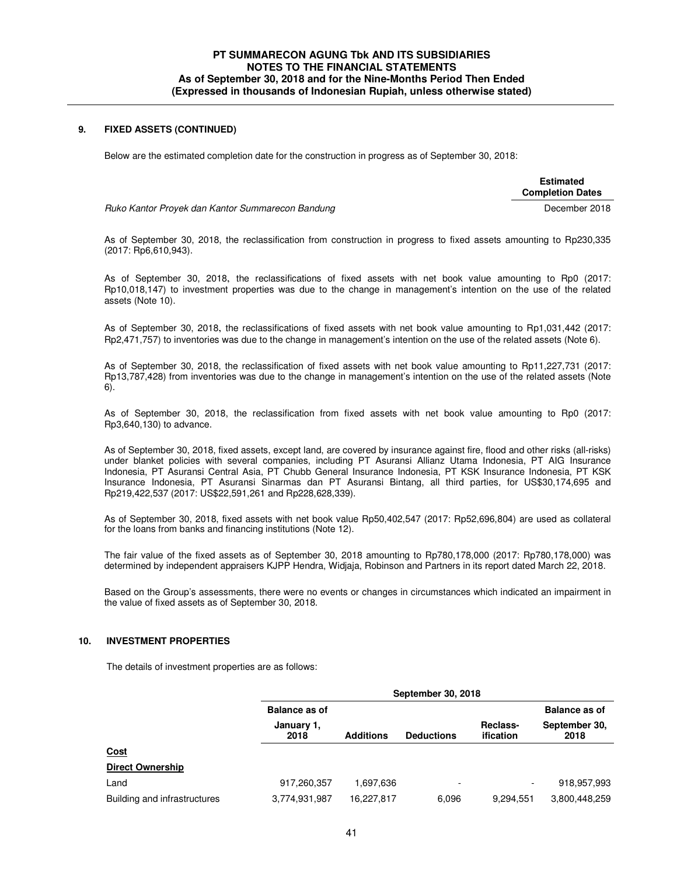#### **9. FIXED ASSETS (CONTINUED)**

Below are the estimated completion date for the construction in progress as of September 30, 2018:

 **Estimated Completion Dates** 

Ruko Kantor Proyek dan Kantor Summarecon Bandung dengan di pasar pasawan di Becember 2018

 As of September 30, 2018, the reclassification from construction in progress to fixed assets amounting to Rp230,335 (2017: Rp6,610,943).

As of September 30, 2018, the reclassifications of fixed assets with net book value amounting to Rp0 (2017: Rp10,018,147) to investment properties was due to the change in management's intention on the use of the related assets (Note 10).

As of September 30, 2018, the reclassifications of fixed assets with net book value amounting to Rp1,031,442 (2017: Rp2,471,757) to inventories was due to the change in management's intention on the use of the related assets (Note 6).

 As of September 30, 2018, the reclassification of fixed assets with net book value amounting to Rp11,227,731 (2017: Rp13,787,428) from inventories was due to the change in management's intention on the use of the related assets (Note 6).

 As of September 30, 2018, the reclassification from fixed assets with net book value amounting to Rp0 (2017: Rp3,640,130) to advance.

 As of September 30, 2018, fixed assets, except land, are covered by insurance against fire, flood and other risks (all-risks) under blanket policies with several companies, including PT Asuransi Allianz Utama Indonesia, PT AIG Insurance Indonesia, PT Asuransi Central Asia, PT Chubb General Insurance Indonesia, PT KSK Insurance Indonesia, PT KSK Insurance Indonesia, PT Asuransi Sinarmas dan PT Asuransi Bintang, all third parties, for US\$30,174,695 and Rp219,422,537 (2017: US\$22,591,261 and Rp228,628,339).

As of September 30, 2018, fixed assets with net book value Rp50,402,547 (2017: Rp52,696,804) are used as collateral for the loans from banks and financing institutions (Note 12).

 The fair value of the fixed assets as of September 30, 2018 amounting to Rp780,178,000 (2017: Rp780,178,000) was determined by independent appraisers KJPP Hendra, Widjaja, Robinson and Partners in its report dated March 22, 2018.

Based on the Group's assessments, there were no events or changes in circumstances which indicated an impairment in the value of fixed assets as of September 30, 2018.

#### **10. INVESTMENT PROPERTIES**

The details of investment properties are as follows:

| <b>Balance as of</b> |                  |                          |                          |                       |
|----------------------|------------------|--------------------------|--------------------------|-----------------------|
|                      |                  |                          |                          | <b>Balance as of</b>  |
| January 1,<br>2018   | <b>Additions</b> | <b>Deductions</b>        | Reclass-<br>ification    | September 30,<br>2018 |
|                      |                  |                          |                          |                       |
|                      |                  |                          |                          |                       |
| 917,260,357          | 1,697,636        | $\overline{\phantom{0}}$ | $\overline{\phantom{a}}$ | 918,957,993           |
| 3,774,931,987        | 16,227,817       | 6,096                    | 9,294,551                | 3,800,448,259         |
|                      |                  |                          |                          |                       |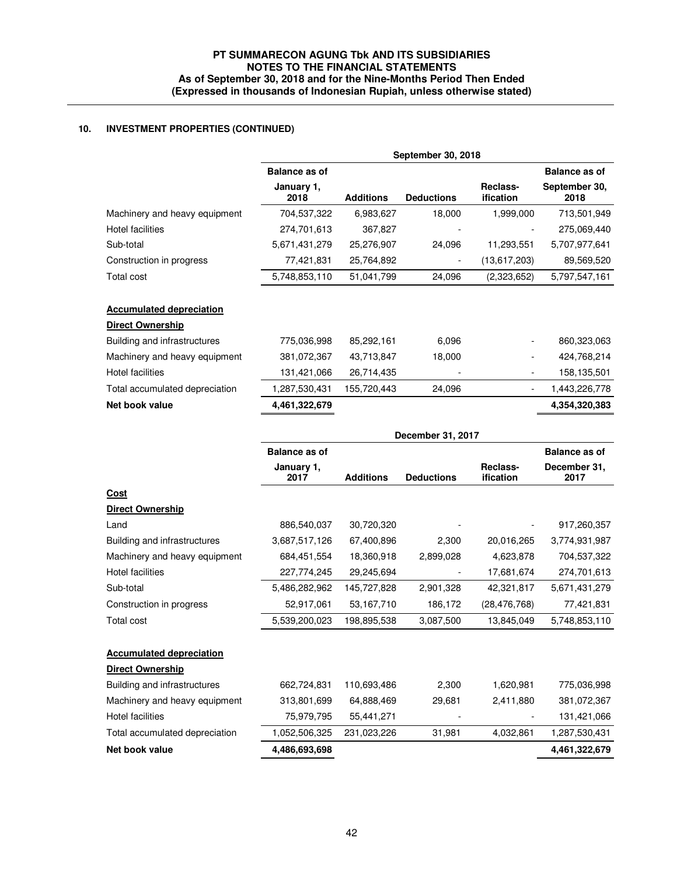# **10. INVESTMENT PROPERTIES (CONTINUED)**

|                                 | September 30, 2018   |                  |                   |                              |                       |
|---------------------------------|----------------------|------------------|-------------------|------------------------------|-----------------------|
|                                 | <b>Balance as of</b> |                  |                   |                              | <b>Balance as of</b>  |
|                                 | January 1,<br>2018   | <b>Additions</b> | <b>Deductions</b> | Reclass-<br>ification        | September 30,<br>2018 |
| Machinery and heavy equipment   | 704,537,322          | 6,983,627        | 18,000            | 1,999,000                    | 713,501,949           |
| <b>Hotel facilities</b>         | 274,701,613          | 367,827          |                   |                              | 275,069,440           |
| Sub-total                       | 5,671,431,279        | 25,276,907       | 24,096            | 11,293,551                   | 5,707,977,641         |
| Construction in progress        | 77,421,831           | 25,764,892       |                   | (13,617,203)                 | 89,569,520            |
| Total cost                      | 5,748,853,110        | 51,041,799       | 24,096            | (2,323,652)                  | 5,797,547,161         |
| <b>Accumulated depreciation</b> |                      |                  |                   |                              |                       |
| <b>Direct Ownership</b>         |                      |                  |                   |                              |                       |
| Building and infrastructures    | 775,036,998          | 85,292,161       | 6,096             | $\qquad \qquad \blacksquare$ | 860,323,063           |
| Machinery and heavy equipment   | 381,072,367          | 43,713,847       | 18,000            |                              | 424,768,214           |
| Hotel facilities                | 131,421,066          | 26,714,435       |                   |                              | 158,135,501           |
| Total accumulated depreciation  | 1,287,530,431        | 155,720,443      | 24,096            | $\overline{a}$               | 1,443,226,778         |
| Net book value                  | 4,461,322,679        |                  |                   |                              | 4,354,320,383         |
|                                 |                      |                  | December 31, 2017 |                              |                       |
|                                 | <b>Balance as of</b> |                  |                   |                              | <b>Balance as of</b>  |
|                                 | January 1,<br>2017   | <b>Additions</b> | <b>Deductions</b> | Reclass-<br>ification        | December 31,<br>2017  |
| Cost                            |                      |                  |                   |                              |                       |
| <b>Direct Ownership</b>         |                      |                  |                   |                              |                       |
| Land                            | 886,540,037          | 30,720,320       |                   |                              | 917,260,357           |
| Building and infrastructures    | 3,687,517,126        | 67,400,896       | 2,300             | 20,016,265                   | 3,774,931,987         |
| Machinery and heavy equipment   | 684,451,554          | 18,360,918       | 2,899,028         | 4,623,878                    | 704,537,322           |
| <b>Hotel facilities</b>         | 227,774,245          | 29,245,694       |                   | 17,681,674                   | 274,701,613           |
| Sub-total                       | 5,486,282,962        | 145,727,828      | 2,901,328         | 42,321,817                   | 5,671,431,279         |
| Construction in progress        | 52,917,061           | 53,167,710       | 186,172           | (28, 476, 768)               | 77,421,831            |
| Total cost                      | 5,539,200,023        | 198,895,538      | 3,087,500         | 13,845,049                   | 5,748,853,110         |
| <b>Accumulated depreciation</b> |                      |                  |                   |                              |                       |
| <b>Direct Ownership</b>         |                      |                  |                   |                              |                       |
| Building and infrastructures    | 662,724,831          | 110,693,486      | 2,300             | 1,620,981                    | 775,036,998           |
| Machinery and heavy equipment   | 313,801,699          | 64,888,469       | 29,681            | 2,411,880                    | 381,072,367           |
| <b>Hotel facilities</b>         | 75,979,795           | 55,441,271       |                   |                              | 131,421,066           |
| Total accumulated depreciation  | 1,052,506,325        | 231,023,226      | 31,981            | 4,032,861                    | 1,287,530,431         |
| Net book value                  | 4,486,693,698        |                  |                   |                              | 4,461,322,679         |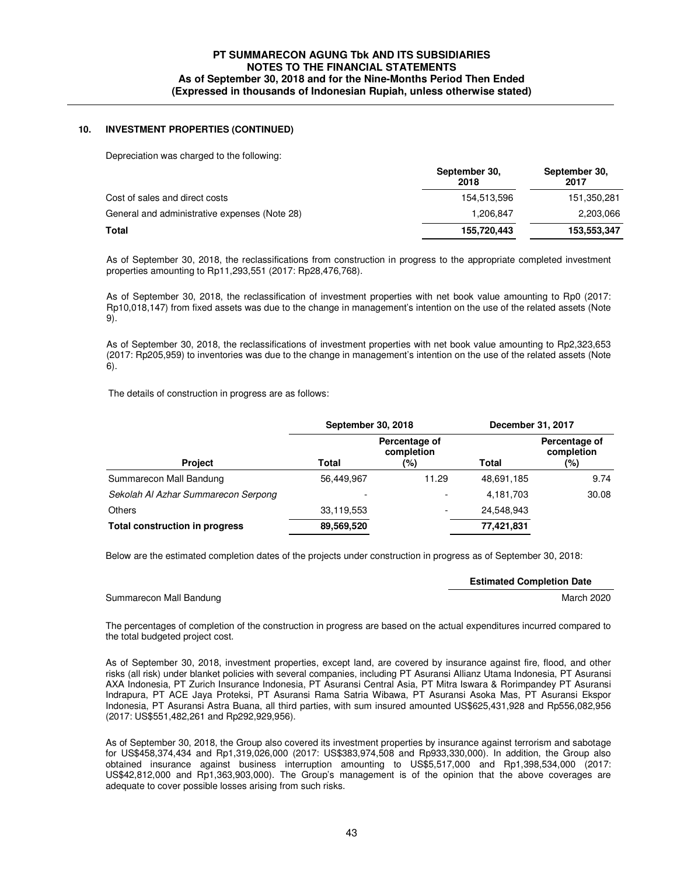### **10. INVESTMENT PROPERTIES (CONTINUED)**

Depreciation was charged to the following:

|                                               | September 30,<br>2018 | September 30,<br>2017 |
|-----------------------------------------------|-----------------------|-----------------------|
| Cost of sales and direct costs                | 154.513.596           | 151,350,281           |
| General and administrative expenses (Note 28) | 1,206,847             | 2,203,066             |
| Total                                         | 155,720,443           | 153,553,347           |

As of September 30, 2018, the reclassifications from construction in progress to the appropriate completed investment properties amounting to Rp11,293,551 (2017: Rp28,476,768).

As of September 30, 2018, the reclassification of investment properties with net book value amounting to Rp0 (2017: Rp10,018,147) from fixed assets was due to the change in management's intention on the use of the related assets (Note 9).

As of September 30, 2018, the reclassifications of investment properties with net book value amounting to Rp2,323,653 (2017: Rp205,959) to inventories was due to the change in management's intention on the use of the related assets (Note 6).

The details of construction in progress are as follows:

|                                       | September 30, 2018 |                                    | December 31, 2017 |                                    |
|---------------------------------------|--------------------|------------------------------------|-------------------|------------------------------------|
| <b>Project</b>                        | Total              | Percentage of<br>completion<br>(%) | Total             | Percentage of<br>completion<br>(%) |
| Summarecon Mall Bandung               | 56,449,967         | 11.29                              | 48,691,185        | 9.74                               |
| Sekolah Al Azhar Summarecon Serpong   |                    |                                    | 4,181,703         | 30.08                              |
| <b>Others</b>                         | 33,119,553         |                                    | 24,548,943        |                                    |
| <b>Total construction in progress</b> | 89,569,520         |                                    | 77,421,831        |                                    |

Below are the estimated completion dates of the projects under construction in progress as of September 30, 2018:

**Estimated Completion Date** 

Summarecon Mall Bandung March 2020 and the Summarecon March 2020 and the Summarecon March 2020

 The percentages of completion of the construction in progress are based on the actual expenditures incurred compared to the total budgeted project cost.

 As of September 30, 2018, investment properties, except land, are covered by insurance against fire, flood, and other risks (all risk) under blanket policies with several companies, including PT Asuransi Allianz Utama Indonesia, PT Asuransi AXA Indonesia, PT Zurich Insurance Indonesia, PT Asuransi Central Asia, PT Mitra Iswara & Rorimpandey PT Asuransi Indrapura, PT ACE Jaya Proteksi, PT Asuransi Rama Satria Wibawa, PT Asuransi Asoka Mas, PT Asuransi Ekspor Indonesia, PT Asuransi Astra Buana, all third parties, with sum insured amounted US\$625,431,928 and Rp556,082,956 (2017: US\$551,482,261 and Rp292,929,956).

 As of September 30, 2018, the Group also covered its investment properties by insurance against terrorism and sabotage for US\$458,374,434 and Rp1,319,026,000 (2017: US\$383,974,508 and Rp933,330,000). In addition, the Group also obtained insurance against business interruption amounting to US\$5,517,000 and Rp1,398,534,000 (2017: US\$42,812,000 and Rp1,363,903,000). The Group's management is of the opinion that the above coverages are adequate to cover possible losses arising from such risks.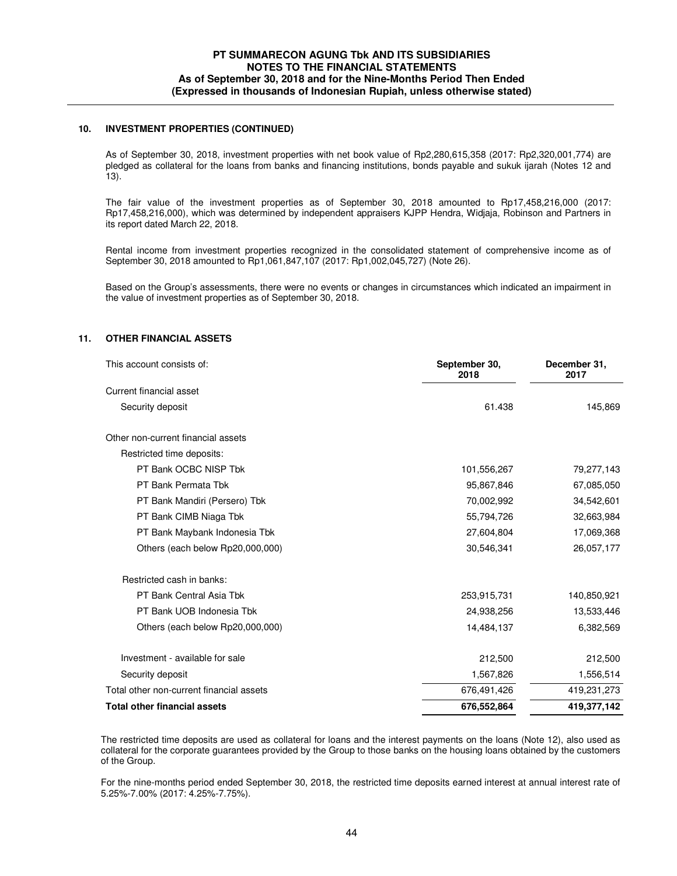#### **10. INVESTMENT PROPERTIES (CONTINUED)**

 As of September 30, 2018, investment properties with net book value of Rp2,280,615,358 (2017: Rp2,320,001,774) are pledged as collateral for the loans from banks and financing institutions, bonds payable and sukuk ijarah (Notes 12 and 13).

 The fair value of the investment properties as of September 30, 2018 amounted to Rp17,458,216,000 (2017: Rp17,458,216,000), which was determined by independent appraisers KJPP Hendra, Widjaja, Robinson and Partners in its report dated March 22, 2018.

Rental income from investment properties recognized in the consolidated statement of comprehensive income as of September 30, 2018 amounted to Rp1,061,847,107 (2017: Rp1,002,045,727) (Note 26).

 Based on the Group's assessments, there were no events or changes in circumstances which indicated an impairment in the value of investment properties as of September 30, 2018.

### **11. OTHER FINANCIAL ASSETS**

| This account consists of:                | September 30,<br>2018 | December 31,<br>2017 |
|------------------------------------------|-----------------------|----------------------|
| Current financial asset                  |                       |                      |
| Security deposit                         | 61.438                | 145,869              |
| Other non-current financial assets       |                       |                      |
| Restricted time deposits:                |                       |                      |
| PT Bank OCBC NISP Tbk                    | 101,556,267           | 79,277,143           |
| PT Bank Permata Tbk                      | 95,867,846            | 67,085,050           |
| PT Bank Mandiri (Persero) Tbk            | 70,002,992            | 34,542,601           |
| PT Bank CIMB Niaga Tbk                   | 55,794,726            | 32,663,984           |
| PT Bank Maybank Indonesia Tbk            | 27,604,804            | 17,069,368           |
| Others (each below Rp20,000,000)         | 30,546,341            | 26,057,177           |
| Restricted cash in banks:                |                       |                      |
| PT Bank Central Asia Tbk                 | 253,915,731           | 140,850,921          |
| PT Bank UOB Indonesia Tbk                | 24,938,256            | 13,533,446           |
| Others (each below Rp20,000,000)         | 14,484,137            | 6,382,569            |
| Investment - available for sale          | 212,500               | 212,500              |
| Security deposit                         | 1,567,826             | 1,556,514            |
| Total other non-current financial assets | 676,491,426           | 419,231,273          |
| <b>Total other financial assets</b>      | 676,552,864           | 419,377,142          |

The restricted time deposits are used as collateral for loans and the interest payments on the loans (Note 12), also used as collateral for the corporate guarantees provided by the Group to those banks on the housing loans obtained by the customers of the Group.

For the nine-months period ended September 30, 2018, the restricted time deposits earned interest at annual interest rate of 5.25%-7.00% (2017: 4.25%-7.75%).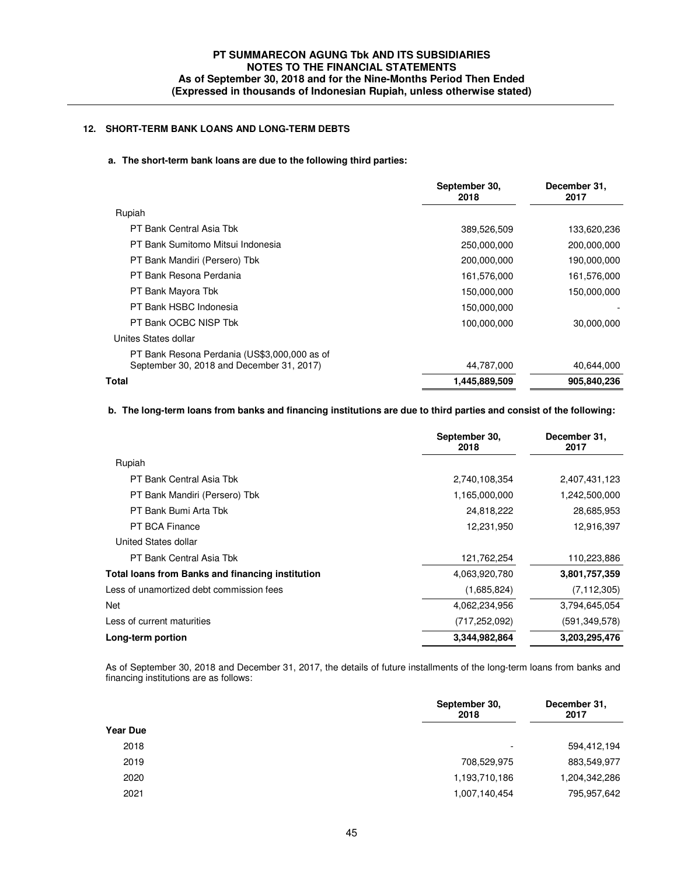## **12. SHORT-TERM BANK LOANS AND LONG-TERM DEBTS**

#### **a. The short-term bank loans are due to the following third parties:**

|                                                                                           | September 30,<br>2018 | December 31,<br>2017 |
|-------------------------------------------------------------------------------------------|-----------------------|----------------------|
| Rupiah                                                                                    |                       |                      |
| PT Bank Central Asia Tbk                                                                  | 389,526,509           | 133,620,236          |
| PT Bank Sumitomo Mitsui Indonesia                                                         | 250,000,000           | 200,000,000          |
| PT Bank Mandiri (Persero) Tbk                                                             | 200,000,000           | 190,000,000          |
| PT Bank Resona Perdania                                                                   | 161,576,000           | 161,576,000          |
| PT Bank Mayora Tbk                                                                        | 150,000,000           | 150,000,000          |
| PT Bank HSBC Indonesia                                                                    | 150,000,000           |                      |
| PT Bank OCBC NISP Tbk                                                                     | 100,000,000           | 30,000,000           |
| Unites States dollar                                                                      |                       |                      |
| PT Bank Resona Perdania (US\$3,000,000 as of<br>September 30, 2018 and December 31, 2017) | 44,787,000            | 40,644,000           |
| Total                                                                                     | 1,445,889,509         | 905,840,236          |

## **b. The long-term loans from banks and financing institutions are due to third parties and consist of the following:**

|                                                         | September 30,<br>2018 | December 31,<br>2017 |
|---------------------------------------------------------|-----------------------|----------------------|
| Rupiah                                                  |                       |                      |
| PT Bank Central Asia Tbk                                | 2,740,108,354         | 2,407,431,123        |
| PT Bank Mandiri (Persero) Tbk                           | 1,165,000,000         | 1,242,500,000        |
| PT Bank Bumi Arta Tbk                                   | 24,818,222            | 28,685,953           |
| <b>PT BCA Finance</b>                                   | 12,231,950            | 12,916,397           |
| United States dollar                                    |                       |                      |
| PT Bank Central Asia Tbk                                | 121,762,254           | 110,223,886          |
| <b>Total loans from Banks and financing institution</b> | 4,063,920,780         | 3,801,757,359        |
| Less of unamortized debt commission fees                | (1,685,824)           | (7, 112, 305)        |
| Net                                                     | 4,062,234,956         | 3,794,645,054        |
| Less of current maturities                              | (717, 252, 092)       | (591, 349, 578)      |
| Long-term portion                                       | 3,344,982,864         | 3,203,295,476        |
|                                                         |                       |                      |

 As of September 30, 2018 and December 31, 2017, the details of future installments of the long-term loans from banks and financing institutions are as follows:

|                 | September 30,<br>2018    | December 31,<br>2017 |
|-----------------|--------------------------|----------------------|
| <b>Year Due</b> |                          |                      |
| 2018            | $\overline{\phantom{a}}$ | 594,412,194          |
| 2019            | 708,529,975              | 883,549,977          |
| 2020            | 1,193,710,186            | 1,204,342,286        |
| 2021            | 1,007,140,454            | 795,957,642          |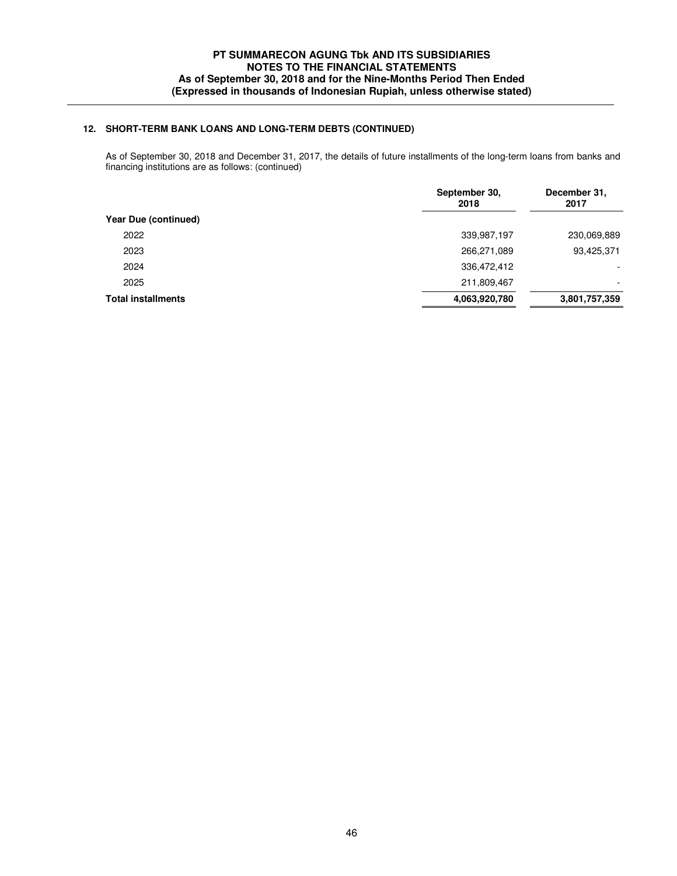## **12. SHORT-TERM BANK LOANS AND LONG-TERM DEBTS (CONTINUED)**

 As of September 30, 2018 and December 31, 2017, the details of future installments of the long-term loans from banks and financing institutions are as follows: (continued)

|                           | September 30,<br>2018 | December 31,<br>2017     |
|---------------------------|-----------------------|--------------------------|
| Year Due (continued)      |                       |                          |
| 2022                      | 339,987,197           | 230,069,889              |
| 2023                      | 266,271,089           | 93,425,371               |
| 2024                      | 336,472,412           | $\overline{\phantom{0}}$ |
| 2025                      | 211,809,467           | $\overline{\phantom{a}}$ |
| <b>Total installments</b> | 4,063,920,780         | 3,801,757,359            |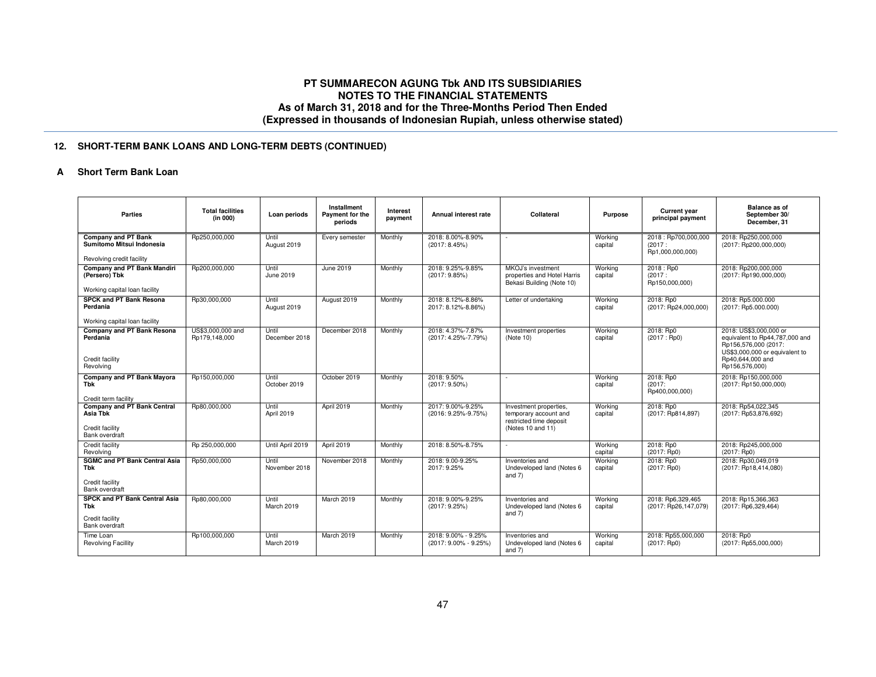## **12. SHORT-TERM BANK LOANS AND LONG-TERM DEBTS (CONTINUED)**

### **A Short Term Bank Loan**

| <b>Parties</b>                                                                      | <b>Total facilities</b><br>(in 000) | Loan periods           | Installment<br>Payment for the<br>periods | Interest<br>payment | Annual interest rate                         | Collateral                                                                                      | <b>Purpose</b>     | <b>Current year</b><br>principal payment          | <b>Balance as of</b><br>September 30/<br>December, 31                                                                                                    |
|-------------------------------------------------------------------------------------|-------------------------------------|------------------------|-------------------------------------------|---------------------|----------------------------------------------|-------------------------------------------------------------------------------------------------|--------------------|---------------------------------------------------|----------------------------------------------------------------------------------------------------------------------------------------------------------|
| <b>Company and PT Bank</b><br>Sumitomo Mitsui Indonesia                             | Rp250,000,000                       | Until<br>August 2019   | Every semester                            | Monthly             | 2018: 8.00%-8.90%<br>(2017:8.45%)            |                                                                                                 | Working<br>capital | 2018: Rp700,000,000<br>(2017:<br>Rp1,000,000,000) | 2018: Rp250,000,000<br>(2017: Rp200,000,000)                                                                                                             |
| Revolving credit facility                                                           |                                     |                        |                                           |                     |                                              |                                                                                                 |                    |                                                   |                                                                                                                                                          |
| Company and PT Bank Mandiri<br>(Persero) Tbk                                        | Rp200,000,000                       | Until<br>June 2019     | June 2019                                 | Monthly             | 2018: 9.25%-9.85%<br>(2017:9.85%)            | MKOJ's investment<br>properties and Hotel Harris<br>Bekasi Building (Note 10)                   | Working<br>capital | 2018 : Rp0<br>(2017:<br>Rp150,000,000)            | 2018: Rp200,000,000<br>(2017: Rp190,000,000)                                                                                                             |
| Working capital loan facility                                                       |                                     |                        |                                           |                     |                                              |                                                                                                 |                    |                                                   |                                                                                                                                                          |
| <b>SPCK and PT Bank Resona</b><br>Perdania                                          | Rp30,000,000                        | Until<br>August 2019   | August 2019                               | Monthly             | 2018: 8.12%-8.86%<br>2017: 8.12%-8.86%)      | Letter of undertaking                                                                           | Working<br>capital | 2018: Rp0<br>(2017: Rp24,000,000)                 | 2018: Rp5.000.000<br>(2017: Rp5.000.000)                                                                                                                 |
| Working capital loan facility                                                       |                                     |                        |                                           |                     |                                              |                                                                                                 |                    |                                                   |                                                                                                                                                          |
| Company and PT Bank Resona<br>Perdania<br>Credit facility<br>Revolving              | US\$3,000,000 and<br>Rp179.148.000  | Until<br>December 2018 | December 2018                             | Monthly             | 2018: 4.37%-7.87%<br>(2017: 4.25%-7.79%)     | Investment properties<br>(Note 10)                                                              | Working<br>capital | 2018: Rp0<br>(2017:Rp0)                           | 2018: US\$3,000,000 or<br>equivalent to Rp44,787,000 and<br>Rp156,576,000 (2017:<br>US\$3,000,000 or equivalent to<br>Rp40,644,000 and<br>Rp156,576,000) |
| Company and PT Bank Mayora<br><b>Tbk</b><br>Credit term facility                    | Rp150,000,000                       | Until<br>October 2019  | October 2019                              | Monthly             | 2018: 9.50%<br>$(2017:9.50\%)$               | $\sim$                                                                                          | Working<br>capital | 2018: Rp0<br>(2017)<br>Rp400,000,000)             | 2018: Rp150,000,000<br>(2017: Rp150,000,000)                                                                                                             |
| <b>Company and PT Bank Central</b><br>Asia Tbk<br>Credit facility<br>Bank overdraft | Rp80,000,000                        | Until<br>April 2019    | April 2019                                | Monthly             | 2017: 9.00%-9.25%<br>(2016: 9.25%-9.75%)     | Investment properties,<br>temporary account and<br>restricted time deposit<br>(Notes 10 and 11) | Working<br>capital | 2018: Rp0<br>(2017: Rp814,897)                    | 2018: Rp54,022,345<br>(2017: Rp53,876,692)                                                                                                               |
| Credit facility<br>Revolving                                                        | Rp 250,000,000                      | Until April 2019       | April 2019                                | Monthly             | 2018: 8.50%-8.75%                            |                                                                                                 | Working<br>capital | 2018: Rp0<br>(2017:Rp0)                           | 2018: Rp245,000,000<br>(2017:Rp0)                                                                                                                        |
| <b>SGMC and PT Bank Central Asia</b><br>Tbk<br>Credit facility<br>Bank overdraft    | Rp50,000,000                        | Until<br>November 2018 | November 2018                             | Monthly             | 2018: 9.00-9.25%<br>2017: 9.25%              | Inventories and<br>Undeveloped land (Notes 6<br>and $7)$                                        | Working<br>capital | 2018: Rp0<br>$(2017:$ Rp0)                        | 2018: Rp30,049,019<br>(2017: Rp18,414,080)                                                                                                               |
| <b>SPCK and PT Bank Central Asia</b><br>Tbk<br>Credit facility<br>Bank overdraft    | Rp80,000,000                        | Until<br>March 2019    | March 2019                                | Monthly             | 2018: 9.00%-9.25%<br>(2017: 9.25%)           | Inventories and<br>Undeveloped land (Notes 6<br>and $7)$                                        | Working<br>capital | 2018: Rp6,329,465<br>(2017: Rp26,147,079)         | 2018: Rp15,366,363<br>(2017: Rp6,329,464)                                                                                                                |
| Time Loan<br><b>Revolving Facillity</b>                                             | Rp100,000,000                       | Until<br>March 2019    | March 2019                                | Monthly             | 2018: 9.00% - 9.25%<br>(2017: 9.00% - 9.25%) | Inventories and<br>Undeveloped land (Notes 6<br>and $7)$                                        | Working<br>capital | 2018: Rp55,000,000<br>$(2017:$ Rp0)               | 2018: Rp0<br>(2017: Rp55,000,000)                                                                                                                        |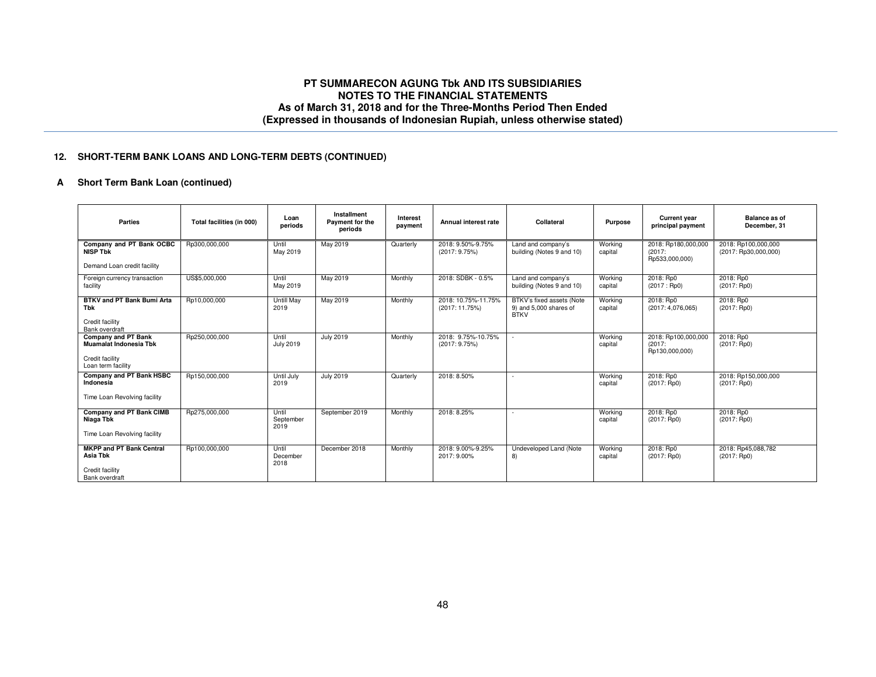## **12. SHORT-TERM BANK LOANS AND LONG-TERM DEBTS (CONTINUED)**

## **A Short Term Bank Loan (continued)**

| <b>Parties</b>                                                                                       | Total facilities (in 000) | Loan<br>periods            | Installment<br>Payment for the<br>periods | Interest<br>payment | Annual interest rate                  | Collateral                                                         | <b>Purpose</b>     | <b>Current year</b><br>principal payment        | Balance as of<br>December, 31               |
|------------------------------------------------------------------------------------------------------|---------------------------|----------------------------|-------------------------------------------|---------------------|---------------------------------------|--------------------------------------------------------------------|--------------------|-------------------------------------------------|---------------------------------------------|
| Company and PT Bank OCBC<br><b>NISP Tbk</b>                                                          | Rp300,000,000             | Until<br>May 2019          | May 2019                                  | Quarterly           | 2018: 9.50%-9.75%<br>(2017:9.75%)     | Land and company's<br>building (Notes 9 and 10)                    | Working<br>capital | 2018: Rp180,000,000<br>(2017)<br>Rp533,000,000) | 2018: Rp100,000,000<br>(2017: Rp30,000,000) |
| Demand Loan credit facility                                                                          |                           |                            |                                           |                     |                                       |                                                                    |                    |                                                 |                                             |
| Foreign currency transaction<br>facility                                                             | US\$5,000,000             | Until<br>May 2019          | May 2019                                  | Monthly             | 2018: SDBK - 0.5%                     | Land and company's<br>building (Notes 9 and 10)                    | Working<br>capital | 2018: Rp0<br>(2017:Rp0)                         | 2018: Rp0<br>(2017:Rp0)                     |
| BTKV and PT Bank Bumi Arta<br>Tbk<br>Credit facility                                                 | Rp10,000,000              | <b>Untill May</b><br>2019  | May 2019                                  | Monthly             | 2018: 10.75%-11.75%<br>(2017: 11.75%) | BTKV's fixed assets (Note<br>9) and 5,000 shares of<br><b>BTKV</b> | Working<br>capital | 2018: Rp0<br>(2017:4.076.065)                   | 2018: Rp0<br>$(2017:$ Rp0)                  |
| Bank overdraft                                                                                       |                           |                            |                                           |                     |                                       |                                                                    |                    |                                                 |                                             |
| <b>Company and PT Bank</b><br><b>Muamalat Indonesia Tbk</b><br>Credit facility<br>Loan term facility | Rp250,000,000             | Until<br><b>July 2019</b>  | <b>July 2019</b>                          | Monthly             | 2018: 9.75%-10.75%<br>(2017:9.75%)    |                                                                    | Working<br>capital | 2018: Rp100,000,000<br>(2017)<br>Rp130,000,000) | 2018: Rp0<br>(2017:Rp0)                     |
| Company and PT Bank HSBC<br>Indonesia<br>Time Loan Revolving facility                                | Rp150,000,000             | Until July<br>2019         | <b>July 2019</b>                          | Quarterly           | 2018: 8.50%                           | $\sim$                                                             | Working<br>capital | 2018: Rp0<br>$(2017:$ Rp0)                      | 2018: Rp150,000,000<br>$(2017:$ Rp0)        |
| Company and PT Bank CIMB<br>Niaga Tbk<br>Time Loan Revolving facility                                | Rp275,000,000             | Until<br>September<br>2019 | September 2019                            | Monthly             | 2018: 8.25%                           |                                                                    | Working<br>capital | 2018: Rp0<br>(2017:Rp0)                         | 2018: Rp0<br>(2017:Rp0)                     |
| <b>MKPP and PT Bank Central</b><br>Asia Tbk<br>Credit facility<br>Bank overdraft                     | Rp100,000,000             | Until<br>December<br>2018  | December 2018                             | Monthly             | 2018: 9.00%-9.25%<br>2017: 9.00%      | Undeveloped Land (Note<br>8)                                       | Working<br>capital | 2018: Rp0<br>(2017:Rp0)                         | 2018: Rp45,088,782<br>$(2017:$ Rp0)         |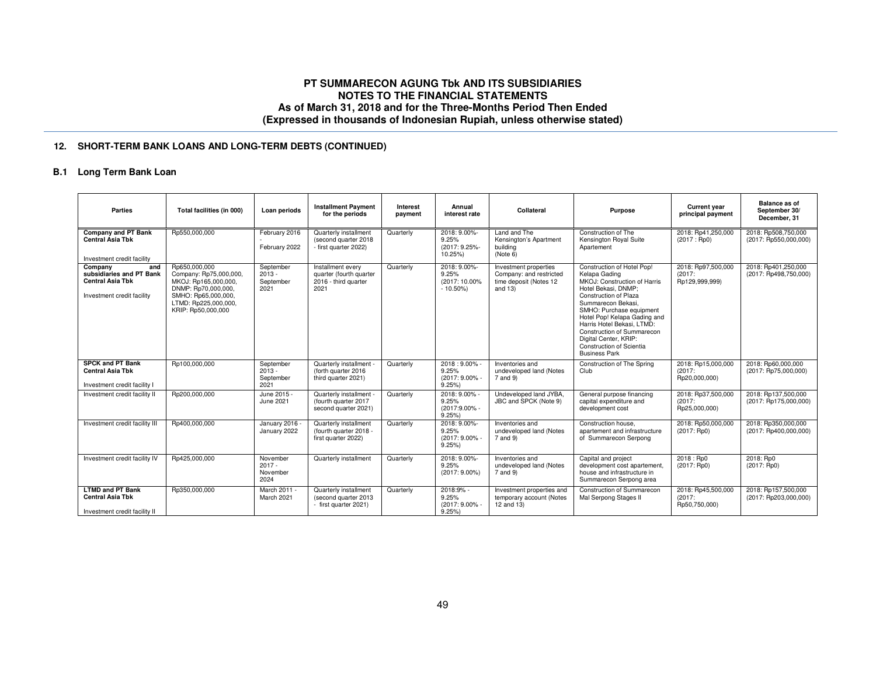## **12. SHORT-TERM BANK LOANS AND LONG-TERM DEBTS (CONTINUED)**

### **B.1 Long Term Bank Loan**

| Parties                                                                                             | Total facilities (in 000)                                                                                                                                   | Loan periods                               | <b>Installment Payment</b><br>for the periods                                | Interest<br>payment | Annual<br>interest rate                              | Collateral                                                                               | <b>Purpose</b>                                                                                                                                                                                                                                                                                                                                         | <b>Current vear</b><br>principal payment       | Balance as of<br>September 30/<br>December, 31 |
|-----------------------------------------------------------------------------------------------------|-------------------------------------------------------------------------------------------------------------------------------------------------------------|--------------------------------------------|------------------------------------------------------------------------------|---------------------|------------------------------------------------------|------------------------------------------------------------------------------------------|--------------------------------------------------------------------------------------------------------------------------------------------------------------------------------------------------------------------------------------------------------------------------------------------------------------------------------------------------------|------------------------------------------------|------------------------------------------------|
| Company and PT Bank<br><b>Central Asia Tbk</b><br>Investment credit facility                        | Rp550,000,000                                                                                                                                               | February 2016<br>February 2022             | Quarterly installment<br>(second quarter 2018<br>- first quarter 2022)       | Quarterly           | 2018: 9.00%-<br>9.25%<br>(2017: 9.25%-<br>10.25%)    | Land and The<br>Kensington's Apartment<br>building<br>(Note 6)                           | Construction of The<br>Kensington Royal Suite<br>Apartement                                                                                                                                                                                                                                                                                            | 2018: Rp41,250,000<br>(2017:Rp0)               | 2018: Rp508,750,000<br>(2017: Rp550,000,000)   |
| Company<br>and<br>subsidiaries and PT Bank<br><b>Central Asia Tbk</b><br>Investment credit facility | Rp650,000,000<br>Company: Rp75,000,000,<br>MKOJ: Rp165,000,000,<br>DNMP: Rp70,000,000,<br>SMHO: Rp65,000,000,<br>LTMD: Rp225,000,000,<br>KRIP: Rp50,000,000 | September<br>$2013 -$<br>September<br>2021 | Installment every<br>quarter (fourth quarter<br>2016 - third quarter<br>2021 | Quarterly           | 2018: 9.00%-<br>9.25%<br>(2017: 10.00%<br>$-10.50\%$ | Investment properties<br>Company: and restricted<br>time deposit (Notes 12<br>and $13$ ) | Construction of Hotel Pop!<br>Kelapa Gading<br>MKOJ: Construction of Harris<br>Hotel Bekasi, DNMP;<br>Construction of Plaza<br>Summarecon Bekasi.<br>SMHO: Purchase equipment<br>Hotel Pop! Kelapa Gading and<br>Harris Hotel Bekasi, LTMD:<br>Construction of Summarecon<br>Digital Center, KRIP:<br>Construction of Scientia<br><b>Business Park</b> | 2018: Rp97,500,000<br>(2017)<br>Rp129,999,999) | 2018: Rp401,250,000<br>(2017: Rp498,750,000)   |
| <b>SPCK and PT Bank</b><br><b>Central Asia Tbk</b><br>Investment credit facility I                  | Rp100,000,000                                                                                                                                               | September<br>$2013 -$<br>September<br>2021 | Quarterly installment<br>(forth quarter 2016)<br>third quarter 2021)         | Quarterly           | 2018:9.00%<br>9.25%<br>(2017: 9.00% -<br>9.25%       | Inventories and<br>undeveloped land (Notes<br>7 and 9)                                   | Construction of The Spring<br>Club                                                                                                                                                                                                                                                                                                                     | 2018: Rp15,000,000<br>(2017)<br>Rp20,000,000)  | 2018: Rp60,000,000<br>(2017: Rp75,000,000)     |
| Investment credit facility II                                                                       | Rp200,000,000                                                                                                                                               | June 2015 -<br>June 2021                   | Quarterly installment -<br>(fourth quarter 2017<br>second quarter 2021)      | Quarterly           | 2018: 9.00% -<br>9.25%<br>(2017:9.00% -<br>9.25%     | Undeveloped land JYBA.<br>JBC and SPCK (Note 9)                                          | General purpose financing<br>capital expenditure and<br>development cost                                                                                                                                                                                                                                                                               | 2018: Rp37,500,000<br>(2017)<br>Rp25,000,000)  | 2018: Rp137,500,000<br>(2017: Rp175,000,000)   |
| Investment credit facility III                                                                      | Rp400,000,000                                                                                                                                               | January 2016 -<br>January 2022             | Quarterly installment<br>(fourth quarter 2018 -<br>first quarter 2022)       | Quarterly           | 2018: 9.00%-<br>9.25%<br>(2017: 9.00% -<br>9.25%     | Inventories and<br>undeveloped land (Notes<br>7 and 9)                                   | Construction house.<br>apartement and infrastructure<br>of Summarecon Serpong                                                                                                                                                                                                                                                                          | 2018: Rp50,000,000<br>$(2017:$ Rp0)            | 2018: Rp350,000,000<br>(2017: Rp400,000,000)   |
| Investment credit facility IV                                                                       | Rp425,000,000                                                                                                                                               | November<br>$2017 -$<br>November<br>2024   | Quarterly installment                                                        | Quarterly           | 2018: 9.00%-<br>9.25%<br>$(2017:9.00\%)$             | Inventories and<br>undeveloped land (Notes<br>7 and 9)                                   | Capital and project<br>development cost apartement,<br>house and infrastructure in<br>Summarecon Serpong area                                                                                                                                                                                                                                          | 2018 : Rp0<br>(2017:Rp0)                       | 2018: Rp0<br>$(2017:$ Rp0)                     |
| <b>LTMD and PT Bank</b><br><b>Central Asia Tbk</b><br>Investment credit facility II                 | Rp350,000,000                                                                                                                                               | March 2011 -<br>March 2021                 | Quarterly installment<br>(second quarter 2013<br>- first quarter 2021)       | Quarterly           | 2018:9% -<br>9.25%<br>(2017: 9.00% -<br>9.25%        | Investment properties and<br>temporary account (Notes<br>12 and 13)                      | Construction of Summarecon<br>Mal Serpong Stages II                                                                                                                                                                                                                                                                                                    | 2018: Rp45,500,000<br>(2017)<br>Rp50,750,000)  | 2018: Rp157,500,000<br>(2017: Rp203,000,000)   |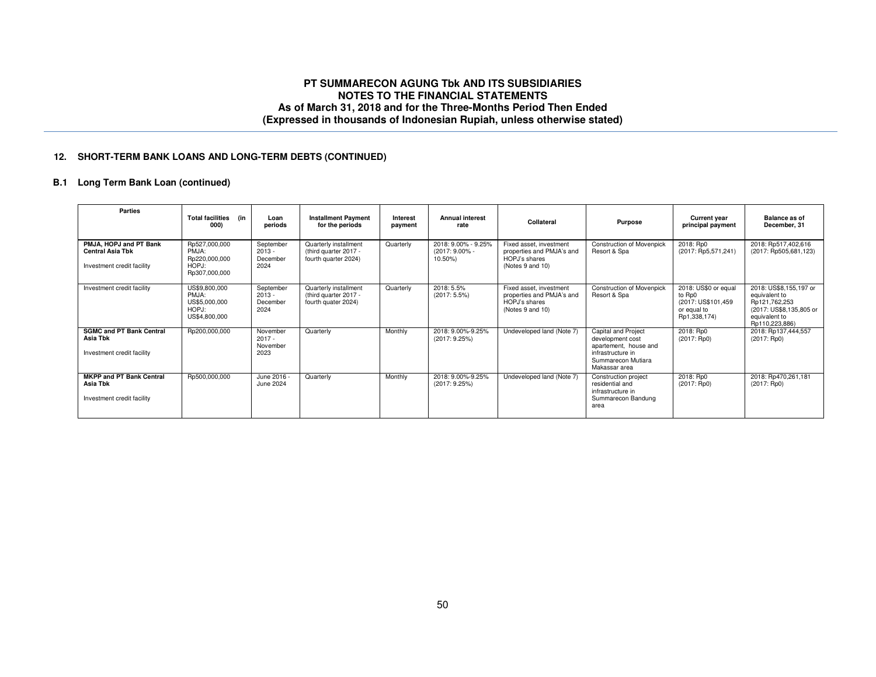### **12. SHORT-TERM BANK LOANS AND LONG-TERM DEBTS (CONTINUED)**

## **B.1 Long Term Bank Loan (continued)**

| Parties                                                                         | <b>Total facilities</b><br>(in<br>000)                            | Loan<br>periods                           | <b>Installment Payment</b><br>for the periods                          | Interest<br>payment | <b>Annual interest</b><br>rate                     | Collateral                                                                                | <b>Purpose</b>                                                                                                               | <b>Current year</b><br>principal payment                                             | Balance as of<br>December, 31                                                                                          |
|---------------------------------------------------------------------------------|-------------------------------------------------------------------|-------------------------------------------|------------------------------------------------------------------------|---------------------|----------------------------------------------------|-------------------------------------------------------------------------------------------|------------------------------------------------------------------------------------------------------------------------------|--------------------------------------------------------------------------------------|------------------------------------------------------------------------------------------------------------------------|
| PMJA, HOPJ and PT Bank<br><b>Central Asia Tbk</b><br>Investment credit facility | Rp527,000,000<br>PMJA:<br>Rp220,000,000<br>HOPJ:<br>Rp307,000,000 | September<br>$2013 -$<br>December<br>2024 | Quarterly installment<br>(third quarter 2017 -<br>fourth quarter 2024) | Quarterly           | 2018: 9.00% - 9.25%<br>$(2017:9.00\% -$<br>10.50%) | Fixed asset, investment<br>properties and PMJA's and<br>HOPJ's shares<br>(Notes 9 and 10) | <b>Construction of Movenpick</b><br>Resort & Spa                                                                             | 2018: Rp0<br>(2017: Rp5,571,241)                                                     | 2018: Rp517,402,616<br>(2017: Rp505,681,123)                                                                           |
| Investment credit facility                                                      | US\$9,800,000<br>PMJA:<br>US\$5,000,000<br>HOPJ:<br>US\$4,800,000 | September<br>$2013 -$<br>December<br>2024 | Quarterly installment<br>(third quarter 2017 -<br>fourth quater 2024)  | Quarterly           | 2018: 5.5%<br>$(2017:5.5\%)$                       | Fixed asset, investment<br>properties and PMJA's and<br>HOPJ's shares<br>(Notes 9 and 10) | <b>Construction of Movenpick</b><br>Resort & Spa                                                                             | 2018: US\$0 or equal<br>to Rp0<br>(2017: US\$101,459)<br>or equal to<br>Rp1,338,174) | 2018: US\$8,155,197 or<br>equivalent to<br>Rp121,762,253<br>(2017: US\$8,135,805 or<br>equivalent to<br>Rp110.223.886) |
| <b>SGMC and PT Bank Central</b><br>Asia Tbk<br>Investment credit facility       | Rp200,000,000                                                     | November<br>$2017 -$<br>November<br>2023  | Quarterly                                                              | Monthly             | 2018: 9.00%-9.25%<br>(2017:9.25%)                  | Undeveloped land (Note 7)                                                                 | Capital and Project<br>development cost<br>apartement, house and<br>infrastructure in<br>Summarecon Mutiara<br>Makassar area | 2018: Rp0<br>(2017:Rp0)                                                              | 2018: Rp137,444,557<br>(2017:Rp0)                                                                                      |
| <b>MKPP and PT Bank Central</b><br>Asia Tbk<br>Investment credit facility       | Rp500,000,000                                                     | June 2016 -<br>June 2024                  | Quarterly                                                              | Monthly             | 2018: 9.00%-9.25%<br>(2017:9.25%)                  | Undeveloped land (Note 7)                                                                 | Construction project<br>residential and<br>infrastructure in<br>Summarecon Bandung<br>area                                   | 2018: Rp0<br>(2017:Rp0)                                                              | 2018: Rp470,261,181<br>(2017:Rp0)                                                                                      |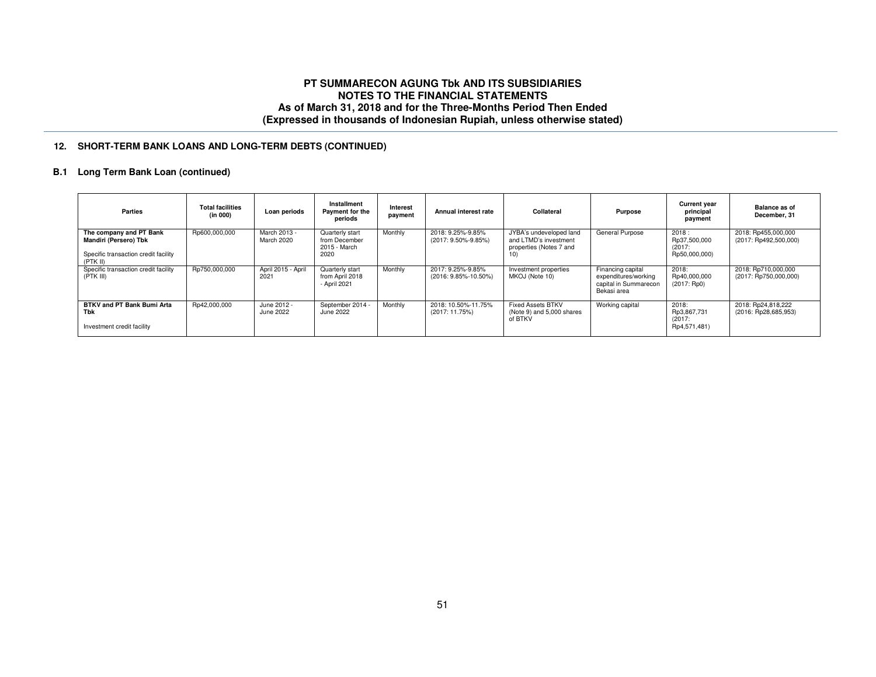## **12. SHORT-TERM BANK LOANS AND LONG-TERM DEBTS (CONTINUED)**

## **B.1 Long Term Bank Loan (continued)**

| Parties                                                                                              | <b>Total facilities</b><br>(in 000) | Loan periods               | Installment<br>Payment for the<br>periods                | Interest<br>payment | Annual interest rate                      | Collateral                                                                         | <b>Purpose</b>                                                                    | <b>Current year</b><br>principal<br>payment      | <b>Balance as of</b><br>December, 31           |
|------------------------------------------------------------------------------------------------------|-------------------------------------|----------------------------|----------------------------------------------------------|---------------------|-------------------------------------------|------------------------------------------------------------------------------------|-----------------------------------------------------------------------------------|--------------------------------------------------|------------------------------------------------|
| The company and PT Bank<br>Mandiri (Persero) Tbk<br>Specific transaction credit facility<br>(PTK II) | Rp600,000,000                       | March 2013 -<br>March 2020 | Quarterly start<br>from December<br>2015 - March<br>2020 | Monthly             | 2018: 9.25%-9.85%<br>(2017: 9.50%-9.85%)  | JYBA's undeveloped land<br>and LTMD's investment<br>properties (Notes 7 and<br>1U) | General Purpose                                                                   | 2018:<br>Rp37,500,000<br>(2017)<br>Rp50,000,000) | 2018: Rp455,000,000<br>(2017: Rp492,500,000)   |
| Specific transaction credit facility<br>(PTK III)                                                    | Rp750,000,000                       | April 2015 - April<br>2021 | Quarterly start<br>from April 2018<br>- April 2021       | Monthly             | 2017: 9.25%-9.85%<br>(2016: 9.85%-10.50%) | Investment properties<br>MKOJ (Note 10)                                            | Financing capital<br>expenditures/working<br>capital in Summarecon<br>Bekasi area | 2018:<br>Rp40,000,000<br>(2017:Rp0)              | 2018: Rp710,000,000<br>$(2017:$ Rp750,000,000) |
| BTKV and PT Bank Bumi Arta<br>Tbk<br>Investment credit facility                                      | Rp42,000,000                        | June 2012 -<br>June 2022   | September 2014 -<br>June 2022                            | Monthly             | 2018: 10.50%-11.75%<br>(2017: 11.75%)     | <b>Fixed Assets BTKV</b><br>(Note 9) and 5,000 shares<br>of BTKV                   | Working capital                                                                   | 2018:<br>Rp3,867,731<br>(2017)<br>Rp4,571,481)   | 2018: Rp24,818,222<br>(2016: Rp28,685,953)     |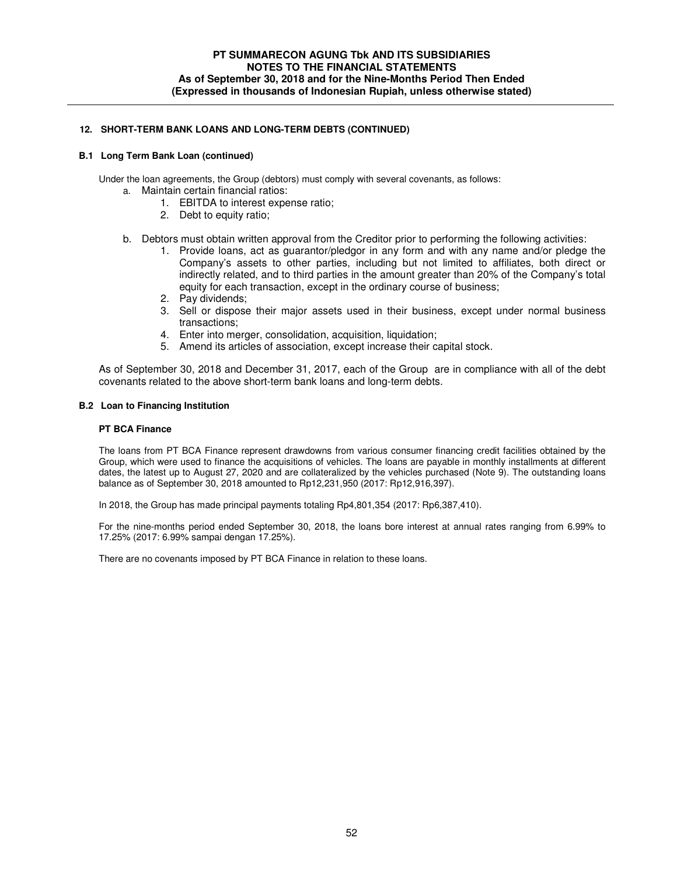### **12. SHORT-TERM BANK LOANS AND LONG-TERM DEBTS (CONTINUED)**

#### **B.1 Long Term Bank Loan (continued)**

Under the loan agreements, the Group (debtors) must comply with several covenants, as follows:

- a. Maintain certain financial ratios:
	- 1. EBITDA to interest expense ratio;
	- 2. Debt to equity ratio;
- b. Debtors must obtain written approval from the Creditor prior to performing the following activities:
	- 1. Provide loans, act as guarantor/pledgor in any form and with any name and/or pledge the Company's assets to other parties, including but not limited to affiliates, both direct or indirectly related, and to third parties in the amount greater than 20% of the Company's total equity for each transaction, except in the ordinary course of business;
	- 2. Pay dividends;
	- 3. Sell or dispose their major assets used in their business, except under normal business transactions;
	- 4. Enter into merger, consolidation, acquisition, liquidation;
	- 5. Amend its articles of association, except increase their capital stock.

As of September 30, 2018 and December 31, 2017, each of the Group are in compliance with all of the debt covenants related to the above short-term bank loans and long-term debts.

### **B.2 Loan to Financing Institution**

#### **PT BCA Finance**

The loans from PT BCA Finance represent drawdowns from various consumer financing credit facilities obtained by the Group, which were used to finance the acquisitions of vehicles. The loans are payable in monthly installments at different dates, the latest up to August 27, 2020 and are collateralized by the vehicles purchased (Note 9). The outstanding loans balance as of September 30, 2018 amounted to Rp12,231,950 (2017: Rp12,916,397).

In 2018, the Group has made principal payments totaling Rp4,801,354 (2017: Rp6,387,410).

For the nine-months period ended September 30, 2018, the loans bore interest at annual rates ranging from 6.99% to 17.25% (2017: 6.99% sampai dengan 17.25%).

There are no covenants imposed by PT BCA Finance in relation to these loans.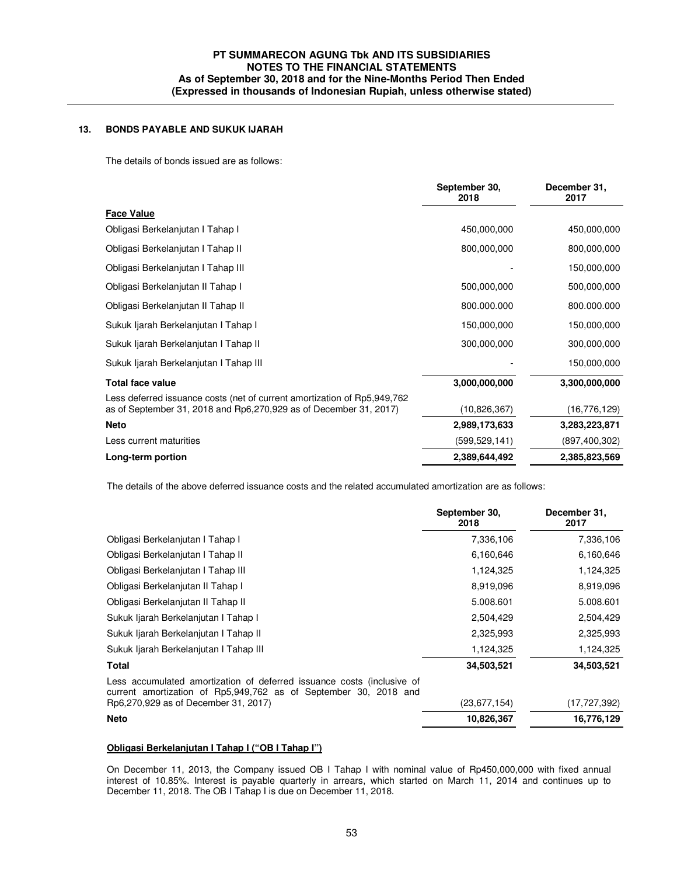## **13. BONDS PAYABLE AND SUKUK IJARAH**

The details of bonds issued are as follows:

|                                                                                                                                                  | September 30,<br>2018 | December 31,<br>2017 |
|--------------------------------------------------------------------------------------------------------------------------------------------------|-----------------------|----------------------|
| <b>Face Value</b>                                                                                                                                |                       |                      |
| Obligasi Berkelanjutan I Tahap I                                                                                                                 | 450,000,000           | 450,000,000          |
| Obligasi Berkelanjutan I Tahap II                                                                                                                | 800,000,000           | 800,000,000          |
| Obligasi Berkelanjutan I Tahap III                                                                                                               |                       | 150,000,000          |
| Obligasi Berkelanjutan II Tahap I                                                                                                                | 500,000,000           | 500,000,000          |
| Obligasi Berkelanjutan II Tahap II                                                                                                               | 800.000.000           | 800.000.000          |
| Sukuk Ijarah Berkelanjutan I Tahap I                                                                                                             | 150,000,000           | 150,000,000          |
| Sukuk Ijarah Berkelanjutan I Tahap II                                                                                                            | 300,000,000           | 300,000,000          |
| Sukuk Ijarah Berkelanjutan I Tahap III                                                                                                           |                       | 150,000,000          |
| <b>Total face value</b>                                                                                                                          | 3,000,000,000         | 3,300,000,000        |
| Less deferred issuance costs (net of current amortization of Rp5,949,762)<br>as of September 31, 2018 and Rp6, 270, 929 as of December 31, 2017) | (10,826,367)          | (16, 776, 129)       |
| <b>Neto</b>                                                                                                                                      | 2,989,173,633         | 3,283,223,871        |
| Less current maturities                                                                                                                          | (599, 529, 141)       | (897, 400, 302)      |
| Long-term portion                                                                                                                                | 2,389,644,492         | 2,385,823,569        |

The details of the above deferred issuance costs and the related accumulated amortization are as follows:

| September 30,<br>2018                                                                                                                      | December 31,<br>2017 |
|--------------------------------------------------------------------------------------------------------------------------------------------|----------------------|
| 7,336,106                                                                                                                                  | 7,336,106            |
| 6,160,646                                                                                                                                  | 6,160,646            |
| 1,124,325                                                                                                                                  | 1,124,325            |
| 8,919,096                                                                                                                                  | 8,919,096            |
| 5.008.601                                                                                                                                  | 5.008.601            |
| 2,504,429                                                                                                                                  | 2,504,429            |
| 2,325,993                                                                                                                                  | 2,325,993            |
| 1,124,325                                                                                                                                  | 1,124,325            |
| 34,503,521                                                                                                                                 | 34,503,521           |
| Less accumulated amortization of deferred issuance costs (inclusive of<br>current amortization of Rp5,949,762 as of September 30, 2018 and | (17, 727, 392)       |
| 10,826,367                                                                                                                                 | 16,776,129           |
|                                                                                                                                            | (23, 677, 154)       |

## **Obligasi Berkelanjutan I Tahap I ("OB I Tahap I")**

On December 11, 2013, the Company issued OB I Tahap I with nominal value of Rp450,000,000 with fixed annual interest of 10.85%. Interest is payable quarterly in arrears, which started on March 11, 2014 and continues up to December 11, 2018. The OB I Tahap I is due on December 11, 2018.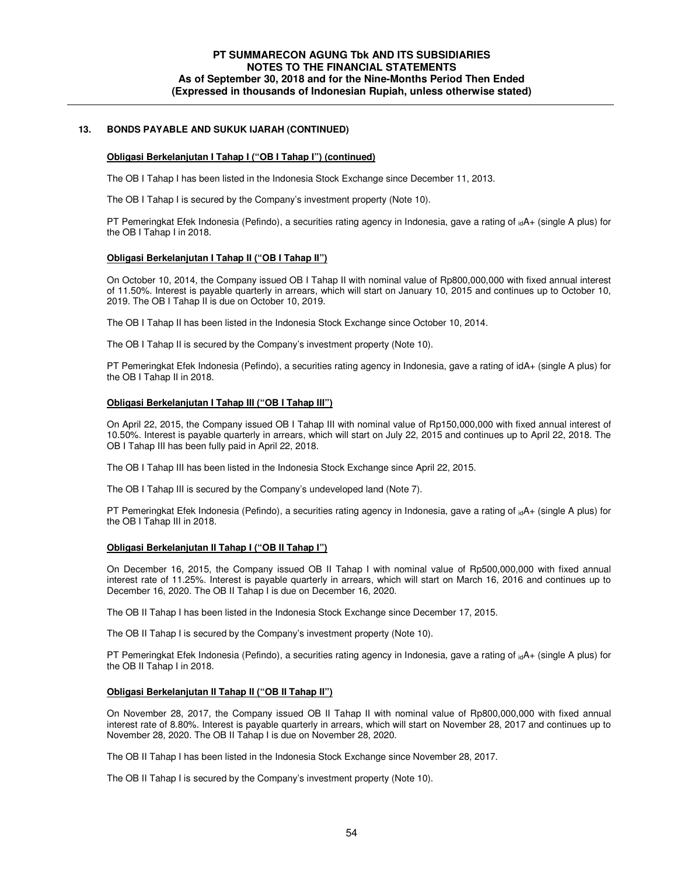### **13. BONDS PAYABLE AND SUKUK IJARAH (CONTINUED)**

#### **Obligasi Berkelanjutan I Tahap I ("OB I Tahap I") (continued)**

The OB I Tahap I has been listed in the Indonesia Stock Exchange since December 11, 2013.

The OB I Tahap I is secured by the Company's investment property (Note 10).

PT Pemeringkat Efek Indonesia (Pefindo), a securities rating agency in Indonesia, gave a rating of  $_{id}A+$  (single A plus) for the OB I Tahap I in 2018.

#### **Obligasi Berkelanjutan I Tahap II ("OB I Tahap II")**

On October 10, 2014, the Company issued OB I Tahap II with nominal value of Rp800,000,000 with fixed annual interest of 11.50%. Interest is payable quarterly in arrears, which will start on January 10, 2015 and continues up to October 10, 2019. The OB I Tahap II is due on October 10, 2019.

The OB I Tahap II has been listed in the Indonesia Stock Exchange since October 10, 2014.

The OB I Tahap II is secured by the Company's investment property (Note 10).

PT Pemeringkat Efek Indonesia (Pefindo), a securities rating agency in Indonesia, gave a rating of idA+ (single A plus) for the OB I Tahap II in 2018.

#### **Obligasi Berkelanjutan I Tahap III ("OB I Tahap III")**

On April 22, 2015, the Company issued OB I Tahap III with nominal value of Rp150,000,000 with fixed annual interest of 10.50%. Interest is payable quarterly in arrears, which will start on July 22, 2015 and continues up to April 22, 2018. The OB I Tahap III has been fully paid in April 22, 2018.

The OB I Tahap III has been listed in the Indonesia Stock Exchange since April 22, 2015.

The OB I Tahap III is secured by the Company's undeveloped land (Note 7).

PT Pemeringkat Efek Indonesia (Pefindo), a securities rating agency in Indonesia, gave a rating of  $_{id}A+$  (single A plus) for the OB I Tahap III in 2018.

#### **Obligasi Berkelanjutan II Tahap I ("OB II Tahap I")**

On December 16, 2015, the Company issued OB II Tahap I with nominal value of Rp500,000,000 with fixed annual interest rate of 11.25%. Interest is payable quarterly in arrears, which will start on March 16, 2016 and continues up to December 16, 2020. The OB II Tahap I is due on December 16, 2020.

The OB II Tahap I has been listed in the Indonesia Stock Exchange since December 17, 2015.

The OB II Tahap I is secured by the Company's investment property (Note 10).

PT Pemeringkat Efek Indonesia (Pefindo), a securities rating agency in Indonesia, gave a rating of <sub>id</sub>A+ (single A plus) for the OB II Tahap I in 2018.

#### **Obligasi Berkelanjutan II Tahap II ("OB II Tahap II")**

On November 28, 2017, the Company issued OB II Tahap II with nominal value of Rp800,000,000 with fixed annual interest rate of 8.80%. Interest is payable quarterly in arrears, which will start on November 28, 2017 and continues up to November 28, 2020. The OB II Tahap I is due on November 28, 2020.

The OB II Tahap I has been listed in the Indonesia Stock Exchange since November 28, 2017.

The OB II Tahap I is secured by the Company's investment property (Note 10).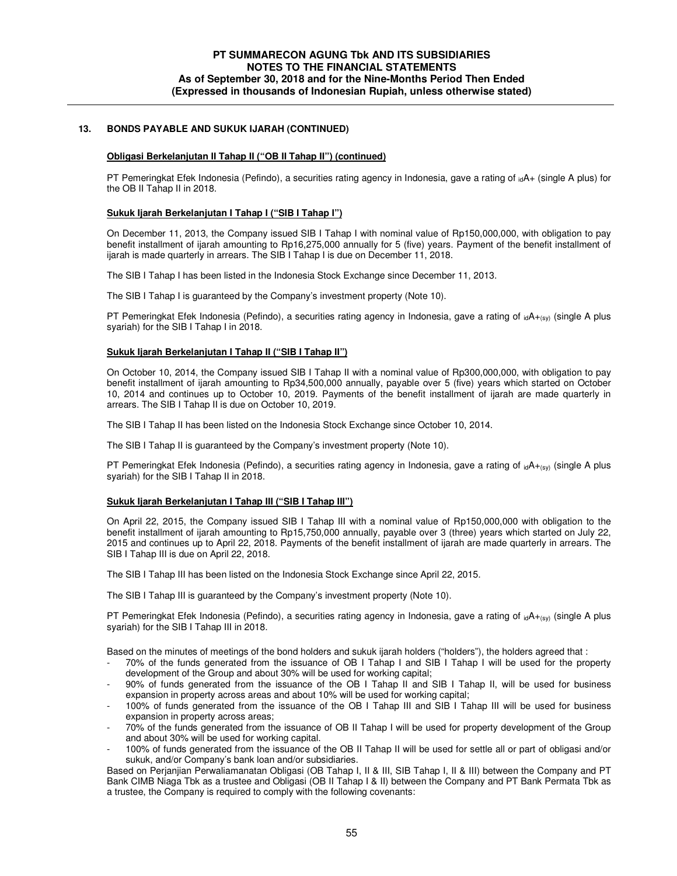### **13. BONDS PAYABLE AND SUKUK IJARAH (CONTINUED)**

#### **Obligasi Berkelanjutan II Tahap II ("OB II Tahap II") (continued)**

PT Pemeringkat Efek Indonesia (Pefindo), a securities rating agency in Indonesia, gave a rating of  $_{id}A$ + (single A plus) for the OB II Tahap II in 2018.

#### **Sukuk Ijarah Berkelanjutan I Tahap I ("SIB I Tahap I")**

On December 11, 2013, the Company issued SIB I Tahap I with nominal value of Rp150,000,000, with obligation to pay benefit installment of ijarah amounting to Rp16,275,000 annually for 5 (five) years. Payment of the benefit installment of ijarah is made quarterly in arrears. The SIB I Tahap I is due on December 11, 2018.

The SIB I Tahap I has been listed in the Indonesia Stock Exchange since December 11, 2013.

The SIB I Tahap I is guaranteed by the Company's investment property (Note 10).

PT Pemeringkat Efek Indonesia (Pefindo), a securities rating agency in Indonesia, gave a rating of  $_{id}A_{+(sy)}$  (single A plus syariah) for the SIB I Tahap I in 2018.

#### **Sukuk Ijarah Berkelanjutan I Tahap II ("SIB I Tahap II")**

On October 10, 2014, the Company issued SIB I Tahap II with a nominal value of Rp300,000,000, with obligation to pay benefit installment of ijarah amounting to Rp34,500,000 annually, payable over 5 (five) years which started on October 10, 2014 and continues up to October 10, 2019. Payments of the benefit installment of ijarah are made quarterly in arrears. The SIB I Tahap II is due on October 10, 2019.

The SIB I Tahap II has been listed on the Indonesia Stock Exchange since October 10, 2014.

The SIB I Tahap II is guaranteed by the Company's investment property (Note 10).

PT Pemeringkat Efek Indonesia (Pefindo), a securities rating agency in Indonesia, gave a rating of  $_{id}A_{t(sy)}$  (single A plus syariah) for the SIB I Tahap II in 2018.

#### **Sukuk Ijarah Berkelanjutan I Tahap III ("SIB I Tahap III")**

On April 22, 2015, the Company issued SIB I Tahap III with a nominal value of Rp150,000,000 with obligation to the benefit installment of ijarah amounting to Rp15,750,000 annually, payable over 3 (three) years which started on July 22, 2015 and continues up to April 22, 2018. Payments of the benefit installment of ijarah are made quarterly in arrears. The SIB I Tahap III is due on April 22, 2018.

The SIB I Tahap III has been listed on the Indonesia Stock Exchange since April 22, 2015.

The SIB I Tahap III is guaranteed by the Company's investment property (Note 10).

PT Pemeringkat Efek Indonesia (Pefindo), a securities rating agency in Indonesia, gave a rating of  $idA+_{(sV)}$  (single A plus syariah) for the SIB I Tahap III in 2018.

Based on the minutes of meetings of the bond holders and sukuk ijarah holders ("holders"), the holders agreed that :

- 70% of the funds generated from the issuance of OB I Tahap I and SIB I Tahap I will be used for the property development of the Group and about 30% will be used for working capital;
- 90% of funds generated from the issuance of the OB I Tahap II and SIB I Tahap II, will be used for business expansion in property across areas and about 10% will be used for working capital;
- 100% of funds generated from the issuance of the OB I Tahap III and SIB I Tahap III will be used for business expansion in property across areas;
- 70% of the funds generated from the issuance of OB II Tahap I will be used for property development of the Group and about 30% will be used for working capital.
- 100% of funds generated from the issuance of the OB II Tahap II will be used for settle all or part of obligasi and/or sukuk, and/or Company's bank loan and/or subsidiaries.

Based on Perjanjian Perwaliamanatan Obligasi (OB Tahap I, II & III, SIB Tahap I, II & III) between the Company and PT Bank CIMB Niaga Tbk as a trustee and Obligasi (OB II Tahap I & II) between the Company and PT Bank Permata Tbk as a trustee, the Company is required to comply with the following covenants: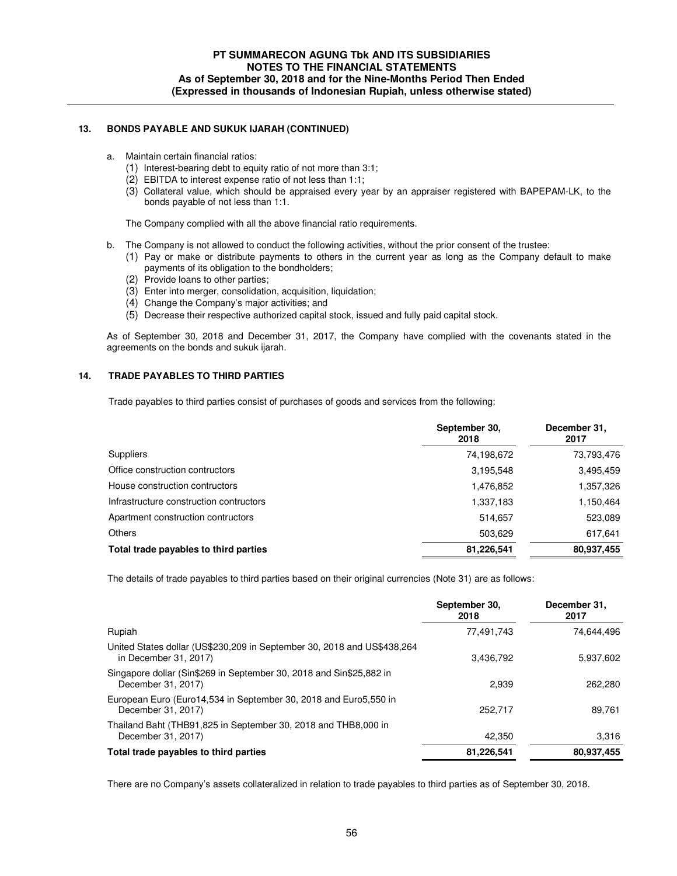### **13. BONDS PAYABLE AND SUKUK IJARAH (CONTINUED)**

- a. Maintain certain financial ratios:
	- (1) Interest-bearing debt to equity ratio of not more than 3:1;
	- (2) EBITDA to interest expense ratio of not less than 1:1;
	- (3) Collateral value, which should be appraised every year by an appraiser registered with BAPEPAM-LK, to the bonds payable of not less than 1:1.

The Company complied with all the above financial ratio requirements.

- b. The Company is not allowed to conduct the following activities, without the prior consent of the trustee:
	- (1) Pay or make or distribute payments to others in the current year as long as the Company default to make payments of its obligation to the bondholders;
	- (2) Provide loans to other parties;
	- (3) Enter into merger, consolidation, acquisition, liquidation;
	- (4) Change the Company's major activities; and
	- (5) Decrease their respective authorized capital stock, issued and fully paid capital stock.

As of September 30, 2018 and December 31, 2017, the Company have complied with the covenants stated in the agreements on the bonds and sukuk ijarah.

#### **14. TRADE PAYABLES TO THIRD PARTIES**

Trade payables to third parties consist of purchases of goods and services from the following:

|                                         | September 30.<br>2018 | December 31,<br>2017 |
|-----------------------------------------|-----------------------|----------------------|
| <b>Suppliers</b>                        | 74,198,672            | 73,793,476           |
| Office construction contructors         | 3,195,548             | 3,495,459            |
| House construction contructors          | 1,476,852             | 1,357,326            |
| Infrastructure construction contructors | 1,337,183             | 1,150,464            |
| Apartment construction contructors      | 514.657               | 523,089              |
| <b>Others</b>                           | 503.629               | 617,641              |
| Total trade payables to third parties   | 81,226,541            | 80.937,455           |

The details of trade payables to third parties based on their original currencies (Note 31) are as follows:

|            | 74.644.496 |
|------------|------------|
| 3,436,792  | 5,937,602  |
| 2.939      | 262,280    |
| 252.717    | 89.761     |
| 42.350     | 3.316      |
| 81,226,541 | 80,937,455 |
|            | 77.491.743 |

There are no Company's assets collateralized in relation to trade payables to third parties as of September 30, 2018.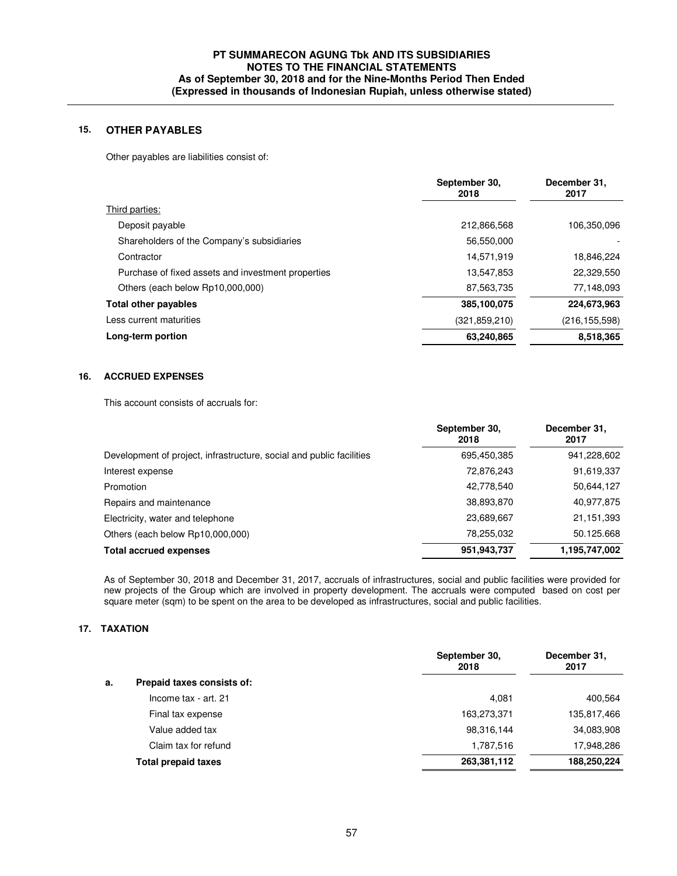## **15. OTHER PAYABLES**

Other payables are liabilities consist of:

|                                                    | September 30,<br>2018 | December 31,<br>2017 |
|----------------------------------------------------|-----------------------|----------------------|
| Third parties:                                     |                       |                      |
| Deposit payable                                    | 212,866,568           | 106,350,096          |
| Shareholders of the Company's subsidiaries         | 56,550,000            |                      |
| Contractor                                         | 14,571,919            | 18,846,224           |
| Purchase of fixed assets and investment properties | 13,547,853            | 22,329,550           |
| Others (each below Rp10,000,000)                   | 87,563,735            | 77,148,093           |
| <b>Total other payables</b>                        | 385,100,075           | 224,673,963          |
| Less current maturities                            | (321.859.210)         | (216, 155, 598)      |
| Long-term portion                                  | 63,240,865            | 8,518,365            |
|                                                    |                       |                      |

## **16. ACCRUED EXPENSES**

This account consists of accruals for:

|                                                                      | September 30.<br>2018 | December 31,<br>2017 |
|----------------------------------------------------------------------|-----------------------|----------------------|
| Development of project, infrastructure, social and public facilities | 695,450,385           | 941,228,602          |
| Interest expense                                                     | 72,876,243            | 91,619,337           |
| Promotion                                                            | 42,778,540            | 50,644,127           |
| Repairs and maintenance                                              | 38,893,870            | 40,977,875           |
| Electricity, water and telephone                                     | 23,689,667            | 21,151,393           |
| Others (each below Rp10,000,000)                                     | 78,255,032            | 50.125.668           |
| <b>Total accrued expenses</b>                                        | 951,943,737           | 1,195,747,002        |

 As of September 30, 2018 and December 31, 2017, accruals of infrastructures, social and public facilities were provided for new projects of the Group which are involved in property development. The accruals were computed based on cost per square meter (sqm) to be spent on the area to be developed as infrastructures, social and public facilities.

## **17. TAXATION**

|                                  | September 30,<br>2018 | December 31,<br>2017 |
|----------------------------------|-----------------------|----------------------|
| Prepaid taxes consists of:<br>a. |                       |                      |
| Income tax - art. 21             | 4.081                 | 400,564              |
| Final tax expense                | 163,273,371           | 135,817,466          |
| Value added tax                  | 98,316,144            | 34,083,908           |
| Claim tax for refund             | 1,787,516             | 17,948,286           |
| <b>Total prepaid taxes</b>       | 263,381,112           | 188,250,224          |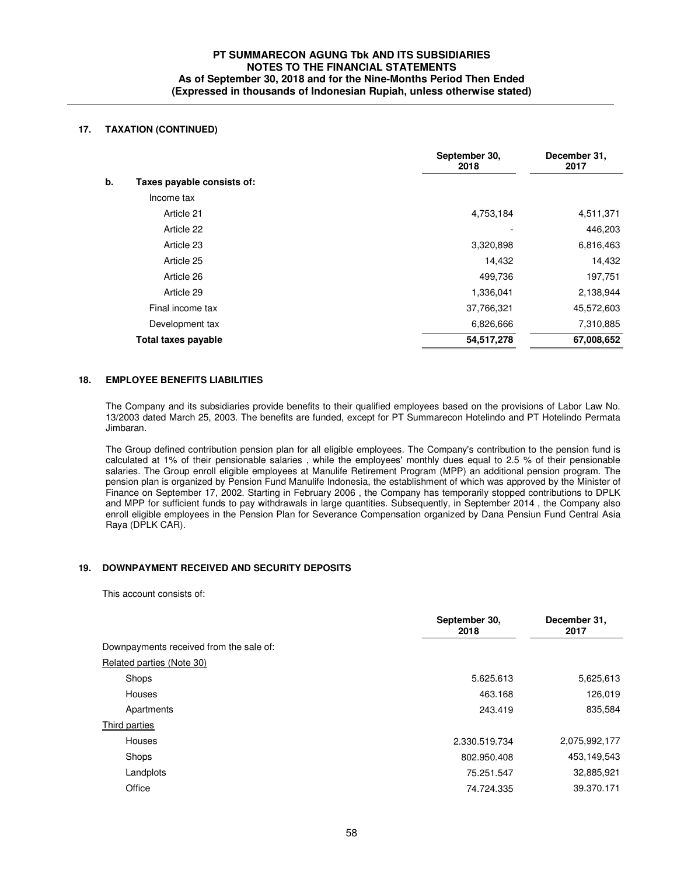## **17. TAXATION (CONTINUED)**

|                                  | September 30,<br>2018 | December 31,<br>2017 |
|----------------------------------|-----------------------|----------------------|
| b.<br>Taxes payable consists of: |                       |                      |
| Income tax                       |                       |                      |
| Article 21                       | 4,753,184             | 4,511,371            |
| Article 22                       |                       | 446,203              |
| Article 23                       | 3,320,898             | 6,816,463            |
| Article 25                       | 14,432                | 14,432               |
| Article 26                       | 499,736               | 197,751              |
| Article 29                       | 1,336,041             | 2,138,944            |
| Final income tax                 | 37,766,321            | 45,572,603           |
| Development tax                  | 6,826,666             | 7,310,885            |
| Total taxes payable              | 54,517,278            | 67,008,652           |

#### **18. EMPLOYEE BENEFITS LIABILITIES**

 The Company and its subsidiaries provide benefits to their qualified employees based on the provisions of Labor Law No. 13/2003 dated March 25, 2003. The benefits are funded, except for PT Summarecon Hotelindo and PT Hotelindo Permata Jimbaran.

The Group defined contribution pension plan for all eligible employees. The Company's contribution to the pension fund is calculated at 1% of their pensionable salaries , while the employees' monthly dues equal to 2.5 % of their pensionable salaries. The Group enroll eligible employees at Manulife Retirement Program (MPP) an additional pension program. The pension plan is organized by Pension Fund Manulife Indonesia, the establishment of which was approved by the Minister of Finance on September 17, 2002. Starting in February 2006 , the Company has temporarily stopped contributions to DPLK and MPP for sufficient funds to pay withdrawals in large quantities. Subsequently, in September 2014 , the Company also enroll eligible employees in the Pension Plan for Severance Compensation organized by Dana Pensiun Fund Central Asia Raya (DPLK CAR).

## **19. DOWNPAYMENT RECEIVED AND SECURITY DEPOSITS**

This account consists of:

|                                         | September 30,<br>2018 | December 31,<br>2017 |
|-----------------------------------------|-----------------------|----------------------|
| Downpayments received from the sale of: |                       |                      |
| Related parties (Note 30)               |                       |                      |
| Shops                                   | 5.625.613             | 5,625,613            |
| Houses                                  | 463.168               | 126,019              |
| Apartments                              | 243.419               | 835,584              |
| Third parties                           |                       |                      |
| Houses                                  | 2.330.519.734         | 2,075,992,177        |
| Shops                                   | 802.950.408           | 453,149,543          |
| Landplots                               | 75.251.547            | 32,885,921           |
| Office                                  | 74.724.335            | 39.370.171           |
|                                         |                       |                      |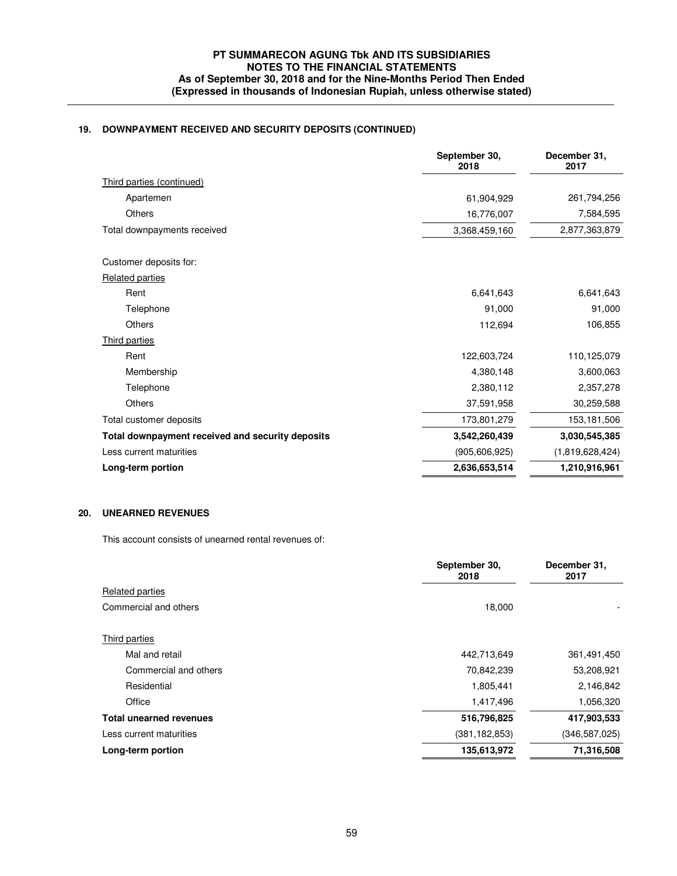# **19. DOWNPAYMENT RECEIVED AND SECURITY DEPOSITS (CONTINUED)**

|                                                  | September 30,<br>2018 | December 31,<br>2017 |
|--------------------------------------------------|-----------------------|----------------------|
| Third parties (continued)                        |                       |                      |
| Apartemen                                        | 61,904,929            | 261,794,256          |
| <b>Others</b>                                    | 16,776,007            | 7,584,595            |
| Total downpayments received                      | 3,368,459,160         | 2,877,363,879        |
| Customer deposits for:                           |                       |                      |
| Related parties                                  |                       |                      |
| Rent                                             | 6,641,643             | 6,641,643            |
| Telephone                                        | 91,000                | 91,000               |
| Others                                           | 112,694               | 106,855              |
| <b>Third parties</b>                             |                       |                      |
| Rent                                             | 122,603,724           | 110,125,079          |
| Membership                                       | 4,380,148             | 3,600,063            |
| Telephone                                        | 2,380,112             | 2,357,278            |
| <b>Others</b>                                    | 37,591,958            | 30,259,588           |
| Total customer deposits                          | 173,801,279           | 153,181,506          |
| Total downpayment received and security deposits | 3,542,260,439         | 3,030,545,385        |
| Less current maturities                          | (905, 606, 925)       | (1,819,628,424)      |
| Long-term portion                                | 2,636,653,514         | 1,210,916,961        |
|                                                  |                       |                      |

## **20. UNEARNED REVENUES**

This account consists of unearned rental revenues of:

|                                | September 30,<br>2018 | December 31,<br>2017 |
|--------------------------------|-----------------------|----------------------|
| <b>Related parties</b>         |                       |                      |
| Commercial and others          | 18,000                |                      |
| Third parties                  |                       |                      |
| Mal and retail                 | 442,713,649           | 361,491,450          |
| Commercial and others          | 70,842,239            | 53,208,921           |
| Residential                    | 1,805,441             | 2,146,842            |
| Office                         | 1,417,496             | 1,056,320            |
| <b>Total unearned revenues</b> | 516,796,825           | 417,903,533          |
| Less current maturities        | (381, 182, 853)       | (346, 587, 025)      |
| Long-term portion              | 135,613,972           | 71,316,508           |
|                                |                       |                      |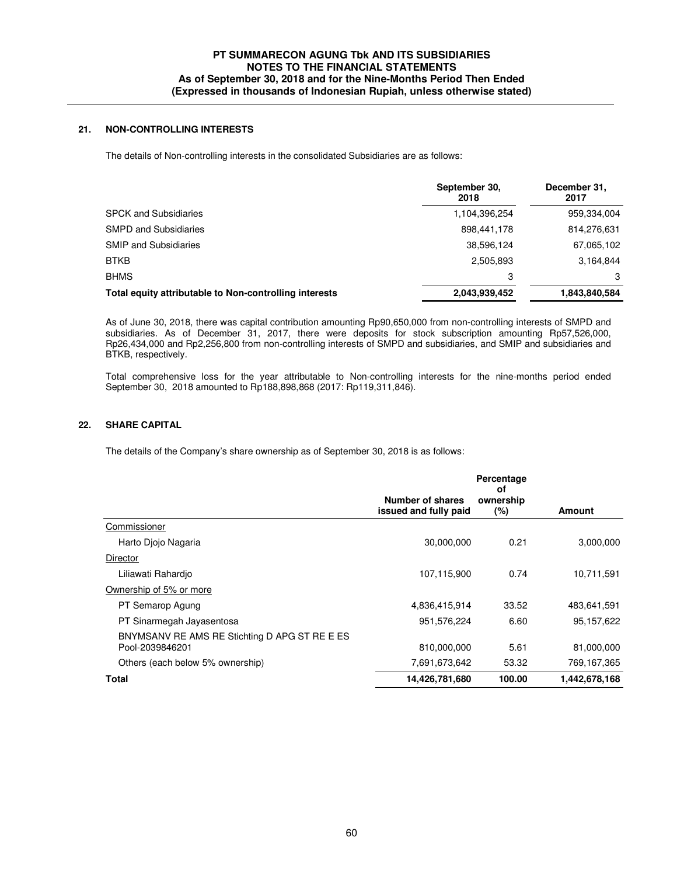## **21. NON-CONTROLLING INTERESTS**

The details of Non-controlling interests in the consolidated Subsidiaries are as follows:

|                                                        | September 30,<br>2018 | December 31,<br>2017 |
|--------------------------------------------------------|-----------------------|----------------------|
| <b>SPCK and Subsidiaries</b>                           | 1,104,396,254         | 959,334,004          |
| <b>SMPD and Subsidiaries</b>                           | 898,441,178           | 814,276,631          |
| <b>SMIP and Subsidiaries</b>                           | 38,596,124            | 67,065,102           |
| <b>BTKB</b>                                            | 2,505,893             | 3,164,844            |
| <b>BHMS</b>                                            | 3                     | 3                    |
| Total equity attributable to Non-controlling interests | 2,043,939,452         | 1,843,840,584        |

As of June 30, 2018, there was capital contribution amounting Rp90,650,000 from non-controlling interests of SMPD and subsidiaries. As of December 31, 2017, there were deposits for stock subscription amounting Rp57,526,000, Rp26,434,000 and Rp2,256,800 from non-controlling interests of SMPD and subsidiaries, and SMIP and subsidiaries and BTKB, respectively.

Total comprehensive loss for the year attributable to Non-controlling interests for the nine-months period ended September 30, 2018 amounted to Rp188,898,868 (2017: Rp119,311,846).

### **22. SHARE CAPITAL**

The details of the Company's share ownership as of September 30, 2018 is as follows:

|                                                                  |                                           | Percentage<br>οf    |               |
|------------------------------------------------------------------|-------------------------------------------|---------------------|---------------|
|                                                                  | Number of shares<br>issued and fully paid | ownership<br>$(\%)$ | <b>Amount</b> |
| Commissioner                                                     |                                           |                     |               |
| Harto Diojo Nagaria                                              | 30,000,000                                | 0.21                | 3,000,000     |
| Director                                                         |                                           |                     |               |
| Liliawati Rahardio                                               | 107,115,900                               | 0.74                | 10,711,591    |
| Ownership of 5% or more                                          |                                           |                     |               |
| PT Semarop Agung                                                 | 4,836,415,914                             | 33.52               | 483,641,591   |
| PT Sinarmegah Jayasentosa                                        | 951,576,224                               | 6.60                | 95,157,622    |
| BNYMSANV RE AMS RE Stichting D APG ST RE E ES<br>Pool-2039846201 | 810,000,000                               | 5.61                | 81,000,000    |
| Others (each below 5% ownership)                                 | 7,691,673,642                             | 53.32               | 769,167,365   |
| <b>Total</b>                                                     | 14,426,781,680                            | 100.00              | 1,442,678,168 |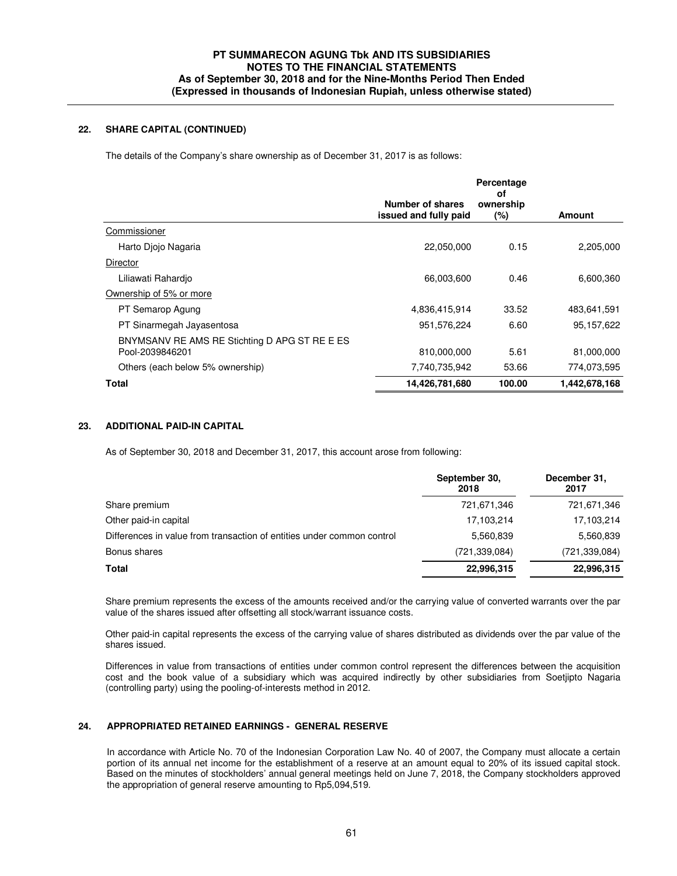### **22. SHARE CAPITAL (CONTINUED)**

The details of the Company's share ownership as of December 31, 2017 is as follows:

|                                                                  |                                           | Percentage<br>οf    |               |
|------------------------------------------------------------------|-------------------------------------------|---------------------|---------------|
|                                                                  | Number of shares<br>issued and fully paid | ownership<br>$(\%)$ | <b>Amount</b> |
| Commissioner                                                     |                                           |                     |               |
| Harto Diojo Nagaria                                              | 22,050,000                                | 0.15                | 2,205,000     |
| Director                                                         |                                           |                     |               |
| Liliawati Rahardio                                               | 66,003,600                                | 0.46                | 6,600,360     |
| Ownership of 5% or more                                          |                                           |                     |               |
| PT Semarop Agung                                                 | 4,836,415,914                             | 33.52               | 483,641,591   |
| PT Sinarmegah Jayasentosa                                        | 951,576,224                               | 6.60                | 95,157,622    |
| BNYMSANV RE AMS RE Stichting D APG ST RE E ES<br>Pool-2039846201 | 810,000,000                               | 5.61                | 81,000,000    |
| Others (each below 5% ownership)                                 | 7,740,735,942                             | 53.66               | 774,073,595   |
| Total                                                            | 14,426,781,680                            | 100.00              | 1,442,678,168 |

### **23. ADDITIONAL PAID-IN CAPITAL**

As of September 30, 2018 and December 31, 2017, this account arose from following:

|                                                                        | September 30,<br>2018 | December 31,<br>2017 |
|------------------------------------------------------------------------|-----------------------|----------------------|
| Share premium                                                          | 721,671,346           | 721,671,346          |
| Other paid-in capital                                                  | 17,103,214            | 17,103,214           |
| Differences in value from transaction of entities under common control | 5,560,839             | 5,560,839            |
| Bonus shares                                                           | (721, 339, 084)       | (721, 339, 084)      |
| <b>Total</b>                                                           | 22,996,315            | 22,996,315           |
|                                                                        |                       |                      |

Share premium represents the excess of the amounts received and/or the carrying value of converted warrants over the par value of the shares issued after offsetting all stock/warrant issuance costs.

Other paid-in capital represents the excess of the carrying value of shares distributed as dividends over the par value of the shares issued.

Differences in value from transactions of entities under common control represent the differences between the acquisition cost and the book value of a subsidiary which was acquired indirectly by other subsidiaries from Soetjipto Nagaria (controlling party) using the pooling-of-interests method in 2012.

## **24. APPROPRIATED RETAINED EARNINGS - GENERAL RESERVE**

In accordance with Article No. 70 of the Indonesian Corporation Law No. 40 of 2007, the Company must allocate a certain portion of its annual net income for the establishment of a reserve at an amount equal to 20% of its issued capital stock. Based on the minutes of stockholders' annual general meetings held on June 7, 2018, the Company stockholders approved the appropriation of general reserve amounting to Rp5,094,519.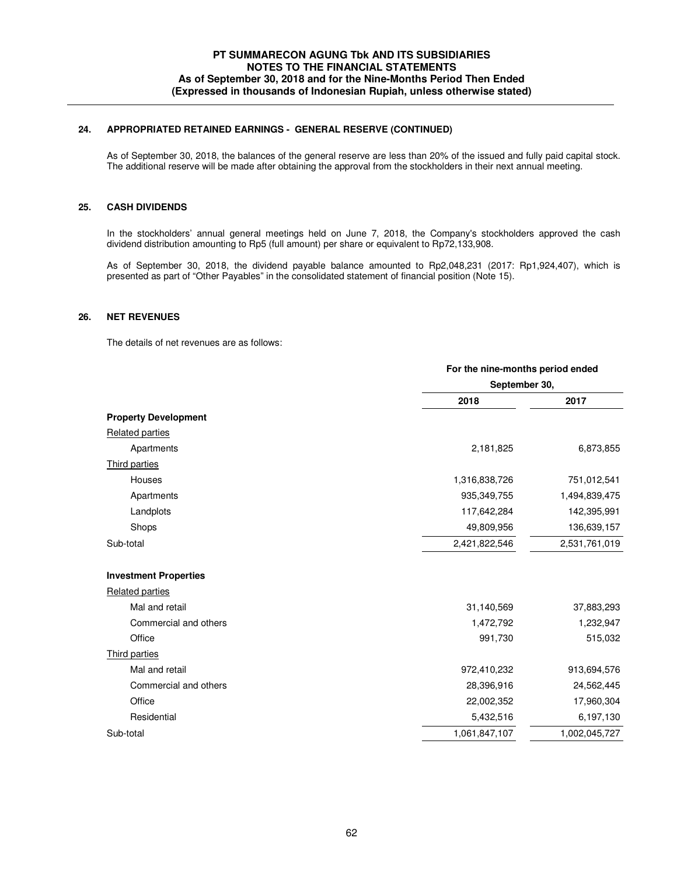## **24. APPROPRIATED RETAINED EARNINGS - GENERAL RESERVE (CONTINUED)**

 As of September 30, 2018, the balances of the general reserve are less than 20% of the issued and fully paid capital stock. The additional reserve will be made after obtaining the approval from the stockholders in their next annual meeting.

### **25. CASH DIVIDENDS**

In the stockholders' annual general meetings held on June 7, 2018, the Company's stockholders approved the cash dividend distribution amounting to Rp5 (full amount) per share or equivalent to Rp72,133,908.

As of September 30, 2018, the dividend payable balance amounted to Rp2,048,231 (2017: Rp1,924,407), which is presented as part of "Other Payables" in the consolidated statement of financial position (Note 15).

### **26. NET REVENUES**

The details of net revenues are as follows:

|                              |               | For the nine-months period ended |  |
|------------------------------|---------------|----------------------------------|--|
|                              | September 30, |                                  |  |
|                              | 2018          | 2017                             |  |
| <b>Property Development</b>  |               |                                  |  |
| <b>Related parties</b>       |               |                                  |  |
| Apartments                   | 2,181,825     | 6,873,855                        |  |
| Third parties                |               |                                  |  |
| Houses                       | 1,316,838,726 | 751,012,541                      |  |
| Apartments                   | 935, 349, 755 | 1,494,839,475                    |  |
| Landplots                    | 117,642,284   | 142,395,991                      |  |
| Shops                        | 49,809,956    | 136,639,157                      |  |
| Sub-total                    | 2,421,822,546 | 2,531,761,019                    |  |
| <b>Investment Properties</b> |               |                                  |  |
| <b>Related parties</b>       |               |                                  |  |
| Mal and retail               | 31,140,569    | 37,883,293                       |  |
| Commercial and others        | 1,472,792     | 1,232,947                        |  |
| Office                       | 991,730       | 515,032                          |  |
| Third parties                |               |                                  |  |
| Mal and retail               | 972,410,232   | 913,694,576                      |  |
| Commercial and others        | 28,396,916    | 24,562,445                       |  |
| Office                       | 22,002,352    | 17,960,304                       |  |
| Residential                  | 5,432,516     | 6,197,130                        |  |
| Sub-total                    | 1,061,847,107 | 1,002,045,727                    |  |
|                              |               |                                  |  |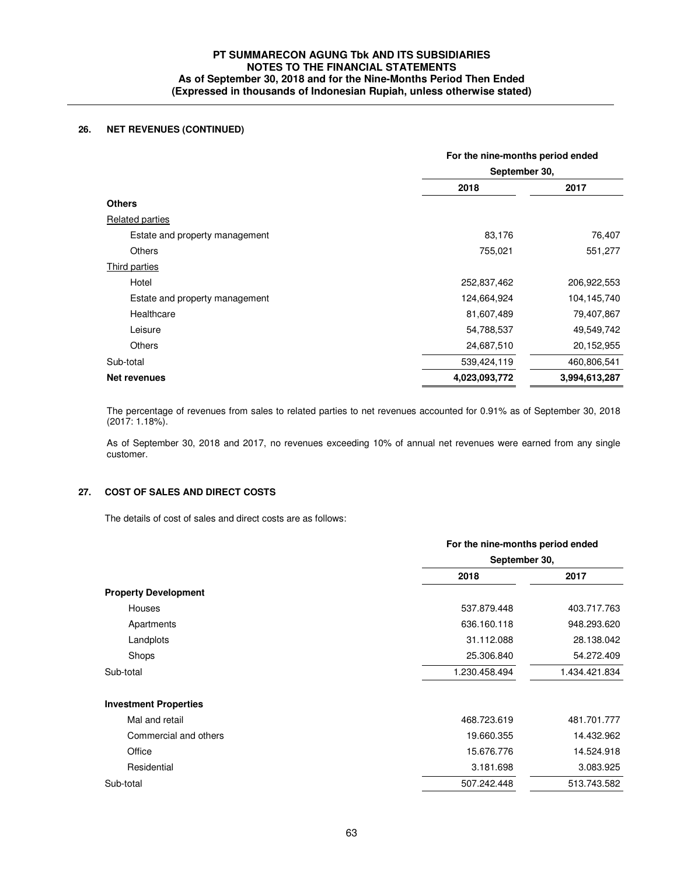## **26. NET REVENUES (CONTINUED)**

|                                | For the nine-months period ended<br>September 30, |               |
|--------------------------------|---------------------------------------------------|---------------|
|                                |                                                   |               |
|                                | 2018                                              | 2017          |
| <b>Others</b>                  |                                                   |               |
| <b>Related parties</b>         |                                                   |               |
| Estate and property management | 83,176                                            | 76,407        |
| <b>Others</b>                  | 755,021                                           | 551,277       |
| Third parties                  |                                                   |               |
| Hotel                          | 252,837,462                                       | 206,922,553   |
| Estate and property management | 124,664,924                                       | 104,145,740   |
| Healthcare                     | 81,607,489                                        | 79,407,867    |
| Leisure                        | 54,788,537                                        | 49,549,742    |
| <b>Others</b>                  | 24,687,510                                        | 20,152,955    |
| Sub-total                      | 539,424,119                                       | 460,806,541   |
| <b>Net revenues</b>            | 4,023,093,772                                     | 3,994,613,287 |
|                                |                                                   |               |

 The percentage of revenues from sales to related parties to net revenues accounted for 0.91% as of September 30, 2018 (2017: 1.18%).

As of September 30, 2018 and 2017, no revenues exceeding 10% of annual net revenues were earned from any single customer.

## **27. COST OF SALES AND DIRECT COSTS**

The details of cost of sales and direct costs are as follows:

|                              | For the nine-months period ended<br>September 30, |               |  |
|------------------------------|---------------------------------------------------|---------------|--|
|                              |                                                   |               |  |
|                              | 2018                                              | 2017          |  |
| <b>Property Development</b>  |                                                   |               |  |
| <b>Houses</b>                | 537.879.448                                       | 403.717.763   |  |
| Apartments                   | 636.160.118                                       | 948.293.620   |  |
| Landplots                    | 31.112.088                                        | 28.138.042    |  |
| Shops                        | 25.306.840                                        | 54.272.409    |  |
| Sub-total                    | 1.230.458.494                                     | 1.434.421.834 |  |
| <b>Investment Properties</b> |                                                   |               |  |
| Mal and retail               | 468.723.619                                       | 481.701.777   |  |
| Commercial and others        | 19.660.355                                        | 14.432.962    |  |
| Office                       | 15.676.776                                        | 14.524.918    |  |
| Residential                  | 3.181.698                                         | 3.083.925     |  |
| Sub-total                    | 507.242.448                                       | 513.743.582   |  |
|                              |                                                   |               |  |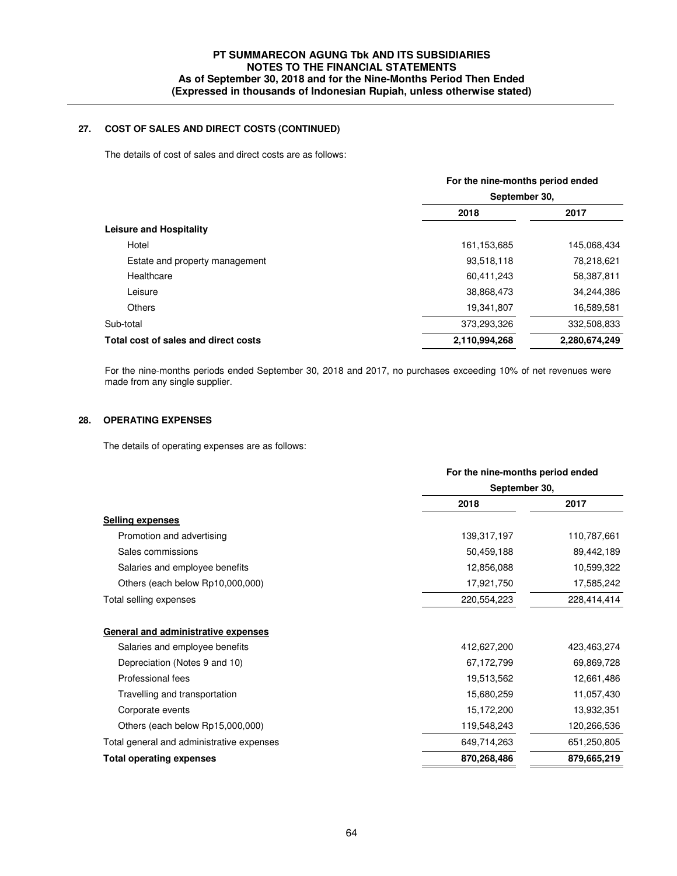## **27. COST OF SALES AND DIRECT COSTS (CONTINUED)**

The details of cost of sales and direct costs are as follows:

|                                      | For the nine-months period ended |             |  |  |
|--------------------------------------|----------------------------------|-------------|--|--|
|                                      | September 30,                    |             |  |  |
|                                      | 2018                             | 2017        |  |  |
| <b>Leisure and Hospitality</b>       |                                  |             |  |  |
| Hotel                                | 161, 153, 685                    | 145,068,434 |  |  |
| Estate and property management       | 93,518,118                       | 78,218,621  |  |  |
| Healthcare                           | 60,411,243                       | 58,387,811  |  |  |
| Leisure                              | 38,868,473                       | 34,244,386  |  |  |
| Others                               | 19,341,807                       | 16,589,581  |  |  |
| Sub-total                            | 373,293,326                      | 332,508,833 |  |  |
| Total cost of sales and direct costs | 2,110,994,268<br>2,280,674,249   |             |  |  |

 For the nine-months periods ended September 30, 2018 and 2017, no purchases exceeding 10% of net revenues were made from any single supplier.

## **28. OPERATING EXPENSES**

The details of operating expenses are as follows:

|                                                                       | For the nine-months period ended |             |
|-----------------------------------------------------------------------|----------------------------------|-------------|
|                                                                       | September 30,                    |             |
|                                                                       | 2018                             | 2017        |
| Selling expenses                                                      |                                  |             |
| Promotion and advertising                                             | 139,317,197                      | 110,787,661 |
| Sales commissions                                                     | 50,459,188                       | 89,442,189  |
| Salaries and employee benefits                                        | 12,856,088                       | 10,599,322  |
| Others (each below Rp10,000,000)                                      | 17,921,750                       | 17,585,242  |
| Total selling expenses                                                | 220,554,223                      | 228,414,414 |
| General and administrative expenses<br>Salaries and employee benefits | 412,627,200                      |             |
|                                                                       |                                  | 423,463,274 |
| Depreciation (Notes 9 and 10)                                         | 67,172,799                       | 69,869,728  |
| Professional fees                                                     | 19,513,562                       | 12,661,486  |
| Travelling and transportation                                         | 15,680,259                       | 11,057,430  |
| Corporate events                                                      | 15,172,200                       | 13,932,351  |
| Others (each below Rp15,000,000)                                      | 119,548,243                      | 120,266,536 |
| Total general and administrative expenses                             | 649,714,263                      | 651,250,805 |
| <b>Total operating expenses</b>                                       | 870,268,486                      | 879,665,219 |
|                                                                       |                                  |             |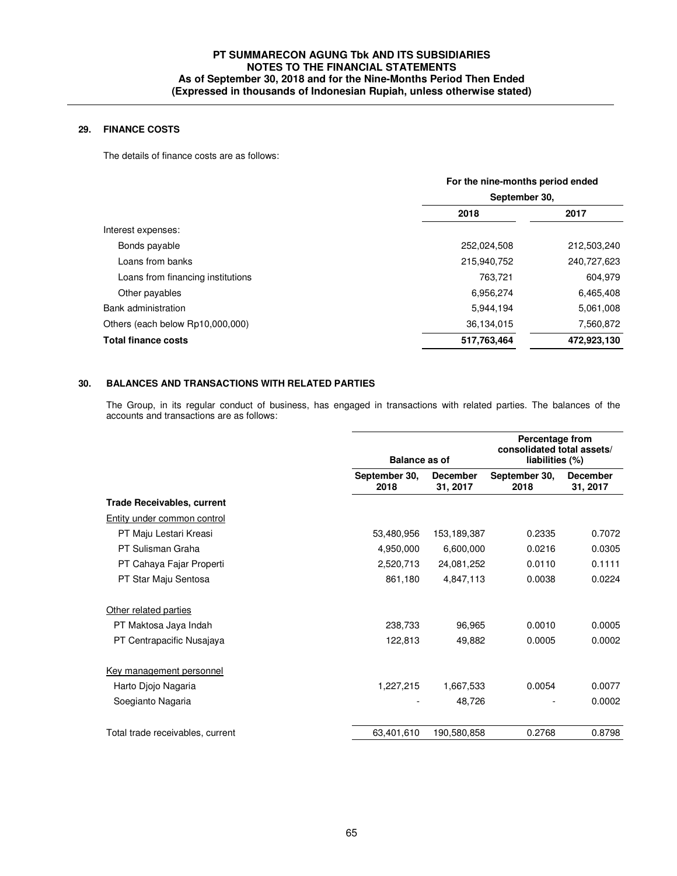## **29. FINANCE COSTS**

The details of finance costs are as follows:

| For the nine-months period ended<br>September 30, |             |  |
|---------------------------------------------------|-------------|--|
|                                                   |             |  |
|                                                   |             |  |
| 252,024,508                                       | 212,503,240 |  |
| 215,940,752                                       | 240,727,623 |  |
| 763,721                                           | 604,979     |  |
| 6,956,274                                         | 6,465,408   |  |
| 5,944,194                                         | 5,061,008   |  |
| 36,134,015                                        | 7,560,872   |  |
| 517,763,464                                       | 472,923,130 |  |
|                                                   |             |  |

## **30. BALANCES AND TRANSACTIONS WITH RELATED PARTIES**

The Group, in its regular conduct of business, has engaged in transactions with related parties. The balances of the accounts and transactions are as follows:

|                                   | <b>Balance as of</b>  |                             | <b>Percentage from</b><br>consolidated total assets/<br>liabilities (%) |                             |  |
|-----------------------------------|-----------------------|-----------------------------|-------------------------------------------------------------------------|-----------------------------|--|
|                                   | September 30,<br>2018 | <b>December</b><br>31, 2017 | September 30,<br>2018                                                   | <b>December</b><br>31, 2017 |  |
| <b>Trade Receivables, current</b> |                       |                             |                                                                         |                             |  |
| Entity under common control       |                       |                             |                                                                         |                             |  |
| PT Maju Lestari Kreasi            | 53,480,956            | 153,189,387                 | 0.2335                                                                  | 0.7072                      |  |
| PT Sulisman Graha                 | 4,950,000             | 6,600,000                   | 0.0216                                                                  | 0.0305                      |  |
| PT Cahaya Fajar Properti          | 2,520,713             | 24,081,252                  | 0.0110                                                                  | 0.1111                      |  |
| PT Star Maju Sentosa              | 861,180               | 4,847,113                   | 0.0038                                                                  | 0.0224                      |  |
| Other related parties             |                       |                             |                                                                         |                             |  |
| PT Maktosa Jaya Indah             | 238,733               | 96,965                      | 0.0010                                                                  | 0.0005                      |  |
| PT Centrapacific Nusajaya         | 122,813               | 49,882                      | 0.0005                                                                  | 0.0002                      |  |
| Key management personnel          |                       |                             |                                                                         |                             |  |
| Harto Diojo Nagaria               | 1,227,215             | 1,667,533                   | 0.0054                                                                  | 0.0077                      |  |
| Soegianto Nagaria                 |                       | 48,726                      |                                                                         | 0.0002                      |  |
| Total trade receivables, current  | 63,401,610            | 190,580,858                 | 0.2768                                                                  | 0.8798                      |  |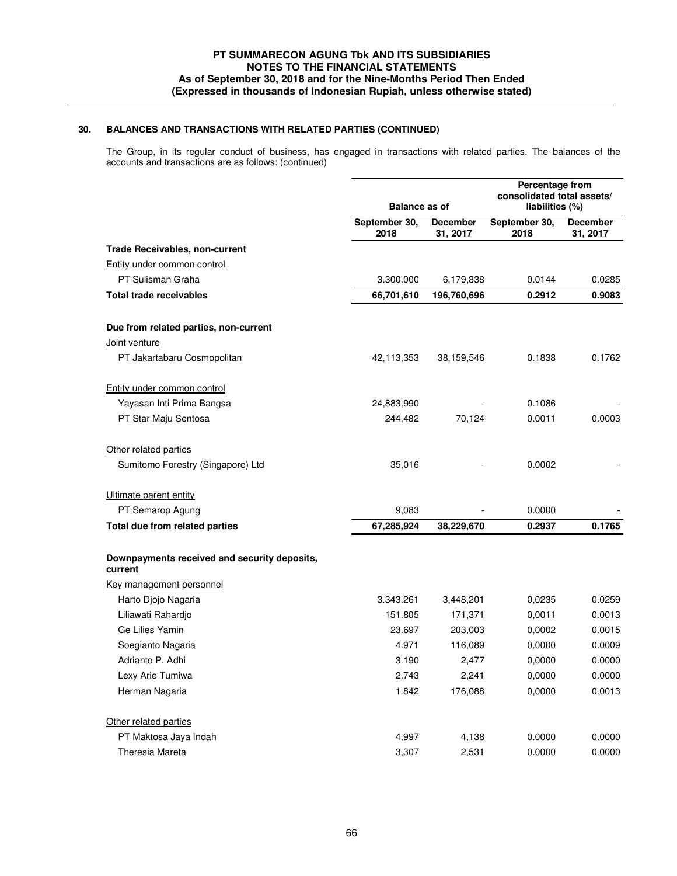The Group, in its regular conduct of business, has engaged in transactions with related parties. The balances of the accounts and transactions are as follows: (continued)

|                                                         | <b>Balance as of</b>  |                             | Percentage from<br>consolidated total assets/<br>liabilities (%) |                             |
|---------------------------------------------------------|-----------------------|-----------------------------|------------------------------------------------------------------|-----------------------------|
|                                                         | September 30,<br>2018 | <b>December</b><br>31, 2017 | September 30,<br>2018                                            | <b>December</b><br>31, 2017 |
| <b>Trade Receivables, non-current</b>                   |                       |                             |                                                                  |                             |
| Entity under common control                             |                       |                             |                                                                  |                             |
| PT Sulisman Graha                                       | 3.300.000             | 6,179,838                   | 0.0144                                                           | 0.0285                      |
| <b>Total trade receivables</b>                          | 66,701,610            | 196,760,696                 | 0.2912                                                           | 0.9083                      |
| Due from related parties, non-current                   |                       |                             |                                                                  |                             |
| Joint venture                                           |                       |                             |                                                                  |                             |
| PT Jakartabaru Cosmopolitan                             | 42,113,353            | 38,159,546                  | 0.1838                                                           | 0.1762                      |
| Entity under common control                             |                       |                             |                                                                  |                             |
| Yayasan Inti Prima Bangsa                               | 24,883,990            |                             | 0.1086                                                           |                             |
| PT Star Maju Sentosa                                    | 244,482               | 70,124                      | 0.0011                                                           | 0.0003                      |
| Other related parties                                   |                       |                             |                                                                  |                             |
| Sumitomo Forestry (Singapore) Ltd                       | 35,016                |                             | 0.0002                                                           |                             |
| Ultimate parent entity                                  |                       |                             |                                                                  |                             |
| PT Semarop Agung                                        | 9,083                 |                             | 0.0000                                                           |                             |
| Total due from related parties                          | 67,285,924            | 38,229,670                  | 0.2937                                                           | 0.1765                      |
| Downpayments received and security deposits,<br>current |                       |                             |                                                                  |                             |
| Key management personnel                                |                       |                             |                                                                  |                             |
| Harto Djojo Nagaria                                     | 3.343.261             | 3,448,201                   | 0,0235                                                           | 0.0259                      |
| Liliawati Rahardjo                                      | 151.805               | 171,371                     | 0,0011                                                           | 0.0013                      |
| Ge Lilies Yamin                                         | 23.697                | 203,003                     | 0,0002                                                           | 0.0015                      |
| Soegianto Nagaria                                       | 4.971                 | 116,089                     | 0,0000                                                           | 0.0009                      |
| Adrianto P. Adhi                                        | 3.190                 | 2,477                       | 0,0000                                                           | 0.0000                      |
| Lexy Arie Tumiwa                                        | 2.743                 | 2,241                       | 0,0000                                                           | 0.0000                      |
| Herman Nagaria                                          | 1.842                 | 176,088                     | 0,0000                                                           | 0.0013                      |
| Other related parties                                   |                       |                             |                                                                  |                             |
| PT Maktosa Jaya Indah                                   | 4,997                 | 4,138                       | 0.0000                                                           | 0.0000                      |
| Theresia Mareta                                         | 3,307                 | 2,531                       | 0.0000                                                           | 0.0000                      |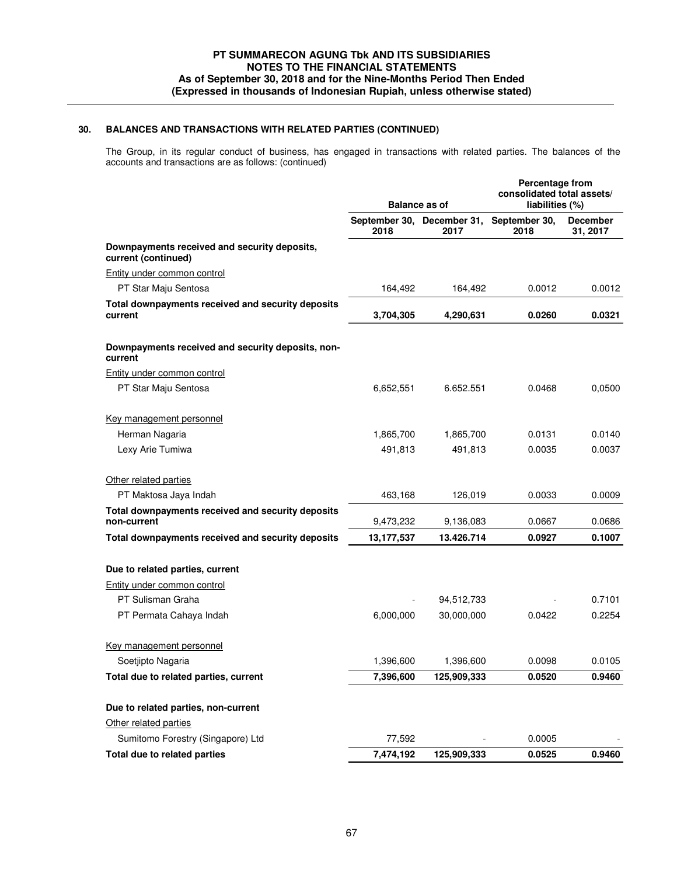The Group, in its regular conduct of business, has engaged in transactions with related parties. The balances of the accounts and transactions are as follows: (continued)

|                                                                     | <b>Balance as of</b> |                                    | Percentage from<br>consolidated total assets/<br>liabilities (%) |                             |  |
|---------------------------------------------------------------------|----------------------|------------------------------------|------------------------------------------------------------------|-----------------------------|--|
|                                                                     | 2018                 | September 30, December 31,<br>2017 | September 30,<br>2018                                            | <b>December</b><br>31, 2017 |  |
| Downpayments received and security deposits,<br>current (continued) |                      |                                    |                                                                  |                             |  |
| <b>Entity under common control</b>                                  |                      |                                    |                                                                  |                             |  |
| PT Star Maju Sentosa                                                | 164,492              | 164,492                            | 0.0012                                                           | 0.0012                      |  |
| Total downpayments received and security deposits<br>current        | 3,704,305            | 4,290,631                          | 0.0260                                                           | 0.0321                      |  |
| Downpayments received and security deposits, non-<br>current        |                      |                                    |                                                                  |                             |  |
| Entity under common control                                         |                      |                                    |                                                                  |                             |  |
| PT Star Maju Sentosa                                                | 6,652,551            | 6.652.551                          | 0.0468                                                           | 0,0500                      |  |
| Key management personnel                                            |                      |                                    |                                                                  |                             |  |
| Herman Nagaria                                                      | 1,865,700            | 1,865,700                          | 0.0131                                                           | 0.0140                      |  |
| Lexy Arie Tumiwa                                                    | 491,813              | 491,813                            | 0.0035                                                           | 0.0037                      |  |
| Other related parties                                               |                      |                                    |                                                                  |                             |  |
| PT Maktosa Jaya Indah                                               | 463,168              | 126,019                            | 0.0033                                                           | 0.0009                      |  |
| Total downpayments received and security deposits<br>non-current    | 9,473,232            | 9,136,083                          | 0.0667                                                           | 0.0686                      |  |
| Total downpayments received and security deposits                   | 13,177,537           | 13.426.714                         | 0.0927                                                           | 0.1007                      |  |
| Due to related parties, current                                     |                      |                                    |                                                                  |                             |  |
| Entity under common control                                         |                      |                                    |                                                                  |                             |  |
| PT Sulisman Graha                                                   |                      | 94,512,733                         |                                                                  | 0.7101                      |  |
| PT Permata Cahaya Indah                                             | 6,000,000            | 30,000,000                         | 0.0422                                                           | 0.2254                      |  |
| Key management personnel                                            |                      |                                    |                                                                  |                             |  |
| Soetjipto Nagaria                                                   | 1,396,600            | 1,396,600                          | 0.0098                                                           | 0.0105                      |  |
| Total due to related parties, current                               | 7,396,600            | 125,909,333                        | 0.0520                                                           | 0.9460                      |  |
| Due to related parties, non-current                                 |                      |                                    |                                                                  |                             |  |
| Other related parties                                               |                      |                                    |                                                                  |                             |  |
| Sumitomo Forestry (Singapore) Ltd                                   | 77,592               |                                    | 0.0005                                                           |                             |  |
| Total due to related parties                                        | 7,474,192            | 125,909,333                        | 0.0525                                                           | 0.9460                      |  |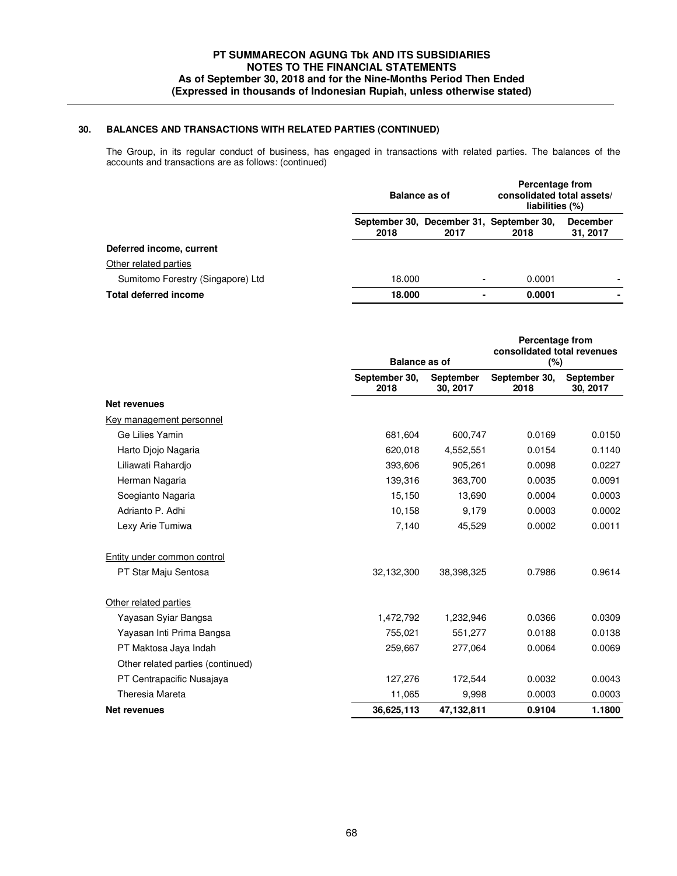The Group, in its regular conduct of business, has engaged in transactions with related parties. The balances of the accounts and transactions are as follows: (continued)

|                                   | <b>Balance as of</b> |      | Percentage from<br>consolidated total assets/<br>liabilities (%) |                             |  |
|-----------------------------------|----------------------|------|------------------------------------------------------------------|-----------------------------|--|
|                                   | 2018                 | 2017 | September 30, December 31, September 30,<br>2018                 | <b>December</b><br>31, 2017 |  |
| Deferred income, current          |                      |      |                                                                  |                             |  |
| Other related parties             |                      |      |                                                                  |                             |  |
| Sumitomo Forestry (Singapore) Ltd | 18.000               |      | 0.0001                                                           | $\overline{\phantom{0}}$    |  |
| <b>Total deferred income</b>      | 18.000               |      | 0.0001                                                           | ٠                           |  |

|                                   |                       | <b>Balance as of</b>  |                       | Percentage from<br>consolidated total revenues<br>(%) |
|-----------------------------------|-----------------------|-----------------------|-----------------------|-------------------------------------------------------|
|                                   | September 30,<br>2018 | September<br>30, 2017 | September 30,<br>2018 | <b>September</b><br>30, 2017                          |
| <b>Net revenues</b>               |                       |                       |                       |                                                       |
| Key management personnel          |                       |                       |                       |                                                       |
| Ge Lilies Yamin                   | 681,604               | 600,747               | 0.0169                | 0.0150                                                |
| Harto Djojo Nagaria               | 620,018               | 4,552,551             | 0.0154                | 0.1140                                                |
| Liliawati Rahardio                | 393,606               | 905,261               | 0.0098                | 0.0227                                                |
| Herman Nagaria                    | 139,316               | 363,700               | 0.0035                | 0.0091                                                |
| Soegianto Nagaria                 | 15,150                | 13,690                | 0.0004                | 0.0003                                                |
| Adrianto P. Adhi                  | 10,158                | 9,179                 | 0.0003                | 0.0002                                                |
| Lexy Arie Tumiwa                  | 7,140                 | 45,529                | 0.0002                | 0.0011                                                |
| Entity under common control       |                       |                       |                       |                                                       |
| PT Star Maju Sentosa              | 32,132,300            | 38,398,325            | 0.7986                | 0.9614                                                |
| Other related parties             |                       |                       |                       |                                                       |
| Yayasan Syiar Bangsa              | 1,472,792             | 1,232,946             | 0.0366                | 0.0309                                                |
| Yayasan Inti Prima Bangsa         | 755,021               | 551,277               | 0.0188                | 0.0138                                                |
| PT Maktosa Jaya Indah             | 259,667               | 277,064               | 0.0064                | 0.0069                                                |
| Other related parties (continued) |                       |                       |                       |                                                       |
| PT Centrapacific Nusajaya         | 127,276               | 172.544               | 0.0032                | 0.0043                                                |
| Theresia Mareta                   | 11,065                | 9,998                 | 0.0003                | 0.0003                                                |
| <b>Net revenues</b>               | 36,625,113            | 47,132,811            | 0.9104                | 1.1800                                                |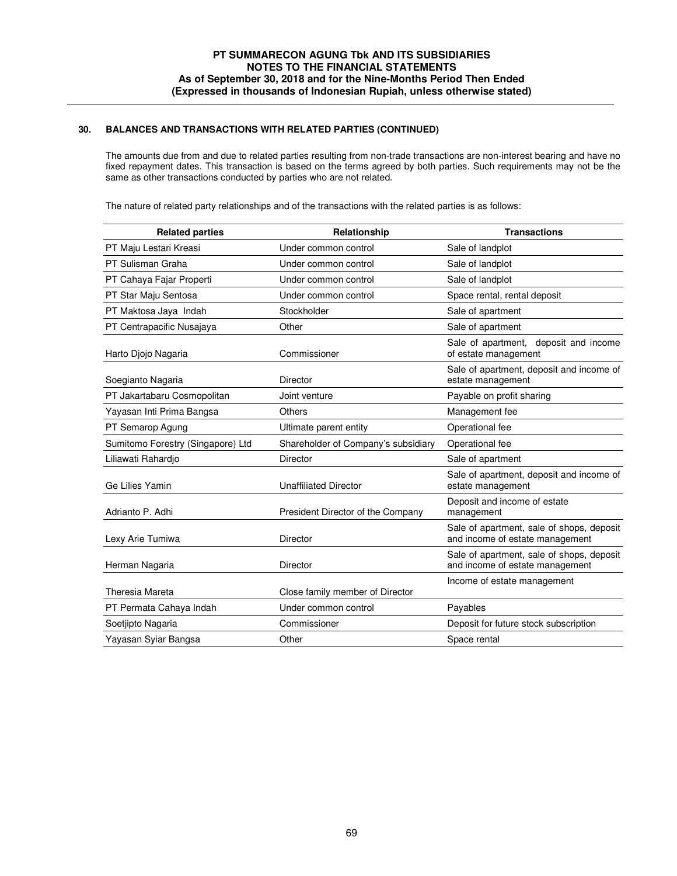The amounts due from and due to related parties resulting from non-trade transactions are non-interest bearing and have no fixed repayment dates. This transaction is based on the terms agreed by both parties. Such requirements may not be the same as other transactions conducted by parties who are not related.

The nature of related party relationships and of the transactions with the related parties is as follows:

| <b>Related parties</b>            | Relationship                        | <b>Transactions</b>                                                          |
|-----------------------------------|-------------------------------------|------------------------------------------------------------------------------|
| PT Maju Lestari Kreasi            | Under common control                | Sale of landplot                                                             |
| PT Sulisman Graha                 | Under common control                | Sale of landplot                                                             |
| PT Cahaya Fajar Properti          | Under common control                | Sale of landplot                                                             |
| PT Star Maju Sentosa              | Under common control                | Space rental, rental deposit                                                 |
| PT Maktosa Jaya Indah             | Stockholder                         | Sale of apartment                                                            |
| PT Centrapacific Nusajaya         | Other                               | Sale of apartment                                                            |
| Harto Diojo Nagaria               | Commissioner                        | Sale of apartment,<br>deposit and income<br>of estate management             |
| Soegianto Nagaria                 | <b>Director</b>                     | Sale of apartment, deposit and income of<br>estate management                |
| PT Jakartabaru Cosmopolitan       | Joint venture                       | Payable on profit sharing                                                    |
| Yayasan Inti Prima Bangsa         | Others                              | Management fee                                                               |
| PT Semarop Agung                  | Ultimate parent entity              | Operational fee                                                              |
| Sumitomo Forestry (Singapore) Ltd | Shareholder of Company's subsidiary | Operational fee                                                              |
| Liliawati Rahardio                | <b>Director</b>                     | Sale of apartment                                                            |
| Ge Lilies Yamin                   | <b>Unaffiliated Director</b>        | Sale of apartment, deposit and income of<br>estate management                |
| Adrianto P. Adhi                  | President Director of the Company   | Deposit and income of estate<br>management                                   |
| Lexy Arie Tumiwa                  | Director                            | Sale of apartment, sale of shops, deposit<br>and income of estate management |
| Herman Nagaria                    | Director                            | Sale of apartment, sale of shops, deposit<br>and income of estate management |
| Theresia Mareta                   | Close family member of Director     | Income of estate management                                                  |
| PT Permata Cahaya Indah           | Under common control                | Payables                                                                     |
| Soetjipto Nagaria                 | Commissioner                        | Deposit for future stock subscription                                        |
| Yayasan Syiar Bangsa              | Other                               | Space rental                                                                 |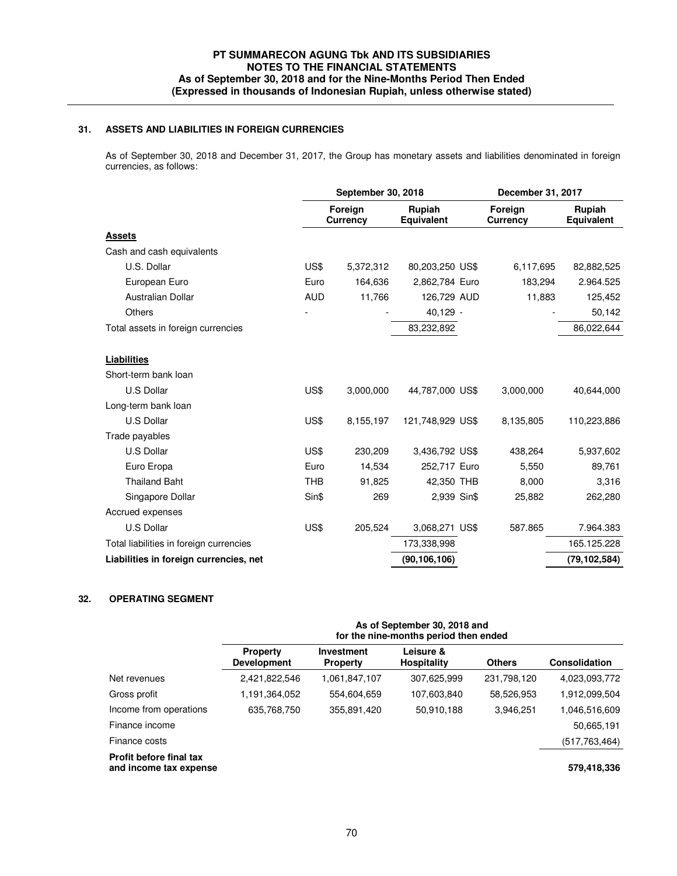## **31. ASSETS AND LIABILITIES IN FOREIGN CURRENCIES**

 As of September 30, 2018 and December 31, 2017, the Group has monetary assets and liabilities denominated in foreign currencies, as follows:

|                                         | September 30, 2018 |                            | December 31, 2017    |                            |                      |
|-----------------------------------------|--------------------|----------------------------|----------------------|----------------------------|----------------------|
|                                         |                    | Foreign<br><b>Currency</b> | Rupiah<br>Equivalent | Foreign<br><b>Currency</b> | Rupiah<br>Equivalent |
| <b>Assets</b>                           |                    |                            |                      |                            |                      |
| Cash and cash equivalents               |                    |                            |                      |                            |                      |
| U.S. Dollar                             | US\$               | 5,372,312                  | 80,203,250 US\$      | 6,117,695                  | 82,882,525           |
| European Euro                           | Euro               | 164,636                    | 2,862,784 Euro       | 183,294                    | 2.964.525            |
| Australian Dollar                       | <b>AUD</b>         | 11,766                     | 126,729 AUD          | 11,883                     | 125,452              |
| <b>Others</b>                           |                    |                            | 40,129 -             |                            | 50,142               |
| Total assets in foreign currencies      |                    |                            | 83,232,892           |                            | 86,022,644           |
| <b>Liabilities</b>                      |                    |                            |                      |                            |                      |
| Short-term bank loan                    |                    |                            |                      |                            |                      |
| <b>U.S Dollar</b>                       | US\$               | 3,000,000                  | 44,787,000 US\$      | 3,000,000                  | 40,644,000           |
| Long-term bank loan                     |                    |                            |                      |                            |                      |
| U.S Dollar                              | US\$               | 8,155,197                  | 121,748,929 US\$     | 8,135,805                  | 110,223,886          |
| Trade payables                          |                    |                            |                      |                            |                      |
| U.S Dollar                              | US\$               | 230,209                    | 3,436,792 US\$       | 438,264                    | 5,937,602            |
| Euro Eropa                              | Euro               | 14,534                     | 252,717 Euro         | 5,550                      | 89,761               |
| <b>Thailand Baht</b>                    | <b>THB</b>         | 91,825                     | 42,350 THB           | 8,000                      | 3,316                |
| Singapore Dollar                        | Sin\$              | 269                        | 2,939 Sin\$          | 25,882                     | 262,280              |
| Accrued expenses                        |                    |                            |                      |                            |                      |
| U.S Dollar                              | US\$               | 205,524                    | 3,068,271 US\$       | 587.865                    | 7.964.383            |
| Total liabilities in foreign currencies |                    |                            | 173,338,998          |                            | 165.125.228          |
|                                         |                    |                            |                      |                            |                      |

## **32. OPERATING SEGMENT**

|                                                          | As of September 30, 2018 and<br>for the nine-months period then ended |                               |                                 |               |                 |  |  |
|----------------------------------------------------------|-----------------------------------------------------------------------|-------------------------------|---------------------------------|---------------|-----------------|--|--|
|                                                          | <b>Property</b><br><b>Development</b>                                 | Investment<br><b>Property</b> | Leisure &<br><b>Hospitality</b> | <b>Others</b> | Consolidation   |  |  |
| Net revenues                                             | 2,421,822,546                                                         | 1,061,847,107                 | 307,625,999                     | 231,798,120   | 4,023,093,772   |  |  |
| Gross profit                                             | 1,191,364,052                                                         | 554,604,659                   | 107,603,840                     | 58,526,953    | 1,912,099,504   |  |  |
| Income from operations                                   | 635,768,750                                                           | 355,891,420                   | 50,910,188                      | 3,946,251     | 1,046,516,609   |  |  |
| Finance income                                           |                                                                       |                               |                                 |               | 50,665,191      |  |  |
| Finance costs                                            |                                                                       |                               |                                 |               | (517, 763, 464) |  |  |
| <b>Profit before final tax</b><br>and income tax expense |                                                                       |                               |                                 |               | 579,418,336     |  |  |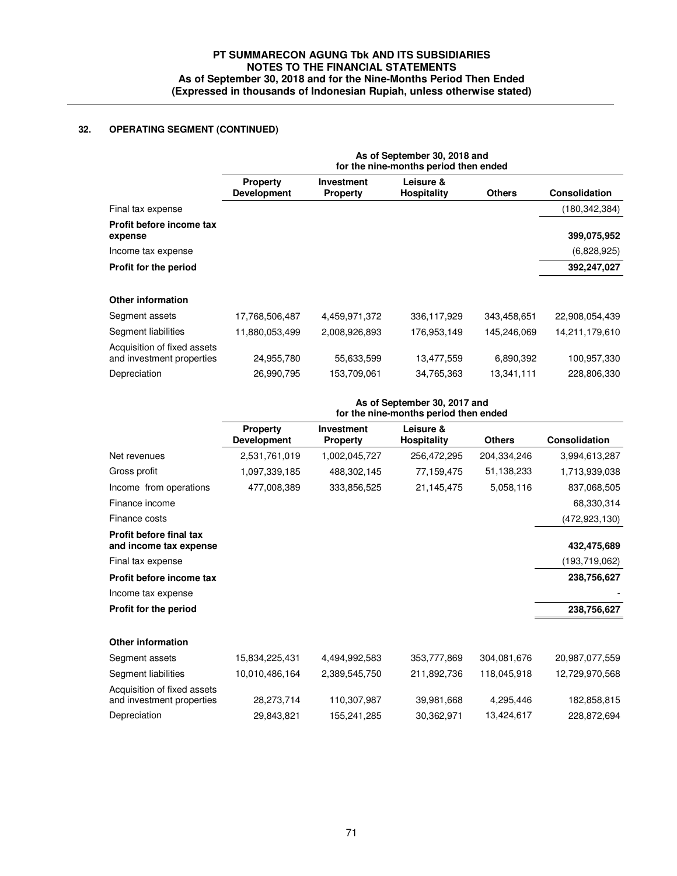# **32. OPERATING SEGMENT (CONTINUED)**

|                                                          | As of September 30, 2018 and<br>for the nine-months period then ended |                                      |                          |               |                 |  |  |
|----------------------------------------------------------|-----------------------------------------------------------------------|--------------------------------------|--------------------------|---------------|-----------------|--|--|
|                                                          | <b>Property</b><br><b>Development</b>                                 | <b>Investment</b><br><b>Property</b> | Leisure &<br>Hospitality | <b>Others</b> | Consolidation   |  |  |
| Final tax expense                                        |                                                                       |                                      |                          |               | (180, 342, 384) |  |  |
| Profit before income tax<br>expense                      |                                                                       |                                      |                          |               | 399,075,952     |  |  |
| Income tax expense                                       |                                                                       |                                      |                          |               | (6,828,925)     |  |  |
| Profit for the period                                    |                                                                       |                                      |                          |               | 392,247,027     |  |  |
| Other information                                        |                                                                       |                                      |                          |               |                 |  |  |
| Segment assets                                           | 17,768,506,487                                                        | 4,459,971,372                        | 336,117,929              | 343,458,651   | 22,908,054,439  |  |  |
| Segment liabilities                                      | 11,880,053,499                                                        | 2,008,926,893                        | 176,953,149              | 145,246,069   | 14,211,179,610  |  |  |
| Acquisition of fixed assets<br>and investment properties | 24,955,780                                                            | 55,633,599                           | 13,477,559               | 6,890,392     | 100,957,330     |  |  |
| Depreciation                                             | 26,990,795                                                            | 153,709,061                          | 34,765,363               | 13,341,111    | 228,806,330     |  |  |
|                                                          |                                                                       |                                      |                          |               |                 |  |  |

|                                                          | As of September 30, 2017 and<br>for the nine-months period then ended |                                      |                                 |               |                 |  |  |
|----------------------------------------------------------|-----------------------------------------------------------------------|--------------------------------------|---------------------------------|---------------|-----------------|--|--|
|                                                          | <b>Property</b><br><b>Development</b>                                 | <b>Investment</b><br><b>Property</b> | Leisure &<br><b>Hospitality</b> | <b>Others</b> | Consolidation   |  |  |
| Net revenues                                             | 2,531,761,019                                                         | 1,002,045,727                        | 256,472,295                     | 204,334,246   | 3,994,613,287   |  |  |
| Gross profit                                             | 1,097,339,185                                                         | 488,302,145                          | 77,159,475                      | 51,138,233    | 1,713,939,038   |  |  |
| Income from operations                                   | 477,008,389                                                           | 333,856,525                          | 21,145,475                      | 5,058,116     | 837,068,505     |  |  |
| Finance income                                           |                                                                       |                                      |                                 |               | 68,330,314      |  |  |
| Finance costs                                            |                                                                       |                                      |                                 |               | (472, 923, 130) |  |  |
| Profit before final tax<br>and income tax expense        |                                                                       |                                      |                                 |               | 432,475,689     |  |  |
| Final tax expense                                        |                                                                       |                                      |                                 |               | (193, 719, 062) |  |  |
| Profit before income tax                                 |                                                                       |                                      |                                 |               | 238,756,627     |  |  |
| Income tax expense                                       |                                                                       |                                      |                                 |               |                 |  |  |
| Profit for the period                                    |                                                                       |                                      |                                 |               | 238,756,627     |  |  |
| <b>Other information</b>                                 |                                                                       |                                      |                                 |               |                 |  |  |
| Segment assets                                           | 15,834,225,431                                                        | 4,494,992,583                        | 353,777,869                     | 304,081,676   | 20,987,077,559  |  |  |
| Segment liabilities                                      | 10,010,486,164                                                        | 2,389,545,750                        | 211,892,736                     | 118,045,918   | 12,729,970,568  |  |  |
| Acquisition of fixed assets<br>and investment properties | 28,273,714                                                            | 110,307,987                          | 39,981,668                      | 4,295,446     | 182,858,815     |  |  |
| Depreciation                                             | 29,843,821                                                            | 155,241,285                          | 30,362,971                      | 13,424,617    | 228,872,694     |  |  |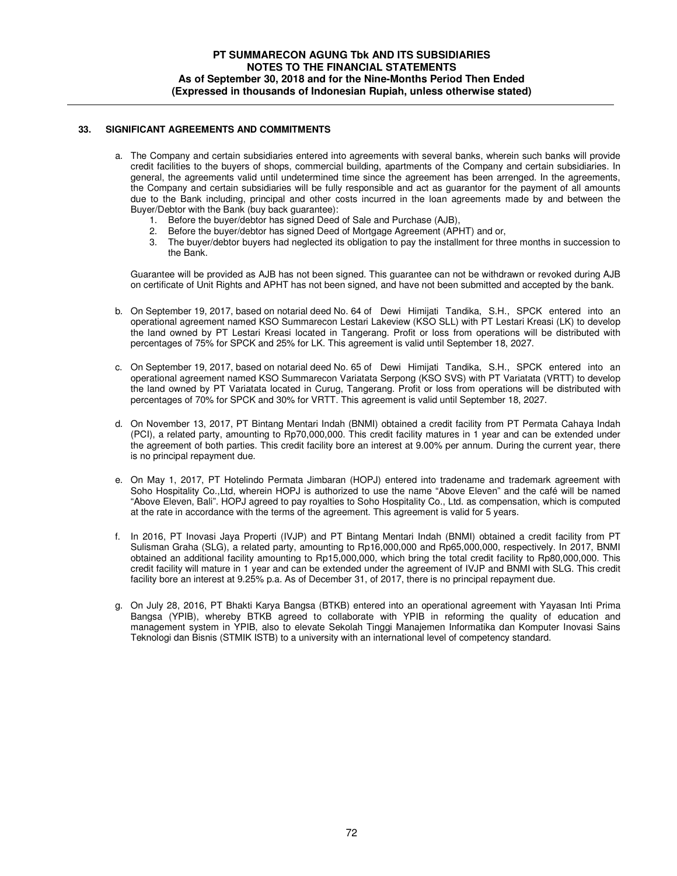#### **33. SIGNIFICANT AGREEMENTS AND COMMITMENTS**

- a. The Company and certain subsidiaries entered into agreements with several banks, wherein such banks will provide credit facilities to the buyers of shops, commercial building, apartments of the Company and certain subsidiaries. In general, the agreements valid until undetermined time since the agreement has been arrenged. In the agreements, the Company and certain subsidiaries will be fully responsible and act as guarantor for the payment of all amounts due to the Bank including, principal and other costs incurred in the loan agreements made by and between the Buyer/Debtor with the Bank (buy back guarantee):
	- 1. Before the buyer/debtor has signed Deed of Sale and Purchase (AJB),
	- 2. Before the buyer/debtor has signed Deed of Mortgage Agreement (APHT) and or,
	- 3. The buyer/debtor buyers had neglected its obligation to pay the installment for three months in succession to the Bank.

Guarantee will be provided as AJB has not been signed. This guarantee can not be withdrawn or revoked during AJB on certificate of Unit Rights and APHT has not been signed, and have not been submitted and accepted by the bank.

- b. On September 19, 2017, based on notarial deed No. 64 of Dewi Himijati Tandika, S.H., SPCK entered into an operational agreement named KSO Summarecon Lestari Lakeview (KSO SLL) with PT Lestari Kreasi (LK) to develop the land owned by PT Lestari Kreasi located in Tangerang. Profit or loss from operations will be distributed with percentages of 75% for SPCK and 25% for LK. This agreement is valid until September 18, 2027.
- c. On September 19, 2017, based on notarial deed No. 65 of Dewi Himijati Tandika, S.H., SPCK entered into an operational agreement named KSO Summarecon Variatata Serpong (KSO SVS) with PT Variatata (VRTT) to develop the land owned by PT Variatata located in Curug, Tangerang. Profit or loss from operations will be distributed with percentages of 70% for SPCK and 30% for VRTT. This agreement is valid until September 18, 2027.
- d. On November 13, 2017, PT Bintang Mentari Indah (BNMI) obtained a credit facility from PT Permata Cahaya Indah (PCI), a related party, amounting to Rp70,000,000. This credit facility matures in 1 year and can be extended under the agreement of both parties. This credit facility bore an interest at 9.00% per annum. During the current year, there is no principal repayment due.
- e. On May 1, 2017, PT Hotelindo Permata Jimbaran (HOPJ) entered into tradename and trademark agreement with Soho Hospitality Co.,Ltd, wherein HOPJ is authorized to use the name "Above Eleven" and the café will be named "Above Eleven, Bali". HOPJ agreed to pay royalties to Soho Hospitality Co., Ltd. as compensation, which is computed at the rate in accordance with the terms of the agreement. This agreement is valid for 5 years.
- f. In 2016, PT Inovasi Jaya Properti (IVJP) and PT Bintang Mentari Indah (BNMI) obtained a credit facility from PT Sulisman Graha (SLG), a related party, amounting to Rp16,000,000 and Rp65,000,000, respectively. In 2017, BNMI obtained an additional facility amounting to Rp15,000,000, which bring the total credit facility to Rp80,000,000. This credit facility will mature in 1 year and can be extended under the agreement of IVJP and BNMI with SLG. This credit facility bore an interest at 9.25% p.a. As of December 31, of 2017, there is no principal repayment due.
- g. On July 28, 2016, PT Bhakti Karya Bangsa (BTKB) entered into an operational agreement with Yayasan Inti Prima Bangsa (YPIB), whereby BTKB agreed to collaborate with YPIB in reforming the quality of education and management system in YPIB, also to elevate Sekolah Tinggi Manajemen Informatika dan Komputer Inovasi Sains Teknologi dan Bisnis (STMIK ISTB) to a university with an international level of competency standard.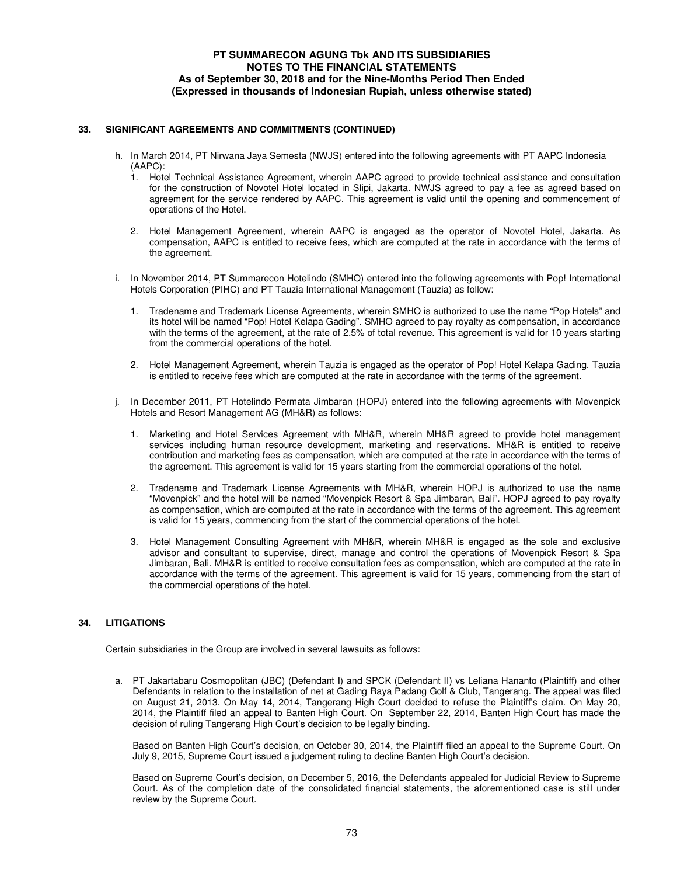#### **33. SIGNIFICANT AGREEMENTS AND COMMITMENTS (CONTINUED)**

- h. In March 2014, PT Nirwana Jaya Semesta (NWJS) entered into the following agreements with PT AAPC Indonesia (AAPC):
	- 1. Hotel Technical Assistance Agreement, wherein AAPC agreed to provide technical assistance and consultation for the construction of Novotel Hotel located in Slipi, Jakarta. NWJS agreed to pay a fee as agreed based on agreement for the service rendered by AAPC. This agreement is valid until the opening and commencement of operations of the Hotel.
	- 2. Hotel Management Agreement, wherein AAPC is engaged as the operator of Novotel Hotel, Jakarta. As compensation, AAPC is entitled to receive fees, which are computed at the rate in accordance with the terms of the agreement.
- i. In November 2014, PT Summarecon Hotelindo (SMHO) entered into the following agreements with Pop! International Hotels Corporation (PIHC) and PT Tauzia International Management (Tauzia) as follow:
	- 1. Tradename and Trademark License Agreements, wherein SMHO is authorized to use the name "Pop Hotels" and its hotel will be named "Pop! Hotel Kelapa Gading". SMHO agreed to pay royalty as compensation, in accordance with the terms of the agreement, at the rate of 2.5% of total revenue. This agreement is valid for 10 years starting from the commercial operations of the hotel.
	- 2. Hotel Management Agreement, wherein Tauzia is engaged as the operator of Pop! Hotel Kelapa Gading. Tauzia is entitled to receive fees which are computed at the rate in accordance with the terms of the agreement.
- In December 2011, PT Hotelindo Permata Jimbaran (HOPJ) entered into the following agreements with Movenpick Hotels and Resort Management AG (MH&R) as follows:
	- 1. Marketing and Hotel Services Agreement with MH&R, wherein MH&R agreed to provide hotel management services including human resource development, marketing and reservations. MH&R is entitled to receive contribution and marketing fees as compensation, which are computed at the rate in accordance with the terms of the agreement. This agreement is valid for 15 years starting from the commercial operations of the hotel.
	- 2. Tradename and Trademark License Agreements with MH&R, wherein HOPJ is authorized to use the name "Movenpick" and the hotel will be named "Movenpick Resort & Spa Jimbaran, Bali". HOPJ agreed to pay royalty as compensation, which are computed at the rate in accordance with the terms of the agreement. This agreement is valid for 15 years, commencing from the start of the commercial operations of the hotel.
	- 3. Hotel Management Consulting Agreement with MH&R, wherein MH&R is engaged as the sole and exclusive advisor and consultant to supervise, direct, manage and control the operations of Movenpick Resort & Spa Jimbaran, Bali. MH&R is entitled to receive consultation fees as compensation, which are computed at the rate in accordance with the terms of the agreement. This agreement is valid for 15 years, commencing from the start of the commercial operations of the hotel.

#### **34. LITIGATIONS**

Certain subsidiaries in the Group are involved in several lawsuits as follows:

 a. PT Jakartabaru Cosmopolitan (JBC) (Defendant I) and SPCK (Defendant II) vs Leliana Hananto (Plaintiff) and other Defendants in relation to the installation of net at Gading Raya Padang Golf & Club, Tangerang. The appeal was filed on August 21, 2013. On May 14, 2014, Tangerang High Court decided to refuse the Plaintiff's claim. On May 20, 2014, the Plaintiff filed an appeal to Banten High Court. On September 22, 2014, Banten High Court has made the decision of ruling Tangerang High Court's decision to be legally binding.

Based on Banten High Court's decision, on October 30, 2014, the Plaintiff filed an appeal to the Supreme Court. On July 9, 2015, Supreme Court issued a judgement ruling to decline Banten High Court's decision.

Based on Supreme Court's decision, on December 5, 2016, the Defendants appealed for Judicial Review to Supreme Court. As of the completion date of the consolidated financial statements, the aforementioned case is still under review by the Supreme Court.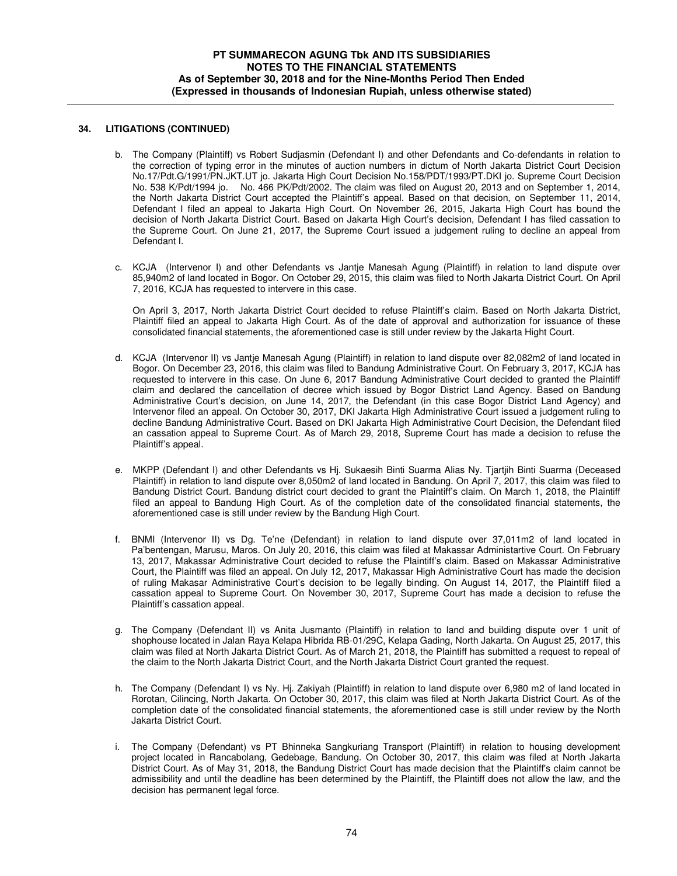#### **34. LITIGATIONS (CONTINUED)**

- b. The Company (Plaintiff) vs Robert Sudjasmin (Defendant I) and other Defendants and Co-defendants in relation to the correction of typing error in the minutes of auction numbers in dictum of North Jakarta District Court Decision No.17/Pdt.G/1991/PN.JKT.UT jo. Jakarta High Court Decision No.158/PDT/1993/PT.DKI jo. Supreme Court Decision No. 538 K/Pdt/1994 jo. No. 466 PK/Pdt/2002. The claim was filed on August 20, 2013 and on September 1, 2014, the North Jakarta District Court accepted the Plaintiff's appeal. Based on that decision, on September 11, 2014, Defendant I filed an appeal to Jakarta High Court. On November 26, 2015, Jakarta High Court has bound the decision of North Jakarta District Court. Based on Jakarta High Court's decision, Defendant I has filed cassation to the Supreme Court. On June 21, 2017, the Supreme Court issued a judgement ruling to decline an appeal from Defendant I.
- c. KCJA (Intervenor I) and other Defendants vs Jantje Manesah Agung (Plaintiff) in relation to land dispute over 85,940m2 of land located in Bogor. On October 29, 2015, this claim was filed to North Jakarta District Court. On April 7, 2016, KCJA has requested to intervere in this case.

On April 3, 2017, North Jakarta District Court decided to refuse Plaintiff's claim. Based on North Jakarta District, Plaintiff filed an appeal to Jakarta High Court. As of the date of approval and authorization for issuance of these consolidated financial statements, the aforementioned case is still under review by the Jakarta Hight Court.

- d. KCJA (Intervenor II) vs Jantje Manesah Agung (Plaintiff) in relation to land dispute over 82,082m2 of land located in Bogor. On December 23, 2016, this claim was filed to Bandung Administrative Court. On February 3, 2017, KCJA has requested to intervere in this case. On June 6, 2017 Bandung Administrative Court decided to granted the Plaintiff claim and declared the cancellation of decree which issued by Bogor District Land Agency. Based on Bandung Administrative Court's decision, on June 14, 2017, the Defendant (in this case Bogor District Land Agency) and Intervenor filed an appeal. On October 30, 2017, DKI Jakarta High Administrative Court issued a judgement ruling to decline Bandung Administrative Court. Based on DKI Jakarta High Administrative Court Decision, the Defendant filed an cassation appeal to Supreme Court. As of March 29, 2018, Supreme Court has made a decision to refuse the Plaintiff's appeal.
- e. MKPP (Defendant I) and other Defendants vs Hj. Sukaesih Binti Suarma Alias Ny. Tjartjih Binti Suarma (Deceased Plaintiff) in relation to land dispute over 8,050m2 of land located in Bandung. On April 7, 2017, this claim was filed to Bandung District Court. Bandung district court decided to grant the Plaintiff's claim. On March 1, 2018, the Plaintiff filed an appeal to Bandung High Court. As of the completion date of the consolidated financial statements, the aforementioned case is still under review by the Bandung High Court.
- f. BNMI (Intervenor II) vs Dg. Te'ne (Defendant) in relation to land dispute over 37,011m2 of land located in Pa'bentengan, Marusu, Maros. On July 20, 2016, this claim was filed at Makassar Administartive Court. On February 13, 2017, Makassar Administrative Court decided to refuse the Plaintiff's claim. Based on Makassar Administrative Court, the Plaintiff was filed an appeal. On July 12, 2017, Makassar High Administrative Court has made the decision of ruling Makasar Administrative Court's decision to be legally binding. On August 14, 2017, the Plaintiff filed a cassation appeal to Supreme Court. On November 30, 2017, Supreme Court has made a decision to refuse the Plaintiff's cassation appeal.
- g. The Company (Defendant II) vs Anita Jusmanto (Plaintiff) in relation to land and building dispute over 1 unit of shophouse located in Jalan Raya Kelapa Hibrida RB-01/29C, Kelapa Gading, North Jakarta. On August 25, 2017, this claim was filed at North Jakarta District Court. As of March 21, 2018, the Plaintiff has submitted a request to repeal of the claim to the North Jakarta District Court, and the North Jakarta District Court granted the request.
- h. The Company (Defendant I) vs Ny. Hj. Zakiyah (Plaintiff) in relation to land dispute over 6,980 m2 of land located in Rorotan, Cilincing, North Jakarta. On October 30, 2017, this claim was filed at North Jakarta District Court. As of the completion date of the consolidated financial statements, the aforementioned case is still under review by the North Jakarta District Court.
- i. The Company (Defendant) vs PT Bhinneka Sangkuriang Transport (Plaintiff) in relation to housing development project located in Rancabolang, Gedebage, Bandung. On October 30, 2017, this claim was filed at North Jakarta District Court. As of May 31, 2018, the Bandung District Court has made decision that the Plaintiff's claim cannot be admissibility and until the deadline has been determined by the Plaintiff, the Plaintiff does not allow the law, and the decision has permanent legal force.